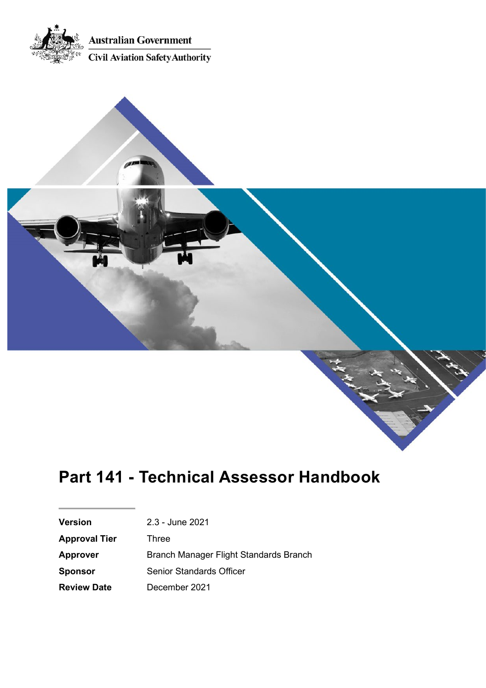



Ark Miller

| <b>Version</b>                                            | 2.3 - June 2021                 |  |
|-----------------------------------------------------------|---------------------------------|--|
| <b>Approval Tier</b>                                      | Three                           |  |
| Branch Manager Flight Standards Branch<br><b>Approver</b> |                                 |  |
| <b>Sponsor</b>                                            | <b>Senior Standards Officer</b> |  |
| December 2021<br><b>Review Date</b>                       |                                 |  |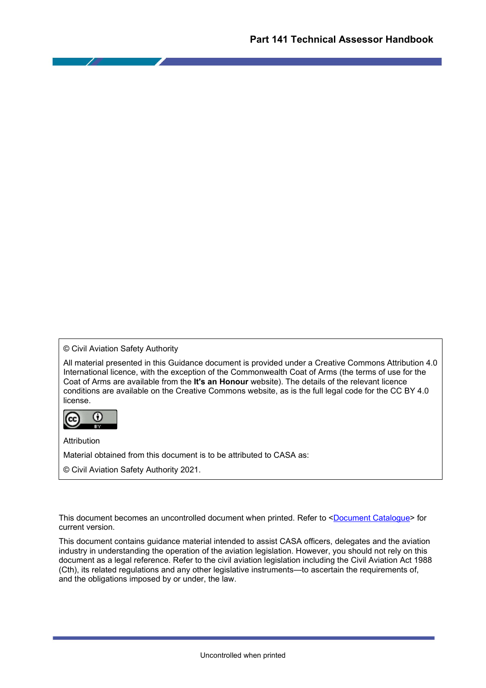© Civil Aviation Safety Authority

All material presented in this Guidance document is provided under a Creative Commons Attribution 4.0 International licence, with the exception of the Commonwealth Coat of Arms (the terms of use for the Coat of Arms are available from the **It's an Honour** website). The details of the relevant licence conditions are available on the Creative Commons website, as is the full legal code for the CC BY 4.0 license.



Attribution

Material obtained from this document is to be attributed to CASA as:

© Civil Aviation Safety Authority 2021.

This document becomes an uncontrolled document when printed. Refer to [<Document Catalogue>](https://casaau.sharepoint.com/sites/document-catalogue/SitePages/DocumentCatalogue.aspx#/document/CASA-03-0024) for current version.

This document contains guidance material intended to assist CASA officers, delegates and the aviation industry in understanding the operation of the aviation legislation. However, you should not rely on this document as a legal reference. Refer to the civil aviation legislation including the Civil Aviation Act 1988 (Cth), its related regulations and any other legislative instruments—to ascertain the requirements of, and the obligations imposed by or under, the law.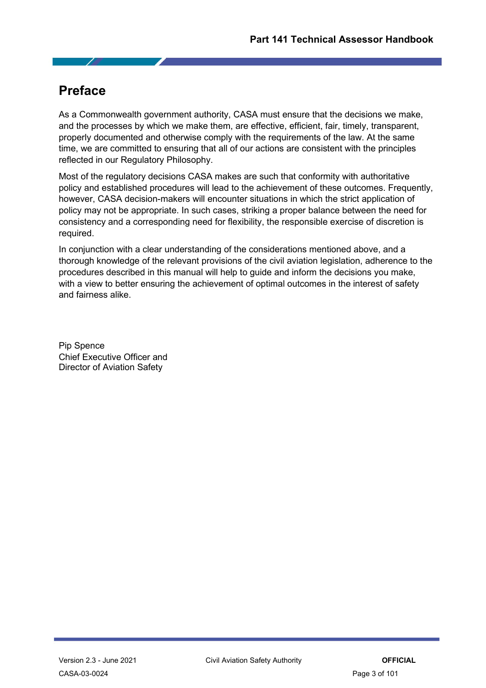# <span id="page-2-0"></span>**Preface**

As a Commonwealth government authority, CASA must ensure that the decisions we make, and the processes by which we make them, are effective, efficient, fair, timely, transparent, properly documented and otherwise comply with the requirements of the law. At the same time, we are committed to ensuring that all of our actions are consistent with the principles reflected in our Regulatory Philosophy.

Most of the regulatory decisions CASA makes are such that conformity with authoritative policy and established procedures will lead to the achievement of these outcomes. Frequently, however, CASA decision-makers will encounter situations in which the strict application of policy may not be appropriate. In such cases, striking a proper balance between the need for consistency and a corresponding need for flexibility, the responsible exercise of discretion is required.

In conjunction with a clear understanding of the considerations mentioned above, and a thorough knowledge of the relevant provisions of the civil aviation legislation, adherence to the procedures described in this manual will help to guide and inform the decisions you make, with a view to better ensuring the achievement of optimal outcomes in the interest of safety and fairness alike.

Pip Spence Chief Executive Officer and Director of Aviation Safety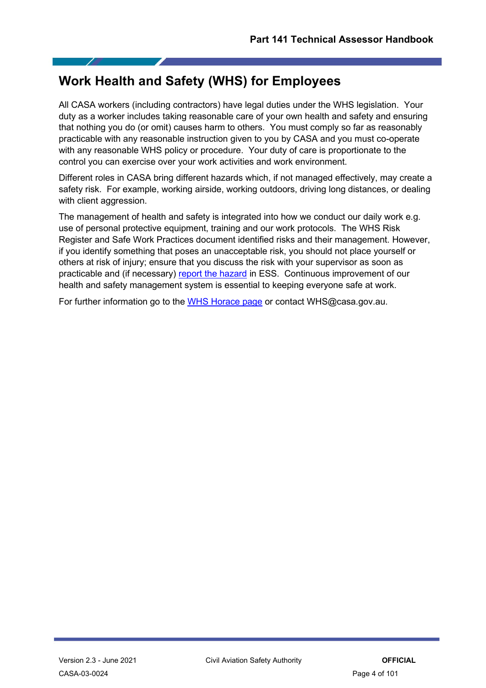# <span id="page-3-0"></span>**Work Health and Safety (WHS) for Employees**

All CASA workers (including contractors) have legal duties under the WHS legislation. Your duty as a worker includes taking reasonable care of your own health and safety and ensuring that nothing you do (or omit) causes harm to others. You must comply so far as reasonably practicable with any reasonable instruction given to you by CASA and you must co-operate with any reasonable WHS policy or procedure. Your duty of care is proportionate to the control you can exercise over your work activities and work environment.

Different roles in CASA bring different hazards which, if not managed effectively, may create a safety risk. For example, working airside, working outdoors, driving long distances, or dealing with client aggression.

The management of health and safety is integrated into how we conduct our daily work e.g. use of personal protective equipment, training and our work protocols. The WHS Risk Register and Safe Work Practices document identified risks and their management. However, if you identify something that poses an unacceptable risk, you should not place yourself or others at risk of injury; ensure that you discuss the risk with your supervisor as soon as practicable and (if necessary) [report the hazard](http://horace.casa.local/How-to/work-health-and-safety/Pages/incident-and-hazard-reporting.aspx) in ESS. Continuous improvement of our health and safety management system is essential to keeping everyone safe at work.

For further information go to the [WHS Horace page](http://horace.casa.local/how-to/work-health-and-safety/Pages/default.aspx) or contact WHS@casa.gov.au.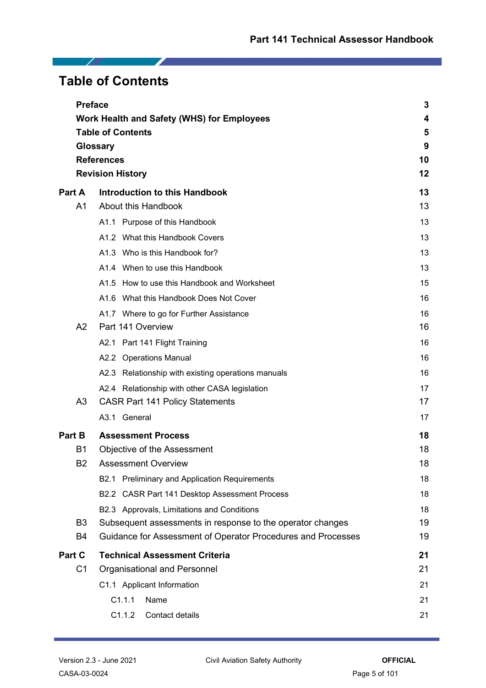# <span id="page-4-0"></span>**Table of Contents**

Z.

|                                              | <b>Preface</b>                                                      | 3  |
|----------------------------------------------|---------------------------------------------------------------------|----|
|                                              | Work Health and Safety (WHS) for Employees                          | 4  |
|                                              | <b>Table of Contents</b>                                            | 5  |
|                                              | <b>Glossary</b>                                                     | 9  |
|                                              | <b>References</b>                                                   | 10 |
|                                              | <b>Revision History</b>                                             | 12 |
| Part A                                       | <b>Introduction to this Handbook</b>                                | 13 |
| A1                                           | About this Handbook                                                 | 13 |
|                                              | A1.1 Purpose of this Handbook                                       | 13 |
|                                              | A1.2 What this Handbook Covers                                      | 13 |
|                                              | A1.3 Who is this Handbook for?                                      | 13 |
|                                              | A1.4 When to use this Handbook                                      | 13 |
|                                              | A1.5 How to use this Handbook and Worksheet                         | 15 |
|                                              | A1.6 What this Handbook Does Not Cover                              | 16 |
|                                              | A1.7 Where to go for Further Assistance                             | 16 |
| A2                                           | Part 141 Overview                                                   | 16 |
|                                              | Part 141 Flight Training<br>A2.1                                    | 16 |
|                                              | A2.2 Operations Manual                                              | 16 |
|                                              | A2.3 Relationship with existing operations manuals                  | 16 |
|                                              | A2.4 Relationship with other CASA legislation                       | 17 |
| A <sub>3</sub>                               | <b>CASR Part 141 Policy Statements</b>                              | 17 |
|                                              | A3.1 General                                                        | 17 |
| <b>Part B</b>                                | <b>Assessment Process</b>                                           | 18 |
| B1                                           | Objective of the Assessment                                         |    |
| B <sub>2</sub><br><b>Assessment Overview</b> |                                                                     | 18 |
|                                              | <b>Preliminary and Application Requirements</b><br>B <sub>2.1</sub> | 18 |
|                                              | B2.2 CASR Part 141 Desktop Assessment Process                       | 18 |
|                                              | B2.3 Approvals, Limitations and Conditions                          | 18 |
| B <sub>3</sub>                               | Subsequent assessments in response to the operator changes          | 19 |
| B4                                           | Guidance for Assessment of Operator Procedures and Processes        | 19 |
| Part C                                       | <b>Technical Assessment Criteria</b>                                | 21 |
| C <sub>1</sub>                               | Organisational and Personnel                                        | 21 |
|                                              | C1.1 Applicant Information                                          | 21 |
|                                              | C1.1.1<br>Name                                                      | 21 |
|                                              | C1.1.2<br>Contact details                                           | 21 |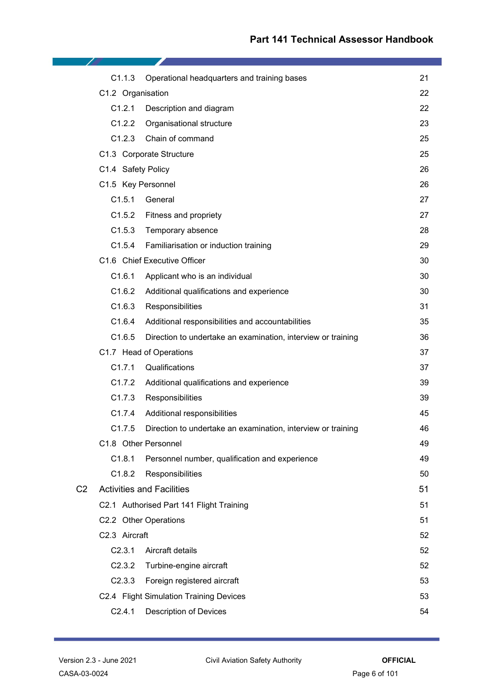|                | C1.1.3             | Operational headquarters and training bases                  | 21 |
|----------------|--------------------|--------------------------------------------------------------|----|
|                | C1.2 Organisation  |                                                              | 22 |
|                | C1.2.1             | Description and diagram                                      | 22 |
|                | C1.2.2             | Organisational structure                                     | 23 |
|                | C1.2.3             | Chain of command                                             | 25 |
|                |                    | C1.3 Corporate Structure                                     | 25 |
|                | C1.4 Safety Policy |                                                              | 26 |
|                | C1.5 Key Personnel |                                                              | 26 |
|                | C1.5.1             | General                                                      | 27 |
|                |                    | C1.5.2 Fitness and propriety                                 | 27 |
|                | C1.5.3             | Temporary absence                                            | 28 |
|                | C1.5.4             | Familiarisation or induction training                        | 29 |
|                |                    | C1.6 Chief Executive Officer                                 | 30 |
|                | C1.6.1             | Applicant who is an individual                               | 30 |
|                | C1.6.2             | Additional qualifications and experience                     | 30 |
|                | C1.6.3             | Responsibilities                                             | 31 |
|                | C1.6.4             | Additional responsibilities and accountabilities             | 35 |
|                | C1.6.5             | Direction to undertake an examination, interview or training | 36 |
|                |                    | C1.7 Head of Operations                                      | 37 |
|                | C1.7.1             | Qualifications                                               | 37 |
|                | C1.7.2             | Additional qualifications and experience                     | 39 |
|                | C1.7.3             | Responsibilities                                             | 39 |
|                | C1.7.4             | Additional responsibilities                                  | 45 |
|                | C1.7.5             | Direction to undertake an examination, interview or training | 46 |
|                |                    | C1.8 Other Personnel                                         | 49 |
|                | C1.8.1             | Personnel number, qualification and experience               | 49 |
|                | C1.8.2             | Responsibilities                                             | 50 |
| C <sub>2</sub> |                    | <b>Activities and Facilities</b>                             | 51 |
|                |                    | C2.1 Authorised Part 141 Flight Training                     | 51 |
|                |                    | C2.2 Other Operations                                        | 51 |
|                | C2.3 Aircraft      |                                                              | 52 |
|                | C2.3.1             | Aircraft details                                             | 52 |
|                | C2.3.2             | Turbine-engine aircraft                                      | 52 |
|                | C2.3.3             | Foreign registered aircraft                                  | 53 |
|                |                    | C2.4 Flight Simulation Training Devices                      | 53 |
|                | C2.4.1             | <b>Description of Devices</b>                                | 54 |

<u>and the second property</u>

 $\mathcal{L}$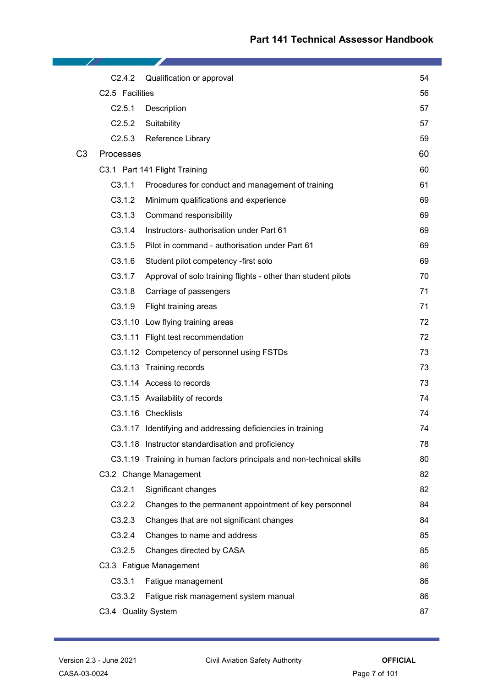|                | C2.4.2              | Qualification or approval                                             | 54 |
|----------------|---------------------|-----------------------------------------------------------------------|----|
|                | C2.5 Facilities     |                                                                       | 56 |
|                | C2.5.1              | Description                                                           | 57 |
|                | C2.5.2              | Suitability                                                           | 57 |
|                | C2.5.3              | Reference Library                                                     | 59 |
| C <sub>3</sub> | <b>Processes</b>    |                                                                       | 60 |
|                |                     | C3.1 Part 141 Flight Training                                         | 60 |
|                | C3.1.1              | Procedures for conduct and management of training                     | 61 |
|                | C3.1.2              | Minimum qualifications and experience                                 | 69 |
|                | C3.1.3              | Command responsibility                                                | 69 |
|                | C3.1.4              | Instructors- authorisation under Part 61                              | 69 |
|                | C3.1.5              | Pilot in command - authorisation under Part 61                        | 69 |
|                | C3.1.6              | Student pilot competency -first solo                                  | 69 |
|                | C3.1.7              | Approval of solo training flights - other than student pilots         | 70 |
|                | C3.1.8              | Carriage of passengers                                                | 71 |
|                | C3.1.9              | Flight training areas                                                 | 71 |
|                |                     | C3.1.10 Low flying training areas                                     | 72 |
|                |                     | C3.1.11 Flight test recommendation                                    | 72 |
|                |                     | C3.1.12 Competency of personnel using FSTDs                           | 73 |
|                |                     | C3.1.13 Training records                                              | 73 |
|                |                     | C3.1.14 Access to records                                             | 73 |
|                |                     | C3.1.15 Availability of records                                       | 74 |
|                |                     | C3.1.16 Checklists                                                    | 74 |
|                |                     | C3.1.17 Identifying and addressing deficiencies in training           | 74 |
|                |                     | C3.1.18 Instructor standardisation and proficiency                    | 78 |
|                |                     | C3.1.19 Training in human factors principals and non-technical skills | 80 |
|                |                     | C3.2 Change Management                                                | 82 |
|                | C3.2.1              | Significant changes                                                   | 82 |
|                | C3.2.2              | Changes to the permanent appointment of key personnel                 | 84 |
|                | C3.2.3              | Changes that are not significant changes                              | 84 |
|                | C3.2.4              | Changes to name and address                                           | 85 |
|                | C3.2.5              | Changes directed by CASA                                              | 85 |
|                |                     | C3.3 Fatigue Management                                               | 86 |
|                | C3.3.1              | Fatigue management                                                    | 86 |
|                | C3.3.2              | Fatigue risk management system manual                                 | 86 |
|                | C3.4 Quality System |                                                                       | 87 |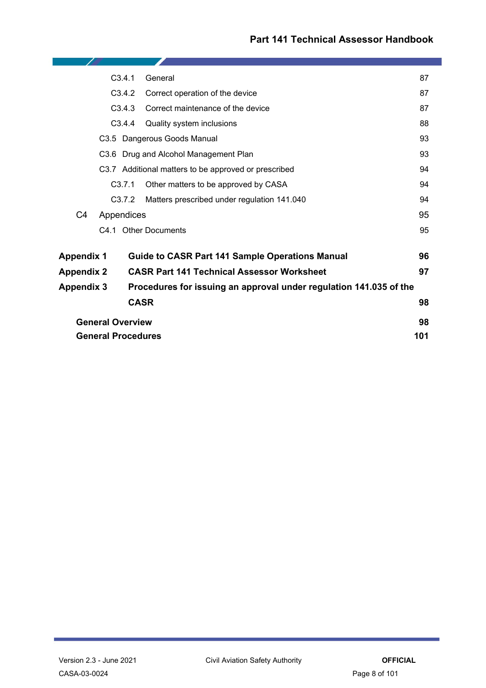| C3.4.1<br>General                                                                       |                                                       |                                                      | 87 |
|-----------------------------------------------------------------------------------------|-------------------------------------------------------|------------------------------------------------------|----|
| C3.4.2                                                                                  |                                                       | Correct operation of the device                      | 87 |
|                                                                                         | C3.4.3                                                | Correct maintenance of the device                    | 87 |
|                                                                                         | C3.4.4                                                | Quality system inclusions                            | 88 |
|                                                                                         | C3.5 Dangerous Goods Manual                           |                                                      | 93 |
|                                                                                         |                                                       | C3.6 Drug and Alcohol Management Plan                | 93 |
|                                                                                         |                                                       | C3.7 Additional matters to be approved or prescribed | 94 |
|                                                                                         | C3.7.1<br>Other matters to be approved by CASA        |                                                      | 94 |
|                                                                                         | C3.7.2<br>Matters prescribed under regulation 141.040 |                                                      | 94 |
| C <sub>4</sub>                                                                          | Appendices                                            |                                                      | 95 |
|                                                                                         |                                                       | C4.1 Other Documents                                 | 95 |
| <b>Guide to CASR Part 141 Sample Operations Manual</b><br><b>Appendix 1</b>             |                                                       | 96                                                   |    |
| <b>Appendix 2</b>                                                                       |                                                       | <b>CASR Part 141 Technical Assessor Worksheet</b>    | 97 |
| <b>Appendix 3</b><br>Procedures for issuing an approval under regulation 141.035 of the |                                                       |                                                      |    |
|                                                                                         |                                                       | <b>CASR</b>                                          | 98 |
|                                                                                         | <b>General Overview</b>                               |                                                      | 98 |
| <b>General Procedures</b>                                                               |                                                       | 101                                                  |    |

-2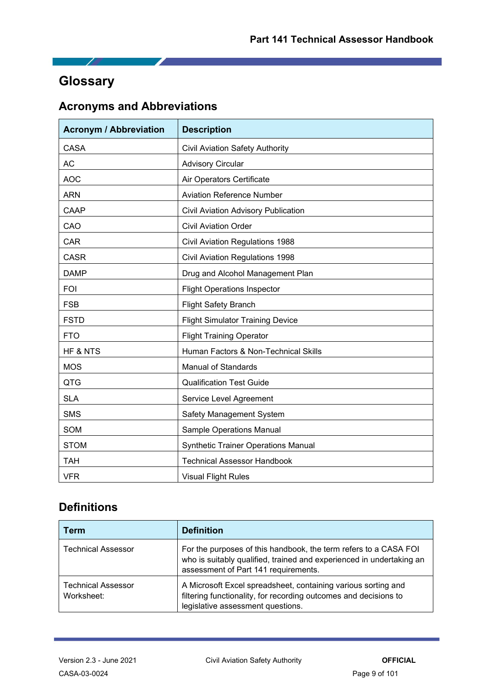# <span id="page-8-0"></span>**Glossary**

 $\overline{\phantom{a}}$ 

# **Acronyms and Abbreviations**

| <b>Acronym / Abbreviation</b>                 | <b>Description</b>                         |  |  |
|-----------------------------------------------|--------------------------------------------|--|--|
| <b>CASA</b>                                   | <b>Civil Aviation Safety Authority</b>     |  |  |
| <b>AC</b>                                     | <b>Advisory Circular</b>                   |  |  |
| <b>AOC</b>                                    | Air Operators Certificate                  |  |  |
| <b>ARN</b>                                    | <b>Aviation Reference Number</b>           |  |  |
| CAAP                                          | Civil Aviation Advisory Publication        |  |  |
| CAO                                           | <b>Civil Aviation Order</b>                |  |  |
| <b>CAR</b>                                    | <b>Civil Aviation Regulations 1988</b>     |  |  |
| <b>CASR</b>                                   | <b>Civil Aviation Regulations 1998</b>     |  |  |
| <b>DAMP</b>                                   | Drug and Alcohol Management Plan           |  |  |
| <b>FOI</b>                                    | <b>Flight Operations Inspector</b>         |  |  |
| <b>FSB</b>                                    | <b>Flight Safety Branch</b>                |  |  |
| <b>FSTD</b>                                   | <b>Flight Simulator Training Device</b>    |  |  |
| <b>FTO</b><br><b>Flight Training Operator</b> |                                            |  |  |
| HF & NTS                                      | Human Factors & Non-Technical Skills       |  |  |
| <b>MOS</b>                                    | <b>Manual of Standards</b>                 |  |  |
| QTG                                           | <b>Qualification Test Guide</b>            |  |  |
| <b>SLA</b>                                    | Service Level Agreement                    |  |  |
| <b>SMS</b>                                    | Safety Management System                   |  |  |
| SOM                                           | <b>Sample Operations Manual</b>            |  |  |
| <b>STOM</b>                                   | <b>Synthetic Trainer Operations Manual</b> |  |  |
| <b>TAH</b>                                    | <b>Technical Assessor Handbook</b>         |  |  |
| <b>VFR</b>                                    | <b>Visual Flight Rules</b>                 |  |  |

# **Definitions**

| Term                                    | <b>Definition</b>                                                                                                                                                                |  |
|-----------------------------------------|----------------------------------------------------------------------------------------------------------------------------------------------------------------------------------|--|
| <b>Technical Assessor</b>               | For the purposes of this handbook, the term refers to a CASA FOI<br>who is suitably qualified, trained and experienced in undertaking an<br>assessment of Part 141 requirements. |  |
| <b>Technical Assessor</b><br>Worksheet: | A Microsoft Excel spreadsheet, containing various sorting and<br>filtering functionality, for recording outcomes and decisions to<br>legislative assessment questions.           |  |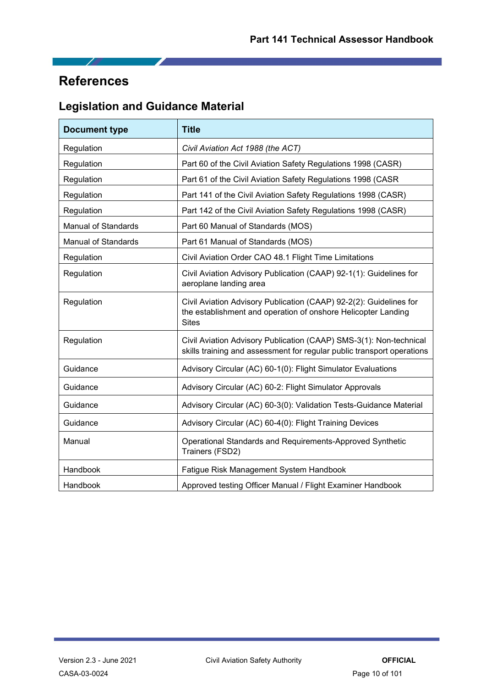# <span id="page-9-0"></span>**References**

 $\overline{\phantom{a}}$ 

# **Legislation and Guidance Material**

◢

| <b>Title</b><br><b>Document type</b>                                                   |                                                                                                                                                     |  |
|----------------------------------------------------------------------------------------|-----------------------------------------------------------------------------------------------------------------------------------------------------|--|
| Regulation                                                                             | Civil Aviation Act 1988 (the ACT)                                                                                                                   |  |
| Regulation                                                                             | Part 60 of the Civil Aviation Safety Regulations 1998 (CASR)                                                                                        |  |
| Regulation                                                                             | Part 61 of the Civil Aviation Safety Regulations 1998 (CASR                                                                                         |  |
| Regulation                                                                             | Part 141 of the Civil Aviation Safety Regulations 1998 (CASR)                                                                                       |  |
| Regulation                                                                             | Part 142 of the Civil Aviation Safety Regulations 1998 (CASR)                                                                                       |  |
| <b>Manual of Standards</b>                                                             | Part 60 Manual of Standards (MOS)                                                                                                                   |  |
| <b>Manual of Standards</b>                                                             | Part 61 Manual of Standards (MOS)                                                                                                                   |  |
| Regulation                                                                             | Civil Aviation Order CAO 48.1 Flight Time Limitations                                                                                               |  |
| Regulation                                                                             | Civil Aviation Advisory Publication (CAAP) 92-1(1): Guidelines for<br>aeroplane landing area                                                        |  |
| Regulation                                                                             | Civil Aviation Advisory Publication (CAAP) 92-2(2): Guidelines for<br>the establishment and operation of onshore Helicopter Landing<br><b>Sites</b> |  |
| Regulation                                                                             | Civil Aviation Advisory Publication (CAAP) SMS-3(1): Non-technical<br>skills training and assessment for regular public transport operations        |  |
| Guidance                                                                               | Advisory Circular (AC) 60-1(0): Flight Simulator Evaluations                                                                                        |  |
| Guidance                                                                               | Advisory Circular (AC) 60-2: Flight Simulator Approvals                                                                                             |  |
| Guidance                                                                               | Advisory Circular (AC) 60-3(0): Validation Tests-Guidance Material                                                                                  |  |
| Guidance                                                                               | Advisory Circular (AC) 60-4(0): Flight Training Devices                                                                                             |  |
| Operational Standards and Requirements-Approved Synthetic<br>Manual<br>Trainers (FSD2) |                                                                                                                                                     |  |
| Handbook                                                                               | Fatigue Risk Management System Handbook                                                                                                             |  |
| <b>Handbook</b><br>Approved testing Officer Manual / Flight Examiner Handbook          |                                                                                                                                                     |  |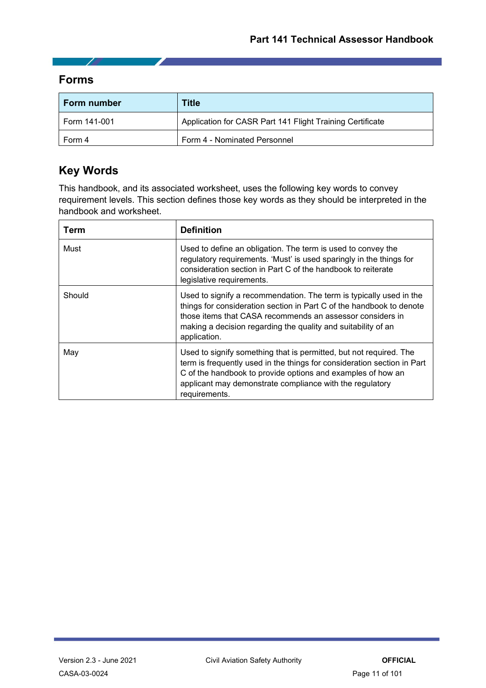**Forms**

- 1

| <b>Form number</b>                     | Title                                                     |
|----------------------------------------|-----------------------------------------------------------|
| Form 141-001                           | Application for CASR Part 141 Flight Training Certificate |
| Form 4 - Nominated Personnel<br>Form 4 |                                                           |

# **Key Words**

This handbook, and its associated worksheet, uses the following key words to convey requirement levels. This section defines those key words as they should be interpreted in the handbook and worksheet.

| Term   | <b>Definition</b>                                                                                                                                                                                                                                                                         |  |
|--------|-------------------------------------------------------------------------------------------------------------------------------------------------------------------------------------------------------------------------------------------------------------------------------------------|--|
| Must   | Used to define an obligation. The term is used to convey the<br>regulatory requirements. 'Must' is used sparingly in the things for<br>consideration section in Part C of the handbook to reiterate<br>legislative requirements.                                                          |  |
| Should | Used to signify a recommendation. The term is typically used in the<br>things for consideration section in Part C of the handbook to denote<br>those items that CASA recommends an assessor considers in<br>making a decision regarding the quality and suitability of an<br>application. |  |
| May    | Used to signify something that is permitted, but not required. The<br>term is frequently used in the things for consideration section in Part<br>C of the handbook to provide options and examples of how an<br>applicant may demonstrate compliance with the regulatory<br>requirements. |  |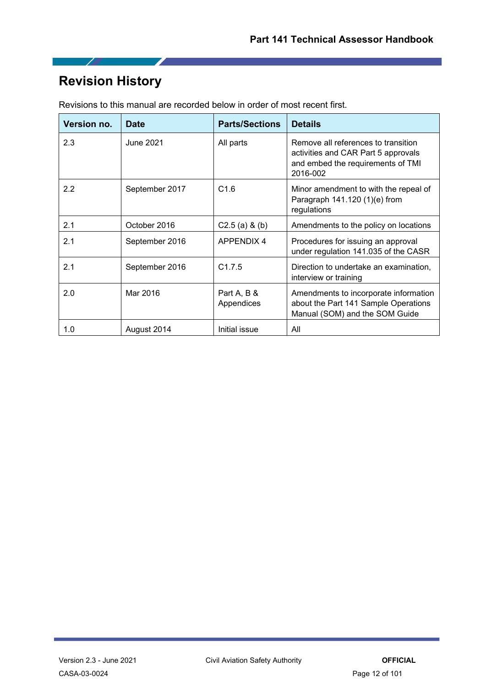# <span id="page-11-0"></span>**Revision History**

 $\overline{\phantom{a}}$ 

| Version no. | <b>Date</b>    | <b>Parts/Sections</b>     | <b>Details</b>                                                                                                              |
|-------------|----------------|---------------------------|-----------------------------------------------------------------------------------------------------------------------------|
| 2.3         | June 2021      | All parts                 | Remove all references to transition<br>activities and CAR Part 5 approvals<br>and embed the requirements of TMI<br>2016-002 |
| 2.2         | September 2017 | C1.6                      | Minor amendment to with the repeal of<br>Paragraph $141.120(1)(e)$ from<br>regulations                                      |
| 2.1         | October 2016   | $C2.5$ (a) & (b)          | Amendments to the policy on locations                                                                                       |
| 2.1         | September 2016 | <b>APPENDIX 4</b>         | Procedures for issuing an approval<br>under regulation 141.035 of the CASR                                                  |
| 2.1         | September 2016 | C1.7.5                    | Direction to undertake an examination,<br>interview or training                                                             |
| 2.0         | Mar 2016       | Part A, B &<br>Appendices | Amendments to incorporate information<br>about the Part 141 Sample Operations<br>Manual (SOM) and the SOM Guide             |
| 1.0         | August 2014    | Initial issue             | All                                                                                                                         |

Revisions to this manual are recorded below in order of most recent first.

◢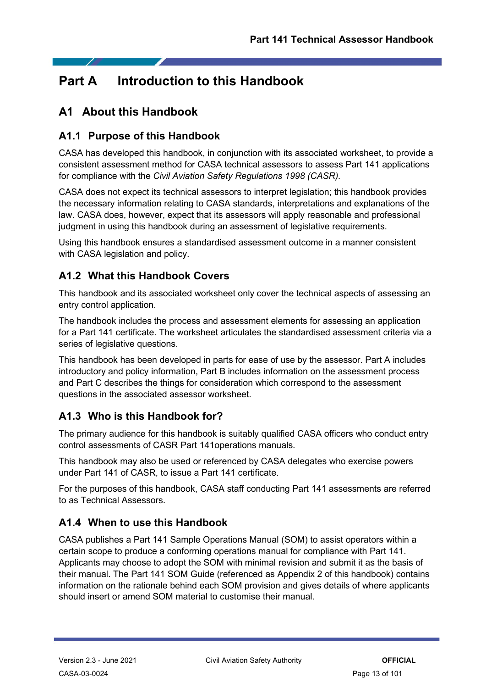# <span id="page-12-0"></span>**Part A Introduction to this Handbook**

# <span id="page-12-1"></span>**A1 About this Handbook**

### <span id="page-12-2"></span>**A1.1 Purpose of this Handbook**

CASA has developed this handbook, in conjunction with its associated worksheet, to provide a consistent assessment method for CASA technical assessors to assess Part 141 applications for compliance with the *Civil Aviation Safety Regulations 1998 (CASR).*

CASA does not expect its technical assessors to interpret legislation; this handbook provides the necessary information relating to CASA standards, interpretations and explanations of the law. CASA does, however, expect that its assessors will apply reasonable and professional judgment in using this handbook during an assessment of legislative requirements.

Using this handbook ensures a standardised assessment outcome in a manner consistent with CASA legislation and policy.

# <span id="page-12-3"></span>**A1.2 What this Handbook Covers**

This handbook and its associated worksheet only cover the technical aspects of assessing an entry control application.

The handbook includes the process and assessment elements for assessing an application for a Part 141 certificate. The worksheet articulates the standardised assessment criteria via a series of legislative questions.

This handbook has been developed in parts for ease of use by the assessor. Part A includes introductory and policy information, Part B includes information on the assessment process and Part C describes the things for consideration which correspond to the assessment questions in the associated assessor worksheet.

### <span id="page-12-4"></span>**A1.3 Who is this Handbook for?**

The primary audience for this handbook is suitably qualified CASA officers who conduct entry control assessments of CASR Part 141operations manuals.

This handbook may also be used or referenced by CASA delegates who exercise powers under Part 141 of CASR, to issue a Part 141 certificate.

For the purposes of this handbook, CASA staff conducting Part 141 assessments are referred to as Technical Assessors.

# <span id="page-12-5"></span>**A1.4 When to use this Handbook**

CASA publishes a Part 141 Sample Operations Manual (SOM) to assist operators within a certain scope to produce a conforming operations manual for compliance with Part 141. Applicants may choose to adopt the SOM with minimal revision and submit it as the basis of their manual. The Part 141 SOM Guide (referenced as Appendix 2 of this handbook) contains information on the rationale behind each SOM provision and gives details of where applicants should insert or amend SOM material to customise their manual.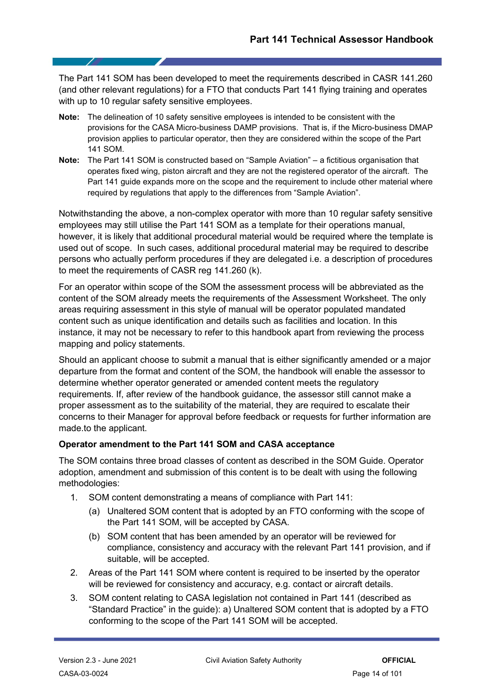The Part 141 SOM has been developed to meet the requirements described in CASR 141.260 (and other relevant regulations) for a FTO that conducts Part 141 flying training and operates with up to 10 regular safety sensitive employees.

- **Note:** The delineation of 10 safety sensitive employees is intended to be consistent with the provisions for the CASA Micro-business DAMP provisions. That is, if the Micro-business DMAP provision applies to particular operator, then they are considered within the scope of the Part 141 SOM.
- **Note:** The Part 141 SOM is constructed based on "Sample Aviation" a fictitious organisation that operates fixed wing, piston aircraft and they are not the registered operator of the aircraft. The Part 141 guide expands more on the scope and the requirement to include other material where required by regulations that apply to the differences from "Sample Aviation".

Notwithstanding the above, a non-complex operator with more than 10 regular safety sensitive employees may still utilise the Part 141 SOM as a template for their operations manual, however, it is likely that additional procedural material would be required where the template is used out of scope. In such cases, additional procedural material may be required to describe persons who actually perform procedures if they are delegated i.e. a description of procedures to meet the requirements of CASR reg 141.260 (k).

For an operator within scope of the SOM the assessment process will be abbreviated as the content of the SOM already meets the requirements of the Assessment Worksheet. The only areas requiring assessment in this style of manual will be operator populated mandated content such as unique identification and details such as facilities and location. In this instance, it may not be necessary to refer to this handbook apart from reviewing the process mapping and policy statements.

Should an applicant choose to submit a manual that is either significantly amended or a major departure from the format and content of the SOM, the handbook will enable the assessor to determine whether operator generated or amended content meets the regulatory requirements. If, after review of the handbook guidance, the assessor still cannot make a proper assessment as to the suitability of the material, they are required to escalate their concerns to their Manager for approval before feedback or requests for further information are made.to the applicant.

#### **Operator amendment to the Part 141 SOM and CASA acceptance**

The SOM contains three broad classes of content as described in the SOM Guide. Operator adoption, amendment and submission of this content is to be dealt with using the following methodologies:

- 1. SOM content demonstrating a means of compliance with Part 141:
	- (a) Unaltered SOM content that is adopted by an FTO conforming with the scope of the Part 141 SOM, will be accepted by CASA.
	- (b) SOM content that has been amended by an operator will be reviewed for compliance, consistency and accuracy with the relevant Part 141 provision, and if suitable, will be accepted.
- 2. Areas of the Part 141 SOM where content is required to be inserted by the operator will be reviewed for consistency and accuracy, e.g. contact or aircraft details.
- 3. SOM content relating to CASA legislation not contained in Part 141 (described as "Standard Practice" in the guide): a) Unaltered SOM content that is adopted by a FTO conforming to the scope of the Part 141 SOM will be accepted.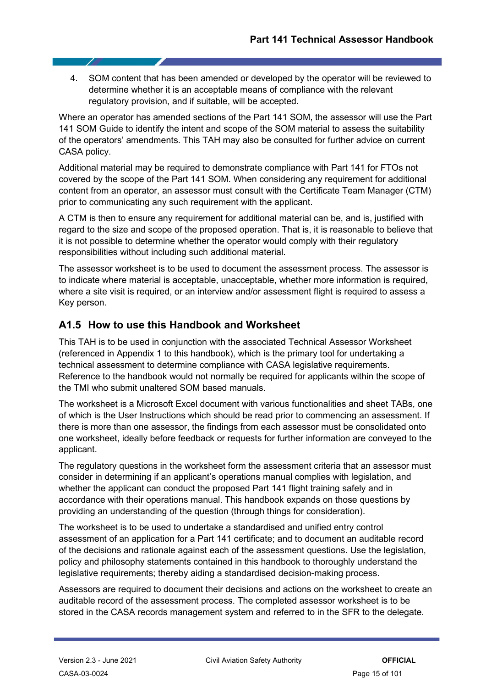4. SOM content that has been amended or developed by the operator will be reviewed to determine whether it is an acceptable means of compliance with the relevant regulatory provision, and if suitable, will be accepted.

Where an operator has amended sections of the Part 141 SOM, the assessor will use the Part 141 SOM Guide to identify the intent and scope of the SOM material to assess the suitability of the operators' amendments. This TAH may also be consulted for further advice on current CASA policy.

Additional material may be required to demonstrate compliance with Part 141 for FTOs not covered by the scope of the Part 141 SOM. When considering any requirement for additional content from an operator, an assessor must consult with the Certificate Team Manager (CTM) prior to communicating any such requirement with the applicant.

A CTM is then to ensure any requirement for additional material can be, and is, justified with regard to the size and scope of the proposed operation. That is, it is reasonable to believe that it is not possible to determine whether the operator would comply with their regulatory responsibilities without including such additional material.

The assessor worksheet is to be used to document the assessment process. The assessor is to indicate where material is acceptable, unacceptable, whether more information is required, where a site visit is required, or an interview and/or assessment flight is required to assess a Key person.

### <span id="page-14-0"></span>**A1.5 How to use this Handbook and Worksheet**

This TAH is to be used in conjunction with the associated Technical Assessor Worksheet (referenced in Appendix 1 to this handbook), which is the primary tool for undertaking a technical assessment to determine compliance with CASA legislative requirements. Reference to the handbook would not normally be required for applicants within the scope of the TMI who submit unaltered SOM based manuals.

The worksheet is a Microsoft Excel document with various functionalities and sheet TABs, one of which is the User Instructions which should be read prior to commencing an assessment. If there is more than one assessor, the findings from each assessor must be consolidated onto one worksheet, ideally before feedback or requests for further information are conveyed to the applicant.

The regulatory questions in the worksheet form the assessment criteria that an assessor must consider in determining if an applicant's operations manual complies with legislation, and whether the applicant can conduct the proposed Part 141 flight training safely and in accordance with their operations manual. This handbook expands on those questions by providing an understanding of the question (through things for consideration).

The worksheet is to be used to undertake a standardised and unified entry control assessment of an application for a Part 141 certificate; and to document an auditable record of the decisions and rationale against each of the assessment questions. Use the legislation, policy and philosophy statements contained in this handbook to thoroughly understand the legislative requirements; thereby aiding a standardised decision-making process.

Assessors are required to document their decisions and actions on the worksheet to create an auditable record of the assessment process. The completed assessor worksheet is to be stored in the CASA records management system and referred to in the SFR to the delegate.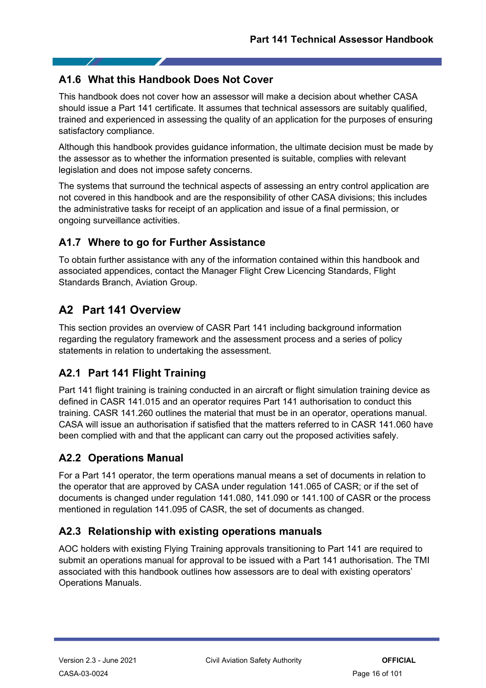## <span id="page-15-0"></span>**A1.6 What this Handbook Does Not Cover**

This handbook does not cover how an assessor will make a decision about whether CASA should issue a Part 141 certificate. It assumes that technical assessors are suitably qualified, trained and experienced in assessing the quality of an application for the purposes of ensuring satisfactory compliance.

Although this handbook provides guidance information, the ultimate decision must be made by the assessor as to whether the information presented is suitable, complies with relevant legislation and does not impose safety concerns.

The systems that surround the technical aspects of assessing an entry control application are not covered in this handbook and are the responsibility of other CASA divisions; this includes the administrative tasks for receipt of an application and issue of a final permission, or ongoing surveillance activities.

# <span id="page-15-1"></span>**A1.7 Where to go for Further Assistance**

To obtain further assistance with any of the information contained within this handbook and associated appendices, contact the Manager Flight Crew Licencing Standards, Flight Standards Branch, Aviation Group.

# <span id="page-15-2"></span>**A2 Part 141 Overview**

This section provides an overview of CASR Part 141 including background information regarding the regulatory framework and the assessment process and a series of policy statements in relation to undertaking the assessment.

# <span id="page-15-3"></span>**A2.1 Part 141 Flight Training**

Part 141 flight training is training conducted in an aircraft or flight simulation training device as defined in CASR 141.015 and an operator requires Part 141 authorisation to conduct this training. CASR 141.260 outlines the material that must be in an operator, operations manual. CASA will issue an authorisation if satisfied that the matters referred to in CASR 141.060 have been complied with and that the applicant can carry out the proposed activities safely.

# <span id="page-15-4"></span>**A2.2 Operations Manual**

For a Part 141 operator, the term operations manual means a set of documents in relation to the operator that are approved by CASA under regulation 141.065 of CASR; or if the set of documents is changed under regulation 141.080, 141.090 or 141.100 of CASR or the process mentioned in regulation 141.095 of CASR, the set of documents as changed.

# <span id="page-15-5"></span>**A2.3 Relationship with existing operations manuals**

AOC holders with existing Flying Training approvals transitioning to Part 141 are required to submit an operations manual for approval to be issued with a Part 141 authorisation. The TMI associated with this handbook outlines how assessors are to deal with existing operators' Operations Manuals.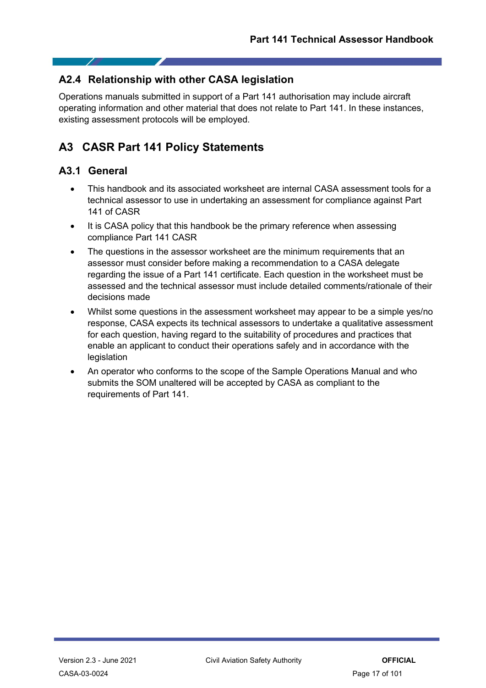### <span id="page-16-0"></span>**A2.4 Relationship with other CASA legislation**

Operations manuals submitted in support of a Part 141 authorisation may include aircraft operating information and other material that does not relate to Part 141. In these instances, existing assessment protocols will be employed.

# <span id="page-16-1"></span>**A3 CASR Part 141 Policy Statements**

### <span id="page-16-2"></span>**A3.1 General**

- This handbook and its associated worksheet are internal CASA assessment tools for a technical assessor to use in undertaking an assessment for compliance against Part 141 of CASR
- It is CASA policy that this handbook be the primary reference when assessing compliance Part 141 CASR
- The questions in the assessor worksheet are the minimum requirements that an assessor must consider before making a recommendation to a CASA delegate regarding the issue of a Part 141 certificate. Each question in the worksheet must be assessed and the technical assessor must include detailed comments/rationale of their decisions made
- Whilst some questions in the assessment worksheet may appear to be a simple yes/no response, CASA expects its technical assessors to undertake a qualitative assessment for each question, having regard to the suitability of procedures and practices that enable an applicant to conduct their operations safely and in accordance with the legislation
- An operator who conforms to the scope of the Sample Operations Manual and who submits the SOM unaltered will be accepted by CASA as compliant to the requirements of Part 141.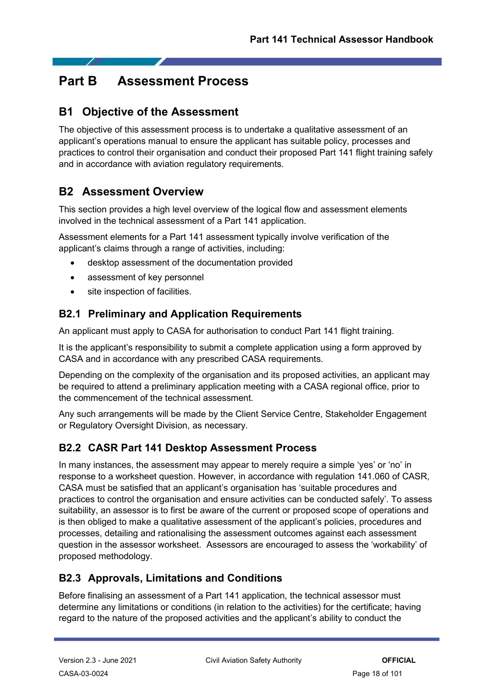# <span id="page-17-0"></span>**Part B Assessment Process**

# <span id="page-17-1"></span>**B1 Objective of the Assessment**

The objective of this assessment process is to undertake a qualitative assessment of an applicant's operations manual to ensure the applicant has suitable policy, processes and practices to control their organisation and conduct their proposed Part 141 flight training safely and in accordance with aviation regulatory requirements.

# <span id="page-17-2"></span>**B2 Assessment Overview**

This section provides a high level overview of the logical flow and assessment elements involved in the technical assessment of a Part 141 application.

Assessment elements for a Part 141 assessment typically involve verification of the applicant's claims through a range of activities, including:

- desktop assessment of the documentation provided
- assessment of key personnel
- site inspection of facilities.

### <span id="page-17-3"></span>**B2.1 Preliminary and Application Requirements**

An applicant must apply to CASA for authorisation to conduct Part 141 flight training.

It is the applicant's responsibility to submit a complete application using a form approved by CASA and in accordance with any prescribed CASA requirements.

Depending on the complexity of the organisation and its proposed activities, an applicant may be required to attend a preliminary application meeting with a CASA regional office, prior to the commencement of the technical assessment.

Any such arrangements will be made by the Client Service Centre, Stakeholder Engagement or Regulatory Oversight Division, as necessary.

### <span id="page-17-4"></span>**B2.2 CASR Part 141 Desktop Assessment Process**

In many instances, the assessment may appear to merely require a simple 'yes' or 'no' in response to a worksheet question. However, in accordance with regulation 141.060 of CASR, CASA must be satisfied that an applicant's organisation has 'suitable procedures and practices to control the organisation and ensure activities can be conducted safely'. To assess suitability, an assessor is to first be aware of the current or proposed scope of operations and is then obliged to make a qualitative assessment of the applicant's policies, procedures and processes, detailing and rationalising the assessment outcomes against each assessment question in the assessor worksheet. Assessors are encouraged to assess the 'workability' of proposed methodology.

# <span id="page-17-5"></span>**B2.3 Approvals, Limitations and Conditions**

Before finalising an assessment of a Part 141 application, the technical assessor must determine any limitations or conditions (in relation to the activities) for the certificate; having regard to the nature of the proposed activities and the applicant's ability to conduct the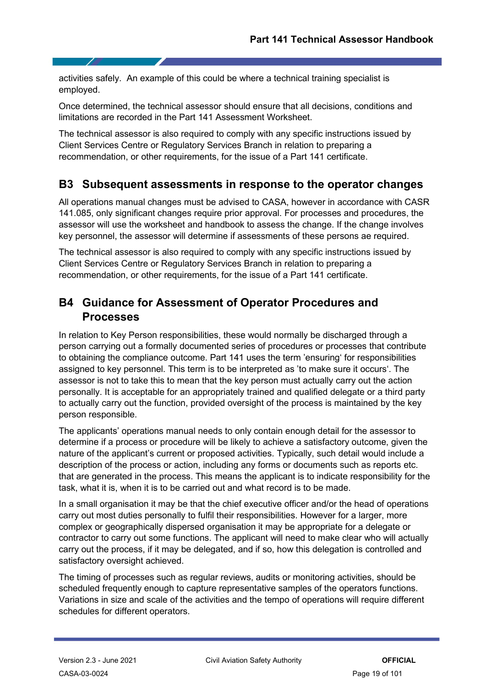activities safely. An example of this could be where a technical training specialist is employed.

Once determined, the technical assessor should ensure that all decisions, conditions and limitations are recorded in the Part 141 Assessment Worksheet.

The technical assessor is also required to comply with any specific instructions issued by Client Services Centre or Regulatory Services Branch in relation to preparing a recommendation, or other requirements, for the issue of a Part 141 certificate.

# <span id="page-18-0"></span>**B3 Subsequent assessments in response to the operator changes**

All operations manual changes must be advised to CASA, however in accordance with CASR 141.085, only significant changes require prior approval. For processes and procedures, the assessor will use the worksheet and handbook to assess the change. If the change involves key personnel, the assessor will determine if assessments of these persons ae required.

The technical assessor is also required to comply with any specific instructions issued by Client Services Centre or Regulatory Services Branch in relation to preparing a recommendation, or other requirements, for the issue of a Part 141 certificate.

# <span id="page-18-1"></span>**B4 Guidance for Assessment of Operator Procedures and Processes**

In relation to Key Person responsibilities, these would normally be discharged through a person carrying out a formally documented series of procedures or processes that contribute to obtaining the compliance outcome. Part 141 uses the term 'ensuring' for responsibilities assigned to key personnel. This term is to be interpreted as 'to make sure it occurs'. The assessor is not to take this to mean that the key person must actually carry out the action personally. It is acceptable for an appropriately trained and qualified delegate or a third party to actually carry out the function, provided oversight of the process is maintained by the key person responsible.

The applicants' operations manual needs to only contain enough detail for the assessor to determine if a process or procedure will be likely to achieve a satisfactory outcome, given the nature of the applicant's current or proposed activities. Typically, such detail would include a description of the process or action, including any forms or documents such as reports etc. that are generated in the process. This means the applicant is to indicate responsibility for the task, what it is, when it is to be carried out and what record is to be made.

In a small organisation it may be that the chief executive officer and/or the head of operations carry out most duties personally to fulfil their responsibilities. However for a larger, more complex or geographically dispersed organisation it may be appropriate for a delegate or contractor to carry out some functions. The applicant will need to make clear who will actually carry out the process, if it may be delegated, and if so, how this delegation is controlled and satisfactory oversight achieved.

The timing of processes such as regular reviews, audits or monitoring activities, should be scheduled frequently enough to capture representative samples of the operators functions. Variations in size and scale of the activities and the tempo of operations will require different schedules for different operators.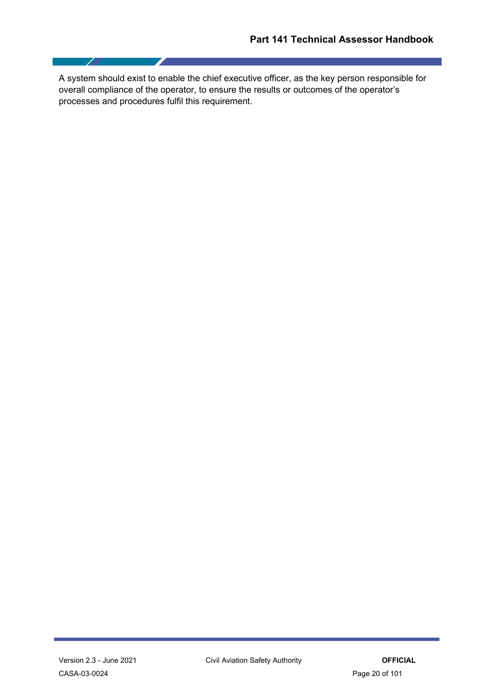A system should exist to enable the chief executive officer, as the key person responsible for overall compliance of the operator, to ensure the results or outcomes of the operator's processes and procedures fulfil this requirement.

 $\sqrt{2}$ 

I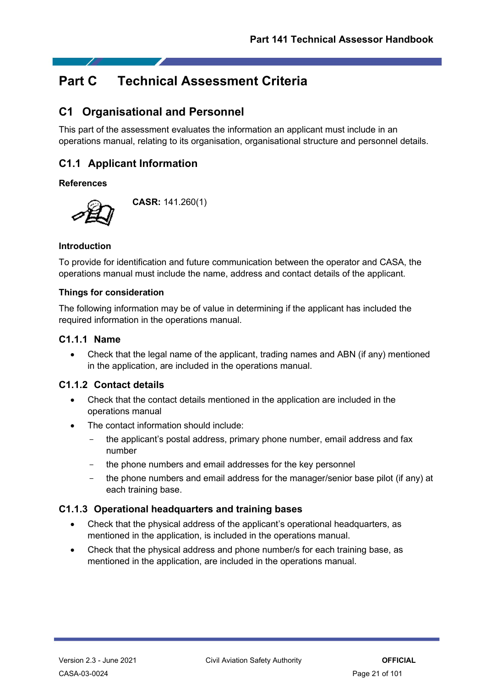# <span id="page-20-0"></span>**Part C Technical Assessment Criteria**

# <span id="page-20-1"></span>**C1 Organisational and Personnel**

This part of the assessment evaluates the information an applicant must include in an operations manual, relating to its organisation, organisational structure and personnel details.

# <span id="page-20-2"></span>**C1.1 Applicant Information**

#### **References**



**CASR:** 141.260(1)

#### **Introduction**

To provide for identification and future communication between the operator and CASA, the operations manual must include the name, address and contact details of the applicant.

#### **Things for consideration**

The following information may be of value in determining if the applicant has included the required information in the operations manual.

#### <span id="page-20-3"></span>**C1.1.1 Name**

• Check that the legal name of the applicant, trading names and ABN (if any) mentioned in the application, are included in the operations manual.

#### <span id="page-20-4"></span>**C1.1.2 Contact details**

- Check that the contact details mentioned in the application are included in the operations manual
- The contact information should include:
	- the applicant's postal address, primary phone number, email address and fax number
	- the phone numbers and email addresses for the key personnel
	- the phone numbers and email address for the manager/senior base pilot (if any) at each training base.

#### <span id="page-20-5"></span>**C1.1.3 Operational headquarters and training bases**

- Check that the physical address of the applicant's operational headquarters, as mentioned in the application, is included in the operations manual.
- Check that the physical address and phone number/s for each training base, as mentioned in the application, are included in the operations manual.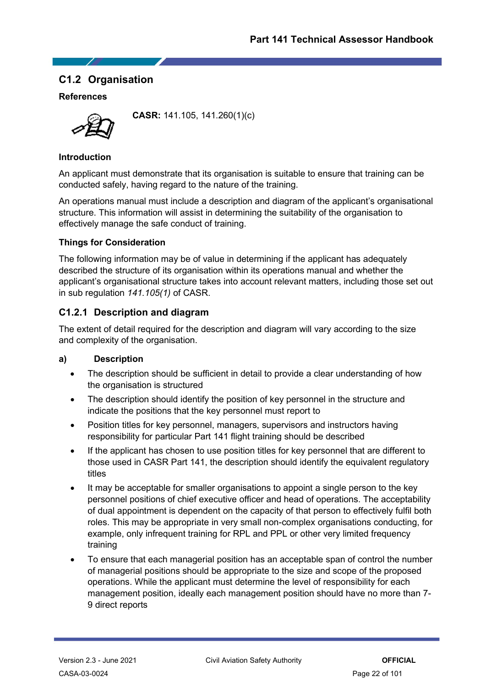### <span id="page-21-0"></span>**C1.2 Organisation**

#### **References**



**CASR:** 141.105, 141.260(1)(c)

#### **Introduction**

An applicant must demonstrate that its organisation is suitable to ensure that training can be conducted safely, having regard to the nature of the training.

An operations manual must include a description and diagram of the applicant's organisational structure. This information will assist in determining the suitability of the organisation to effectively manage the safe conduct of training.

#### **Things for Consideration**

The following information may be of value in determining if the applicant has adequately described the structure of its organisation within its operations manual and whether the applicant's organisational structure takes into account relevant matters, including those set out in sub regulation *141.105(1)* of CASR.

#### <span id="page-21-1"></span>**C1.2.1 Description and diagram**

The extent of detail required for the description and diagram will vary according to the size and complexity of the organisation.

#### **a) Description**

- The description should be sufficient in detail to provide a clear understanding of how the organisation is structured
- The description should identify the position of key personnel in the structure and indicate the positions that the key personnel must report to
- Position titles for key personnel, managers, supervisors and instructors having responsibility for particular Part 141 flight training should be described
- If the applicant has chosen to use position titles for key personnel that are different to those used in CASR Part 141, the description should identify the equivalent regulatory titles
- It may be acceptable for smaller organisations to appoint a single person to the key personnel positions of chief executive officer and head of operations. The acceptability of dual appointment is dependent on the capacity of that person to effectively fulfil both roles. This may be appropriate in very small non-complex organisations conducting, for example, only infrequent training for RPL and PPL or other very limited frequency training
- To ensure that each managerial position has an acceptable span of control the number of managerial positions should be appropriate to the size and scope of the proposed operations. While the applicant must determine the level of responsibility for each management position, ideally each management position should have no more than 7- 9 direct reports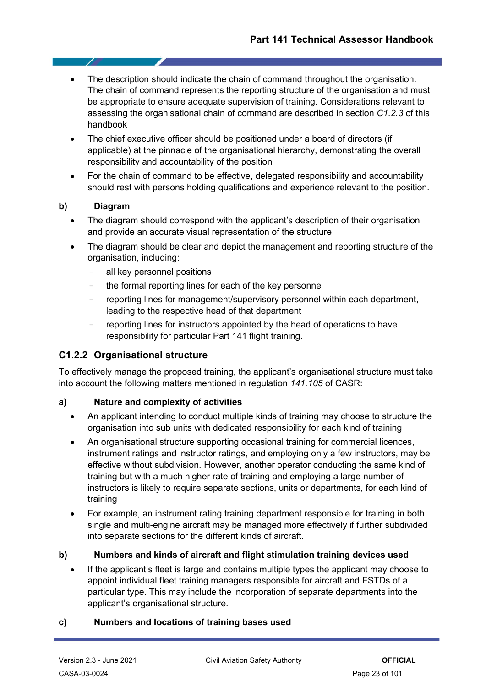- The description should indicate the chain of command throughout the organisation. The chain of command represents the reporting structure of the organisation and must be appropriate to ensure adequate supervision of training. Considerations relevant to assessing the organisational chain of command are described in section *C1.2.3* of this handbook
- The chief executive officer should be positioned under a board of directors (if applicable) at the pinnacle of the organisational hierarchy, demonstrating the overall responsibility and accountability of the position
- For the chain of command to be effective, delegated responsibility and accountability should rest with persons holding qualifications and experience relevant to the position.

#### **b) Diagram**

- The diagram should correspond with the applicant's description of their organisation and provide an accurate visual representation of the structure.
- The diagram should be clear and depict the management and reporting structure of the organisation, including:
	- all key personnel positions
	- the formal reporting lines for each of the key personnel
	- reporting lines for management/supervisory personnel within each department, leading to the respective head of that department
	- reporting lines for instructors appointed by the head of operations to have responsibility for particular Part 141 flight training.

#### <span id="page-22-0"></span>**C1.2.2 Organisational structure**

To effectively manage the proposed training, the applicant's organisational structure must take into account the following matters mentioned in regulation *141.105* of CASR:

#### **a) Nature and complexity of activities**

- An applicant intending to conduct multiple kinds of training may choose to structure the organisation into sub units with dedicated responsibility for each kind of training
- An organisational structure supporting occasional training for commercial licences, instrument ratings and instructor ratings, and employing only a few instructors, may be effective without subdivision. However, another operator conducting the same kind of training but with a much higher rate of training and employing a large number of instructors is likely to require separate sections, units or departments, for each kind of training
- For example, an instrument rating training department responsible for training in both single and multi-engine aircraft may be managed more effectively if further subdivided into separate sections for the different kinds of aircraft.

#### **b) Numbers and kinds of aircraft and flight stimulation training devices used**

• If the applicant's fleet is large and contains multiple types the applicant may choose to appoint individual fleet training managers responsible for aircraft and FSTDs of a particular type. This may include the incorporation of separate departments into the applicant's organisational structure.

#### **c) Numbers and locations of training bases used**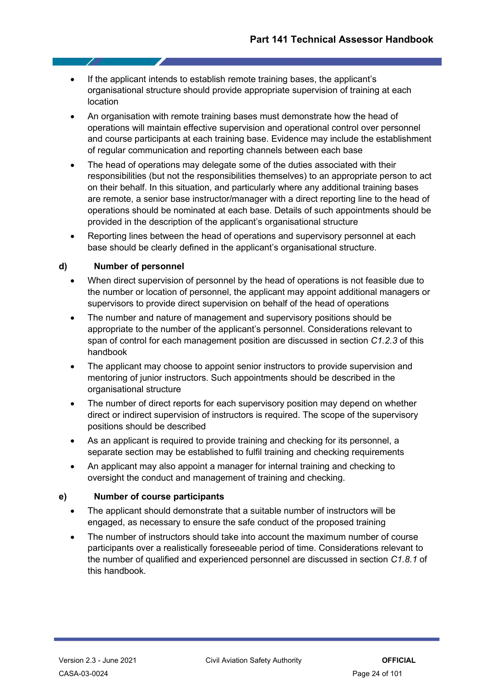- If the applicant intends to establish remote training bases, the applicant's organisational structure should provide appropriate supervision of training at each location
- An organisation with remote training bases must demonstrate how the head of operations will maintain effective supervision and operational control over personnel and course participants at each training base. Evidence may include the establishment of regular communication and reporting channels between each base
- The head of operations may delegate some of the duties associated with their responsibilities (but not the responsibilities themselves) to an appropriate person to act on their behalf. In this situation, and particularly where any additional training bases are remote, a senior base instructor/manager with a direct reporting line to the head of operations should be nominated at each base. Details of such appointments should be provided in the description of the applicant's organisational structure
- Reporting lines between the head of operations and supervisory personnel at each base should be clearly defined in the applicant's organisational structure.

#### **d) Number of personnel**

- When direct supervision of personnel by the head of operations is not feasible due to the number or location of personnel, the applicant may appoint additional managers or supervisors to provide direct supervision on behalf of the head of operations
- The number and nature of management and supervisory positions should be appropriate to the number of the applicant's personnel. Considerations relevant to span of control for each management position are discussed in section *C1.2.3* of this handbook
- The applicant may choose to appoint senior instructors to provide supervision and mentoring of junior instructors. Such appointments should be described in the organisational structure
- The number of direct reports for each supervisory position may depend on whether direct or indirect supervision of instructors is required. The scope of the supervisory positions should be described
- As an applicant is required to provide training and checking for its personnel, a separate section may be established to fulfil training and checking requirements
- An applicant may also appoint a manager for internal training and checking to oversight the conduct and management of training and checking.

#### **e) Number of course participants**

- The applicant should demonstrate that a suitable number of instructors will be engaged, as necessary to ensure the safe conduct of the proposed training
- The number of instructors should take into account the maximum number of course participants over a realistically foreseeable period of time. Considerations relevant to the number of qualified and experienced personnel are discussed in section *C1.8.1* of this handbook.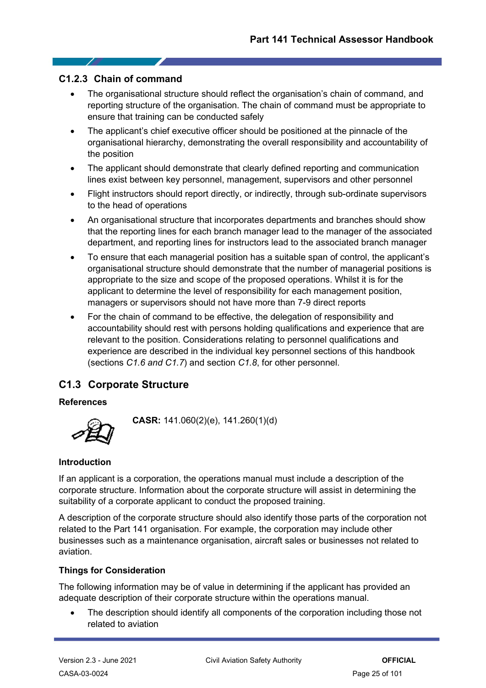#### <span id="page-24-0"></span>**C1.2.3 Chain of command**

- The organisational structure should reflect the organisation's chain of command, and reporting structure of the organisation. The chain of command must be appropriate to ensure that training can be conducted safely
- The applicant's chief executive officer should be positioned at the pinnacle of the organisational hierarchy, demonstrating the overall responsibility and accountability of the position
- The applicant should demonstrate that clearly defined reporting and communication lines exist between key personnel, management, supervisors and other personnel
- Flight instructors should report directly, or indirectly, through sub-ordinate supervisors to the head of operations
- An organisational structure that incorporates departments and branches should show that the reporting lines for each branch manager lead to the manager of the associated department, and reporting lines for instructors lead to the associated branch manager
- To ensure that each managerial position has a suitable span of control, the applicant's organisational structure should demonstrate that the number of managerial positions is appropriate to the size and scope of the proposed operations. Whilst it is for the applicant to determine the level of responsibility for each management position, managers or supervisors should not have more than 7-9 direct reports
- For the chain of command to be effective, the delegation of responsibility and accountability should rest with persons holding qualifications and experience that are relevant to the position. Considerations relating to personnel qualifications and experience are described in the individual key personnel sections of this handbook (sections *C1.6 and C1.7*) and section *C1.8*, for other personnel.

### <span id="page-24-1"></span>**C1.3 Corporate Structure**

#### **References**



**CASR:** 141.060(2)(e), 141.260(1)(d)

#### **Introduction**

If an applicant is a corporation, the operations manual must include a description of the corporate structure. Information about the corporate structure will assist in determining the suitability of a corporate applicant to conduct the proposed training.

A description of the corporate structure should also identify those parts of the corporation not related to the Part 141 organisation. For example, the corporation may include other businesses such as a maintenance organisation, aircraft sales or businesses not related to aviation.

#### **Things for Consideration**

The following information may be of value in determining if the applicant has provided an adequate description of their corporate structure within the operations manual.

The description should identify all components of the corporation including those not related to aviation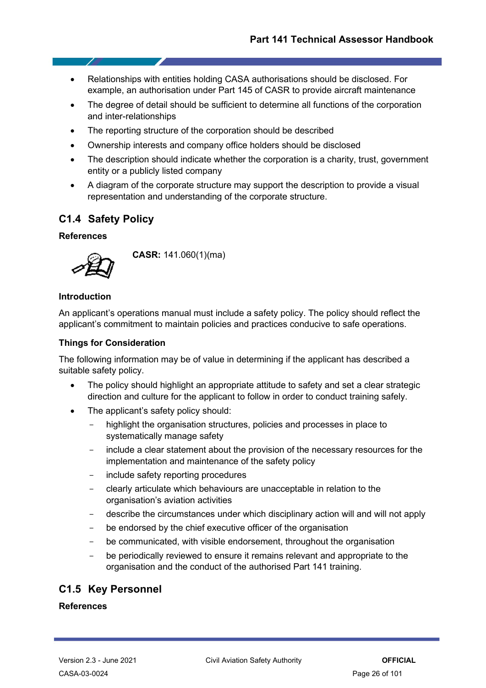- Relationships with entities holding CASA authorisations should be disclosed. For example, an authorisation under Part 145 of CASR to provide aircraft maintenance
- The degree of detail should be sufficient to determine all functions of the corporation and inter-relationships
- The reporting structure of the corporation should be described
- Ownership interests and company office holders should be disclosed
- The description should indicate whether the corporation is a charity, trust, government entity or a publicly listed company
- A diagram of the corporate structure may support the description to provide a visual representation and understanding of the corporate structure.

### <span id="page-25-0"></span>**C1.4 Safety Policy**

#### **References**

- 7



**CASR:** 141.060(1)(ma)

#### **Introduction**

An applicant's operations manual must include a safety policy. The policy should reflect the applicant's commitment to maintain policies and practices conducive to safe operations.

#### **Things for Consideration**

The following information may be of value in determining if the applicant has described a suitable safety policy.

- The policy should highlight an appropriate attitude to safety and set a clear strategic direction and culture for the applicant to follow in order to conduct training safely.
- The applicant's safety policy should:
	- highlight the organisation structures, policies and processes in place to systematically manage safety
	- include a clear statement about the provision of the necessary resources for the implementation and maintenance of the safety policy
	- include safety reporting procedures
	- clearly articulate which behaviours are unacceptable in relation to the organisation's aviation activities
	- describe the circumstances under which disciplinary action will and will not apply
	- be endorsed by the chief executive officer of the organisation
	- be communicated, with visible endorsement, throughout the organisation
	- be periodically reviewed to ensure it remains relevant and appropriate to the organisation and the conduct of the authorised Part 141 training.

### <span id="page-25-1"></span>**C1.5 Key Personnel**

#### **References**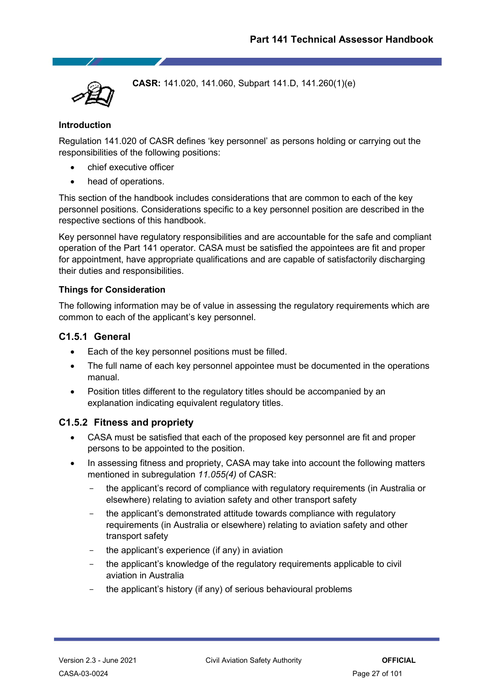**CASR:** 141.020, 141.060, Subpart 141.D, 141.260(1)(e)

#### **Introduction**

Regulation 141.020 of CASR defines 'key personnel' as persons holding or carrying out the responsibilities of the following positions:

- chief executive officer
- head of operations.

This section of the handbook includes considerations that are common to each of the key personnel positions. Considerations specific to a key personnel position are described in the respective sections of this handbook.

Key personnel have regulatory responsibilities and are accountable for the safe and compliant operation of the Part 141 operator. CASA must be satisfied the appointees are fit and proper for appointment, have appropriate qualifications and are capable of satisfactorily discharging their duties and responsibilities.

#### **Things for Consideration**

The following information may be of value in assessing the regulatory requirements which are common to each of the applicant's key personnel.

#### <span id="page-26-0"></span>**C1.5.1 General**

- Each of the key personnel positions must be filled.
- The full name of each key personnel appointee must be documented in the operations manual.
- Position titles different to the regulatory titles should be accompanied by an explanation indicating equivalent regulatory titles.

#### <span id="page-26-1"></span>**C1.5.2 Fitness and propriety**

- CASA must be satisfied that each of the proposed key personnel are fit and proper persons to be appointed to the position.
- In assessing fitness and propriety, CASA may take into account the following matters mentioned in subregulation *11.055(4)* of CASR:
	- the applicant's record of compliance with regulatory requirements (in Australia or elsewhere) relating to aviation safety and other transport safety
	- the applicant's demonstrated attitude towards compliance with regulatory requirements (in Australia or elsewhere) relating to aviation safety and other transport safety
	- the applicant's experience (if any) in aviation
	- the applicant's knowledge of the regulatory requirements applicable to civil aviation in Australia
	- the applicant's history (if any) of serious behavioural problems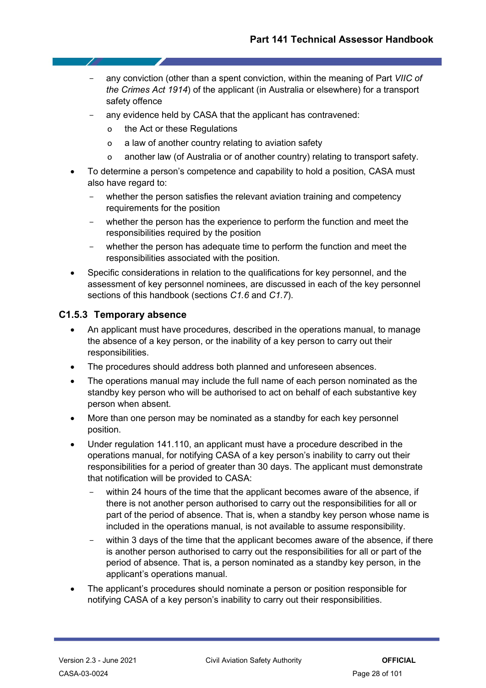- any conviction (other than a spent conviction, within the meaning of Part *VIIC of the Crimes Act 1914*) of the applicant (in Australia or elsewhere) for a transport safety offence
- any evidence held by CASA that the applicant has contravened:
	- o the Act or these Regulations
	- o a law of another country relating to aviation safety
	- o another law (of Australia or of another country) relating to transport safety.
- To determine a person's competence and capability to hold a position, CASA must also have regard to:
	- whether the person satisfies the relevant aviation training and competency requirements for the position
	- whether the person has the experience to perform the function and meet the responsibilities required by the position
	- whether the person has adequate time to perform the function and meet the responsibilities associated with the position.
- Specific considerations in relation to the qualifications for key personnel, and the assessment of key personnel nominees, are discussed in each of the key personnel sections of this handbook (sections *C1.6* and *C1.7*).

#### <span id="page-27-0"></span>**C1.5.3 Temporary absence**

- An applicant must have procedures, described in the operations manual, to manage the absence of a key person, or the inability of a key person to carry out their responsibilities.
- The procedures should address both planned and unforeseen absences.
- The operations manual may include the full name of each person nominated as the standby key person who will be authorised to act on behalf of each substantive key person when absent.
- More than one person may be nominated as a standby for each key personnel position.
- Under regulation 141.110, an applicant must have a procedure described in the operations manual, for notifying CASA of a key person's inability to carry out their responsibilities for a period of greater than 30 days. The applicant must demonstrate that notification will be provided to CASA:
	- within 24 hours of the time that the applicant becomes aware of the absence, if there is not another person authorised to carry out the responsibilities for all or part of the period of absence. That is, when a standby key person whose name is included in the operations manual, is not available to assume responsibility.
	- within 3 days of the time that the applicant becomes aware of the absence, if there is another person authorised to carry out the responsibilities for all or part of the period of absence. That is, a person nominated as a standby key person, in the applicant's operations manual.
- The applicant's procedures should nominate a person or position responsible for notifying CASA of a key person's inability to carry out their responsibilities.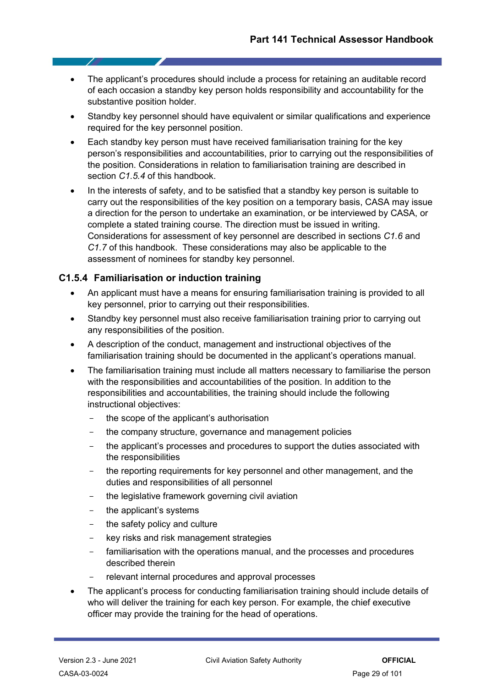- The applicant's procedures should include a process for retaining an auditable record of each occasion a standby key person holds responsibility and accountability for the substantive position holder.
- Standby key personnel should have equivalent or similar qualifications and experience required for the key personnel position.
- Each standby key person must have received familiarisation training for the key person's responsibilities and accountabilities, prior to carrying out the responsibilities of the position. Considerations in relation to familiarisation training are described in section *C1.5.4* of this handbook.
- In the interests of safety, and to be satisfied that a standby key person is suitable to carry out the responsibilities of the key position on a temporary basis, CASA may issue a direction for the person to undertake an examination, or be interviewed by CASA, or complete a stated training course. The direction must be issued in writing. Considerations for assessment of key personnel are described in sections *C1.6* and *C1.7* of this handbook. These considerations may also be applicable to the assessment of nominees for standby key personnel.

#### <span id="page-28-0"></span>**C1.5.4 Familiarisation or induction training**

- An applicant must have a means for ensuring familiarisation training is provided to all key personnel, prior to carrying out their responsibilities.
- Standby key personnel must also receive familiarisation training prior to carrying out any responsibilities of the position.
- A description of the conduct, management and instructional objectives of the familiarisation training should be documented in the applicant's operations manual.
- The familiarisation training must include all matters necessary to familiarise the person with the responsibilities and accountabilities of the position. In addition to the responsibilities and accountabilities, the training should include the following instructional objectives:
	- the scope of the applicant's authorisation
	- the company structure, governance and management policies
	- the applicant's processes and procedures to support the duties associated with the responsibilities
	- the reporting requirements for key personnel and other management, and the duties and responsibilities of all personnel
	- the legislative framework governing civil aviation
	- the applicant's systems
	- the safety policy and culture
	- key risks and risk management strategies
	- familiarisation with the operations manual, and the processes and procedures described therein
	- relevant internal procedures and approval processes
- The applicant's process for conducting familiarisation training should include details of who will deliver the training for each key person. For example, the chief executive officer may provide the training for the head of operations.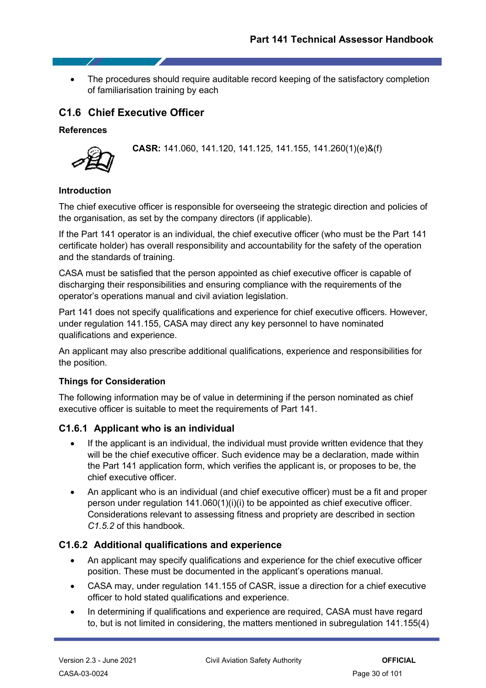• The procedures should require auditable record keeping of the satisfactory completion of familiarisation training by each

## <span id="page-29-0"></span>**C1.6 Chief Executive Officer**

#### **References**



**CASR:** 141.060, 141.120, 141.125, 141.155, 141.260(1)(e)&(f)

#### **Introduction**

The chief executive officer is responsible for overseeing the strategic direction and policies of the organisation, as set by the company directors (if applicable).

If the Part 141 operator is an individual, the chief executive officer (who must be the Part 141 certificate holder) has overall responsibility and accountability for the safety of the operation and the standards of training.

CASA must be satisfied that the person appointed as chief executive officer is capable of discharging their responsibilities and ensuring compliance with the requirements of the operator's operations manual and civil aviation legislation.

Part 141 does not specify qualifications and experience for chief executive officers. However, under regulation 141.155, CASA may direct any key personnel to have nominated qualifications and experience.

An applicant may also prescribe additional qualifications, experience and responsibilities for the position.

#### **Things for Consideration**

The following information may be of value in determining if the person nominated as chief executive officer is suitable to meet the requirements of Part 141.

#### <span id="page-29-1"></span>**C1.6.1 Applicant who is an individual**

- If the applicant is an individual, the individual must provide written evidence that they will be the chief executive officer. Such evidence may be a declaration, made within the Part 141 application form, which verifies the applicant is, or proposes to be, the chief executive officer.
- An applicant who is an individual (and chief executive officer) must be a fit and proper person under regulation  $141.060(1)(i)(i)$  to be appointed as chief executive officer. Considerations relevant to assessing fitness and propriety are described in section *C1.5.2* of this handbook.

#### <span id="page-29-2"></span>**C1.6.2 Additional qualifications and experience**

- An applicant may specify qualifications and experience for the chief executive officer position. These must be documented in the applicant's operations manual.
- CASA may, under regulation 141.155 of CASR, issue a direction for a chief executive officer to hold stated qualifications and experience.
- In determining if qualifications and experience are required, CASA must have regard to, but is not limited in considering, the matters mentioned in subregulation 141.155(4)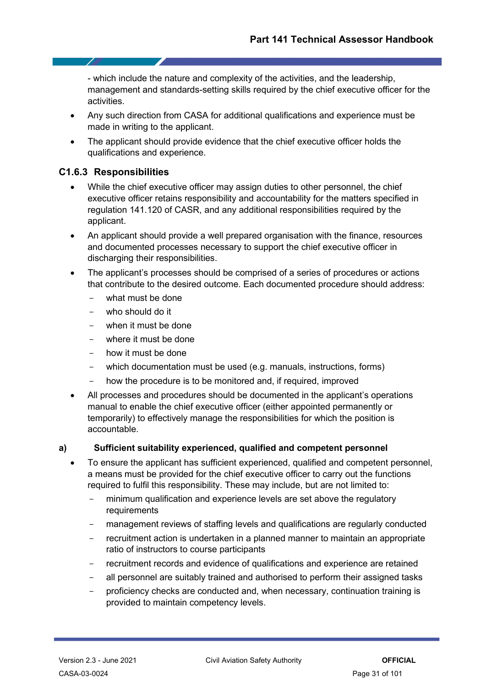- which include the nature and complexity of the activities, and the leadership, management and standards-setting skills required by the chief executive officer for the activities.

- Any such direction from CASA for additional qualifications and experience must be made in writing to the applicant.
- The applicant should provide evidence that the chief executive officer holds the qualifications and experience.

#### <span id="page-30-0"></span>**C1.6.3 Responsibilities**

- 1

- While the chief executive officer may assign duties to other personnel, the chief executive officer retains responsibility and accountability for the matters specified in regulation 141.120 of CASR, and any additional responsibilities required by the applicant.
- An applicant should provide a well prepared organisation with the finance, resources and documented processes necessary to support the chief executive officer in discharging their responsibilities.
- The applicant's processes should be comprised of a series of procedures or actions that contribute to the desired outcome. Each documented procedure should address:
	- what must be done
	- who should do it
	- when it must be done
	- where it must be done
	- how it must be done
	- which documentation must be used (e.g. manuals, instructions, forms)
	- how the procedure is to be monitored and, if required, improved
- All processes and procedures should be documented in the applicant's operations manual to enable the chief executive officer (either appointed permanently or temporarily) to effectively manage the responsibilities for which the position is accountable.

#### **a) Sufficient suitability experienced, qualified and competent personnel**

- To ensure the applicant has sufficient experienced, qualified and competent personnel, a means must be provided for the chief executive officer to carry out the functions required to fulfil this responsibility. These may include, but are not limited to:
	- minimum qualification and experience levels are set above the regulatory requirements
	- management reviews of staffing levels and qualifications are regularly conducted
	- recruitment action is undertaken in a planned manner to maintain an appropriate ratio of instructors to course participants
	- recruitment records and evidence of qualifications and experience are retained
	- all personnel are suitably trained and authorised to perform their assigned tasks
	- proficiency checks are conducted and, when necessary, continuation training is provided to maintain competency levels.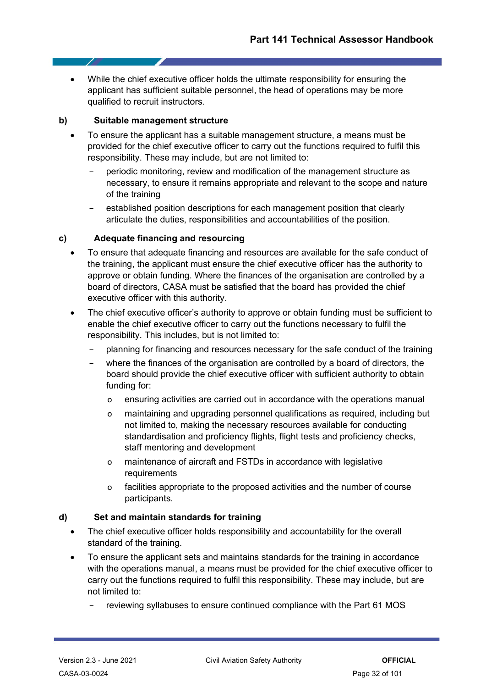• While the chief executive officer holds the ultimate responsibility for ensuring the applicant has sufficient suitable personnel, the head of operations may be more qualified to recruit instructors.

#### **b) Suitable management structure**

- To ensure the applicant has a suitable management structure, a means must be provided for the chief executive officer to carry out the functions required to fulfil this responsibility. These may include, but are not limited to:
	- periodic monitoring, review and modification of the management structure as necessary, to ensure it remains appropriate and relevant to the scope and nature of the training
	- established position descriptions for each management position that clearly articulate the duties, responsibilities and accountabilities of the position.

#### **c) Adequate financing and resourcing**

- To ensure that adequate financing and resources are available for the safe conduct of the training, the applicant must ensure the chief executive officer has the authority to approve or obtain funding. Where the finances of the organisation are controlled by a board of directors, CASA must be satisfied that the board has provided the chief executive officer with this authority.
- The chief executive officer's authority to approve or obtain funding must be sufficient to enable the chief executive officer to carry out the functions necessary to fulfil the responsibility. This includes, but is not limited to:
	- planning for financing and resources necessary for the safe conduct of the training
	- where the finances of the organisation are controlled by a board of directors, the board should provide the chief executive officer with sufficient authority to obtain funding for:
		- o ensuring activities are carried out in accordance with the operations manual
		- o maintaining and upgrading personnel qualifications as required, including but not limited to, making the necessary resources available for conducting standardisation and proficiency flights, flight tests and proficiency checks, staff mentoring and development
		- o maintenance of aircraft and FSTDs in accordance with legislative requirements
		- o facilities appropriate to the proposed activities and the number of course participants.

#### **d) Set and maintain standards for training**

- The chief executive officer holds responsibility and accountability for the overall standard of the training.
- To ensure the applicant sets and maintains standards for the training in accordance with the operations manual, a means must be provided for the chief executive officer to carry out the functions required to fulfil this responsibility. These may include, but are not limited to:
	- reviewing syllabuses to ensure continued compliance with the Part 61 MOS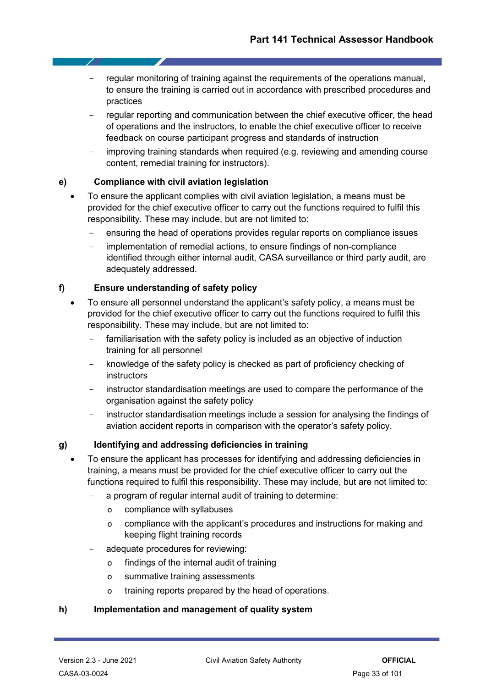- regular monitoring of training against the reguirements of the operations manual, to ensure the training is carried out in accordance with prescribed procedures and practices
- regular reporting and communication between the chief executive officer, the head of operations and the instructors, to enable the chief executive officer to receive feedback on course participant progress and standards of instruction
- improving training standards when required (e.g. reviewing and amending course content, remedial training for instructors).

#### **e) Compliance with civil aviation legislation**

- To ensure the applicant complies with civil aviation legislation, a means must be provided for the chief executive officer to carry out the functions required to fulfil this responsibility. These may include, but are not limited to:
	- ensuring the head of operations provides regular reports on compliance issues
	- implementation of remedial actions, to ensure findings of non-compliance identified through either internal audit, CASA surveillance or third party audit, are adequately addressed.

#### **f) Ensure understanding of safety policy**

- To ensure all personnel understand the applicant's safety policy, a means must be provided for the chief executive officer to carry out the functions required to fulfil this responsibility. These may include, but are not limited to:
	- familiarisation with the safety policy is included as an objective of induction training for all personnel
	- knowledge of the safety policy is checked as part of proficiency checking of instructors
	- instructor standardisation meetings are used to compare the performance of the organisation against the safety policy
	- instructor standardisation meetings include a session for analysing the findings of aviation accident reports in comparison with the operator's safety policy.

#### **g) Identifying and addressing deficiencies in training**

- To ensure the applicant has processes for identifying and addressing deficiencies in training, a means must be provided for the chief executive officer to carry out the functions required to fulfil this responsibility. These may include, but are not limited to:
	- a program of regular internal audit of training to determine:
		- o compliance with syllabuses
		- o compliance with the applicant's procedures and instructions for making and keeping flight training records
	- adequate procedures for reviewing:
		- o findings of the internal audit of training
		- o summative training assessments
		- o training reports prepared by the head of operations.

#### **h) Implementation and management of quality system**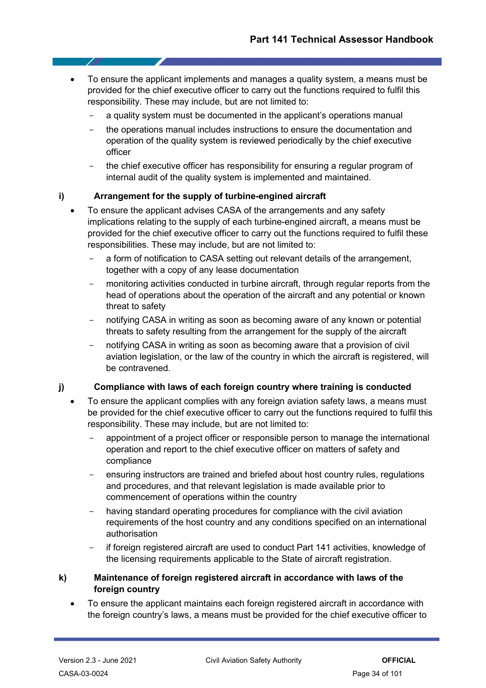- To ensure the applicant implements and manages a quality system, a means must be provided for the chief executive officer to carry out the functions required to fulfil this responsibility. These may include, but are not limited to:
	- a quality system must be documented in the applicant's operations manual
	- the operations manual includes instructions to ensure the documentation and operation of the quality system is reviewed periodically by the chief executive officer
	- the chief executive officer has responsibility for ensuring a regular program of internal audit of the quality system is implemented and maintained.

#### **i) Arrangement for the supply of turbine-engined aircraft**

- To ensure the applicant advises CASA of the arrangements and any safety implications relating to the supply of each turbine-engined aircraft, a means must be provided for the chief executive officer to carry out the functions required to fulfil these responsibilities. These may include, but are not limited to:
	- a form of notification to CASA setting out relevant details of the arrangement, together with a copy of any lease documentation
	- monitoring activities conducted in turbine aircraft, through regular reports from the head of operations about the operation of the aircraft and any potential or known threat to safety
	- notifying CASA in writing as soon as becoming aware of any known or potential threats to safety resulting from the arrangement for the supply of the aircraft
	- notifying CASA in writing as soon as becoming aware that a provision of civil aviation legislation, or the law of the country in which the aircraft is registered, will be contravened.

#### **j) Compliance with laws of each foreign country where training is conducted**

- To ensure the applicant complies with any foreign aviation safety laws, a means must be provided for the chief executive officer to carry out the functions required to fulfil this responsibility. These may include, but are not limited to:
	- appointment of a project officer or responsible person to manage the international operation and report to the chief executive officer on matters of safety and compliance
	- ensuring instructors are trained and briefed about host country rules, regulations and procedures, and that relevant legislation is made available prior to commencement of operations within the country
	- having standard operating procedures for compliance with the civil aviation requirements of the host country and any conditions specified on an international authorisation
	- if foreign registered aircraft are used to conduct Part 141 activities, knowledge of the licensing requirements applicable to the State of aircraft registration.

#### **k) Maintenance of foreign registered aircraft in accordance with laws of the foreign country**

• To ensure the applicant maintains each foreign registered aircraft in accordance with the foreign country's laws, a means must be provided for the chief executive officer to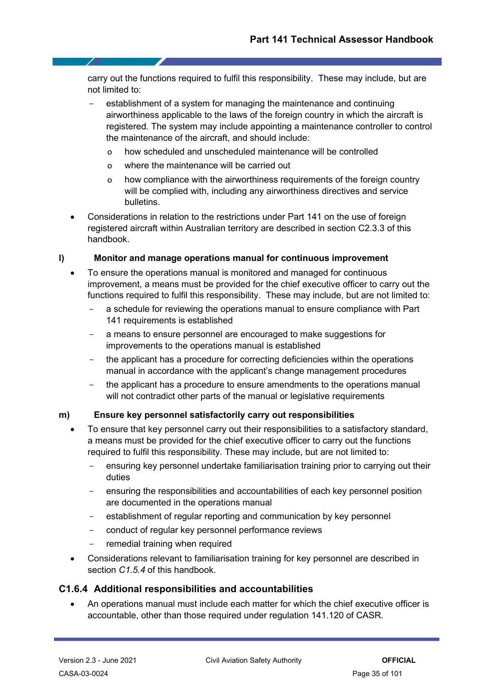carry out the functions required to fulfil this responsibility. These may include, but are not limited to:

- establishment of a system for managing the maintenance and continuing airworthiness applicable to the laws of the foreign country in which the aircraft is registered. The system may include appointing a maintenance controller to control the maintenance of the aircraft, and should include:
	- o how scheduled and unscheduled maintenance will be controlled
	- o where the maintenance will be carried out
	- o how compliance with the airworthiness requirements of the foreign country will be complied with, including any airworthiness directives and service bulletins.
- Considerations in relation to the restrictions under Part 141 on the use of foreign registered aircraft within Australian territory are described in section C2.3.3 of this handbook.

#### **l) Monitor and manage operations manual for continuous improvement**

- To ensure the operations manual is monitored and managed for continuous improvement, a means must be provided for the chief executive officer to carry out the functions required to fulfil this responsibility. These may include, but are not limited to:
	- a schedule for reviewing the operations manual to ensure compliance with Part 141 requirements is established
	- a means to ensure personnel are encouraged to make suggestions for improvements to the operations manual is established
	- the applicant has a procedure for correcting deficiencies within the operations manual in accordance with the applicant's change management procedures
	- the applicant has a procedure to ensure amendments to the operations manual will not contradict other parts of the manual or legislative requirements

#### **m) Ensure key personnel satisfactorily carry out responsibilities**

- To ensure that key personnel carry out their responsibilities to a satisfactory standard, a means must be provided for the chief executive officer to carry out the functions required to fulfil this responsibility. These may include, but are not limited to:
	- ensuring key personnel undertake familiarisation training prior to carrying out their duties
	- ensuring the responsibilities and accountabilities of each key personnel position are documented in the operations manual
	- establishment of regular reporting and communication by key personnel
	- conduct of regular key personnel performance reviews
	- remedial training when required
- Considerations relevant to familiarisation training for key personnel are described in section *C1.5.4* of this handbook.

#### <span id="page-34-0"></span>**C1.6.4 Additional responsibilities and accountabilities**

• An operations manual must include each matter for which the chief executive officer is accountable, other than those required under regulation 141.120 of CASR.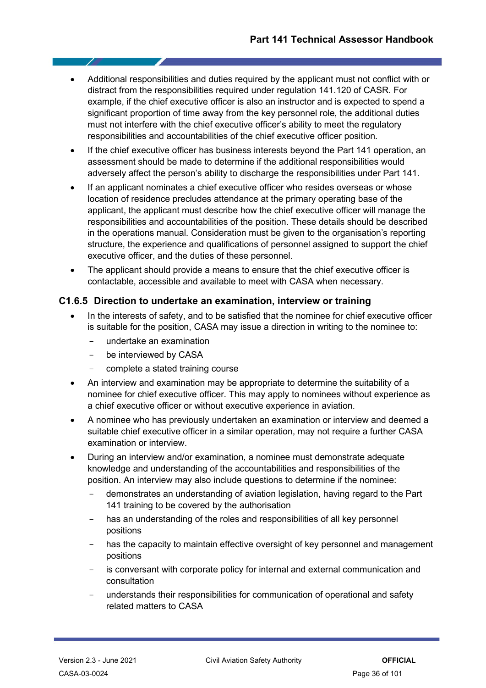- Additional responsibilities and duties required by the applicant must not conflict with or distract from the responsibilities required under regulation 141.120 of CASR. For example, if the chief executive officer is also an instructor and is expected to spend a significant proportion of time away from the key personnel role, the additional duties must not interfere with the chief executive officer's ability to meet the regulatory responsibilities and accountabilities of the chief executive officer position.
- If the chief executive officer has business interests beyond the Part 141 operation, an assessment should be made to determine if the additional responsibilities would adversely affect the person's ability to discharge the responsibilities under Part 141.
- If an applicant nominates a chief executive officer who resides overseas or whose location of residence precludes attendance at the primary operating base of the applicant, the applicant must describe how the chief executive officer will manage the responsibilities and accountabilities of the position. These details should be described in the operations manual. Consideration must be given to the organisation's reporting structure, the experience and qualifications of personnel assigned to support the chief executive officer, and the duties of these personnel.
- The applicant should provide a means to ensure that the chief executive officer is contactable, accessible and available to meet with CASA when necessary.

#### <span id="page-35-0"></span>**C1.6.5 Direction to undertake an examination, interview or training**

- In the interests of safety, and to be satisfied that the nominee for chief executive officer is suitable for the position, CASA may issue a direction in writing to the nominee to:
	- undertake an examination
	- be interviewed by CASA
	- complete a stated training course
- An interview and examination may be appropriate to determine the suitability of a nominee for chief executive officer. This may apply to nominees without experience as a chief executive officer or without executive experience in aviation.
- A nominee who has previously undertaken an examination or interview and deemed a suitable chief executive officer in a similar operation, may not require a further CASA examination or interview.
- During an interview and/or examination, a nominee must demonstrate adequate knowledge and understanding of the accountabilities and responsibilities of the position. An interview may also include questions to determine if the nominee:
	- demonstrates an understanding of aviation legislation, having regard to the Part 141 training to be covered by the authorisation
	- has an understanding of the roles and responsibilities of all key personnel positions
	- has the capacity to maintain effective oversight of key personnel and management positions
	- is conversant with corporate policy for internal and external communication and consultation
	- understands their responsibilities for communication of operational and safety related matters to CASA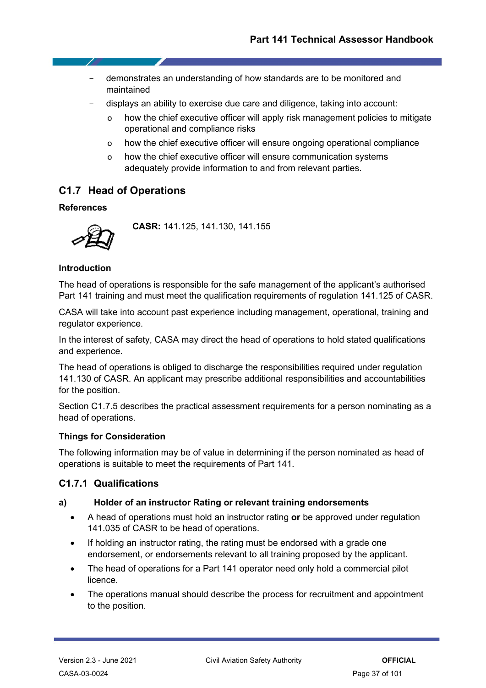- demonstrates an understanding of how standards are to be monitored and maintained
- displays an ability to exercise due care and diligence, taking into account:
	- o how the chief executive officer will apply risk management policies to mitigate operational and compliance risks
	- o how the chief executive officer will ensure ongoing operational compliance
	- o how the chief executive officer will ensure communication systems adequately provide information to and from relevant parties.

# **C1.7 Head of Operations**

# **References**

- 7

**CASR:** 141.125, 141.130, 141.155

# **Introduction**

The head of operations is responsible for the safe management of the applicant's authorised Part 141 training and must meet the qualification requirements of regulation 141.125 of CASR.

CASA will take into account past experience including management, operational, training and regulator experience.

In the interest of safety, CASA may direct the head of operations to hold stated qualifications and experience.

The head of operations is obliged to discharge the responsibilities required under regulation 141.130 of CASR. An applicant may prescribe additional responsibilities and accountabilities for the position.

Section C1.7.5 describes the practical assessment requirements for a person nominating as a head of operations.

# **Things for Consideration**

The following information may be of value in determining if the person nominated as head of operations is suitable to meet the requirements of Part 141.

# **C1.7.1 Qualifications**

# **a) Holder of an instructor Rating or relevant training endorsements**

- A head of operations must hold an instructor rating **or** be approved under regulation 141.035 of CASR to be head of operations.
- If holding an instructor rating, the rating must be endorsed with a grade one endorsement, or endorsements relevant to all training proposed by the applicant.
- The head of operations for a Part 141 operator need only hold a commercial pilot licence.
- The operations manual should describe the process for recruitment and appointment to the position.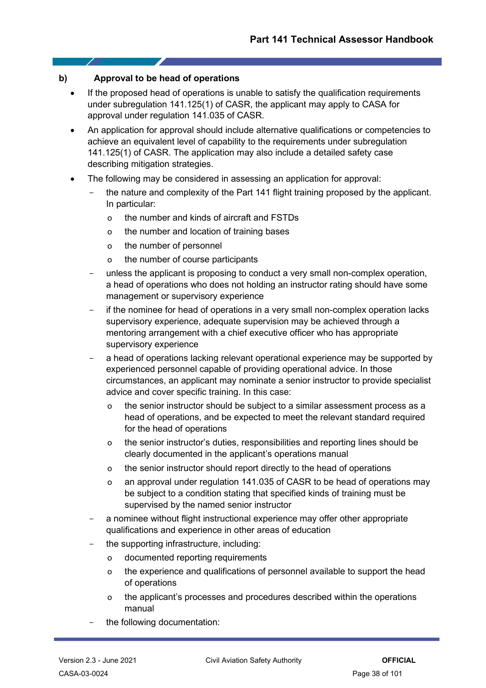### **b) Approval to be head of operations**

- If the proposed head of operations is unable to satisfy the qualification requirements under subregulation 141.125(1) of CASR, the applicant may apply to CASA for approval under regulation 141.035 of CASR.
- An application for approval should include alternative qualifications or competencies to achieve an equivalent level of capability to the requirements under subregulation 141.125(1) of CASR. The application may also include a detailed safety case describing mitigation strategies.
- The following may be considered in assessing an application for approval:
	- the nature and complexity of the Part 141 flight training proposed by the applicant. In particular:
		- o the number and kinds of aircraft and FSTDs
		- o the number and location of training bases
		- o the number of personnel
		- o the number of course participants
	- unless the applicant is proposing to conduct a very small non-complex operation, a head of operations who does not holding an instructor rating should have some management or supervisory experience
	- if the nominee for head of operations in a very small non-complex operation lacks supervisory experience, adequate supervision may be achieved through a mentoring arrangement with a chief executive officer who has appropriate supervisory experience
	- a head of operations lacking relevant operational experience may be supported by experienced personnel capable of providing operational advice. In those circumstances, an applicant may nominate a senior instructor to provide specialist advice and cover specific training. In this case:
		- o the senior instructor should be subject to a similar assessment process as a head of operations, and be expected to meet the relevant standard required for the head of operations
		- o the senior instructor's duties, responsibilities and reporting lines should be clearly documented in the applicant's operations manual
		- o the senior instructor should report directly to the head of operations
		- o an approval under regulation 141.035 of CASR to be head of operations may be subject to a condition stating that specified kinds of training must be supervised by the named senior instructor
	- a nominee without flight instructional experience may offer other appropriate qualifications and experience in other areas of education
	- the supporting infrastructure, including:
		- o documented reporting requirements
		- o the experience and qualifications of personnel available to support the head of operations
		- o the applicant's processes and procedures described within the operations manual
	- the following documentation: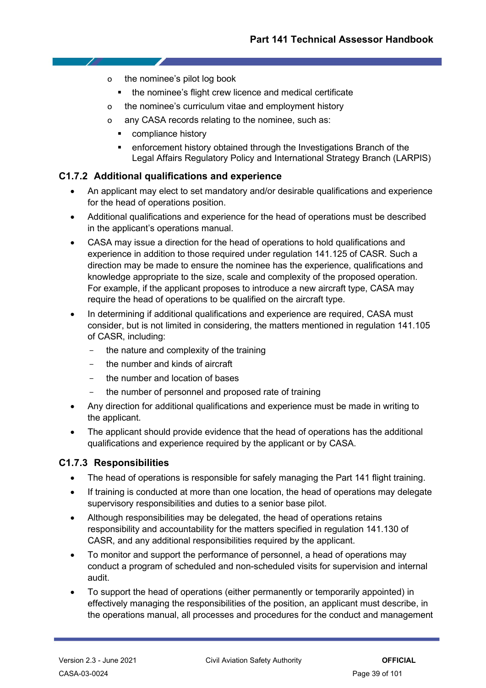- o the nominee's pilot log book
	- the nominee's flight crew licence and medical certificate
- o the nominee's curriculum vitae and employment history
- o any CASA records relating to the nominee, such as:
	- **•** compliance history
	- enforcement history obtained through the Investigations Branch of the Legal Affairs Regulatory Policy and International Strategy Branch (LARPIS)

# **C1.7.2 Additional qualifications and experience**

- An applicant may elect to set mandatory and/or desirable qualifications and experience for the head of operations position.
- Additional qualifications and experience for the head of operations must be described in the applicant's operations manual.
- CASA may issue a direction for the head of operations to hold qualifications and experience in addition to those required under regulation 141.125 of CASR. Such a direction may be made to ensure the nominee has the experience, qualifications and knowledge appropriate to the size, scale and complexity of the proposed operation. For example, if the applicant proposes to introduce a new aircraft type, CASA may require the head of operations to be qualified on the aircraft type.
- In determining if additional qualifications and experience are required, CASA must consider, but is not limited in considering, the matters mentioned in regulation 141.105 of CASR, including:
	- the nature and complexity of the training
	- the number and kinds of aircraft
	- the number and location of bases
	- the number of personnel and proposed rate of training
- Any direction for additional qualifications and experience must be made in writing to the applicant.
- The applicant should provide evidence that the head of operations has the additional qualifications and experience required by the applicant or by CASA.

# **C1.7.3 Responsibilities**

- The head of operations is responsible for safely managing the Part 141 flight training.
- If training is conducted at more than one location, the head of operations may delegate supervisory responsibilities and duties to a senior base pilot.
- Although responsibilities may be delegated, the head of operations retains responsibility and accountability for the matters specified in regulation 141.130 of CASR, and any additional responsibilities required by the applicant.
- To monitor and support the performance of personnel, a head of operations may conduct a program of scheduled and non-scheduled visits for supervision and internal audit.
- To support the head of operations (either permanently or temporarily appointed) in effectively managing the responsibilities of the position, an applicant must describe, in the operations manual, all processes and procedures for the conduct and management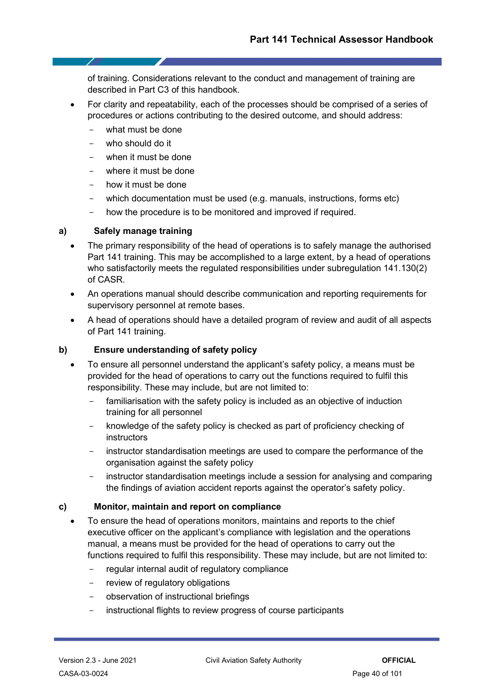of training. Considerations relevant to the conduct and management of training are described in Part C3 of this handbook.

- For clarity and repeatability, each of the processes should be comprised of a series of procedures or actions contributing to the desired outcome, and should address:
	- what must be done
	- who should do it
	- when it must be done
	- where it must be done
	- how it must be done
	- which documentation must be used (e.g. manuals, instructions, forms etc)
	- how the procedure is to be monitored and improved if required.

### **a) Safely manage training**

- The primary responsibility of the head of operations is to safely manage the authorised Part 141 training. This may be accomplished to a large extent, by a head of operations who satisfactorily meets the regulated responsibilities under subregulation 141.130(2) of CASR.
- An operations manual should describe communication and reporting requirements for supervisory personnel at remote bases.
- A head of operations should have a detailed program of review and audit of all aspects of Part 141 training.

# **b) Ensure understanding of safety policy**

- To ensure all personnel understand the applicant's safety policy, a means must be provided for the head of operations to carry out the functions required to fulfil this responsibility. These may include, but are not limited to:
	- familiarisation with the safety policy is included as an objective of induction training for all personnel
	- knowledge of the safety policy is checked as part of proficiency checking of instructors
	- instructor standardisation meetings are used to compare the performance of the organisation against the safety policy
	- instructor standardisation meetings include a session for analysing and comparing the findings of aviation accident reports against the operator's safety policy.

#### **c) Monitor, maintain and report on compliance**

- To ensure the head of operations monitors, maintains and reports to the chief executive officer on the applicant's compliance with legislation and the operations manual, a means must be provided for the head of operations to carry out the functions required to fulfil this responsibility. These may include, but are not limited to:
	- regular internal audit of regulatory compliance
	- review of regulatory obligations
	- observation of instructional briefings
	- instructional flights to review progress of course participants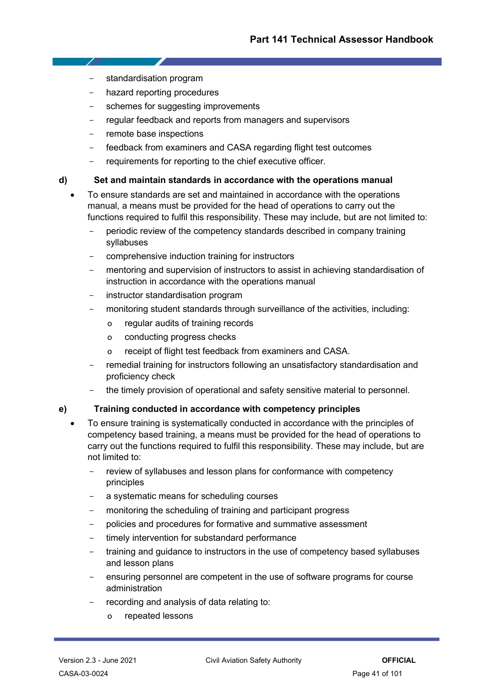standardisation program

- 7

- hazard reporting procedures
- schemes for suggesting improvements
- regular feedback and reports from managers and supervisors
- remote base inspections
- feedback from examiners and CASA regarding flight test outcomes
- requirements for reporting to the chief executive officer.

### **d) Set and maintain standards in accordance with the operations manual**

- To ensure standards are set and maintained in accordance with the operations manual, a means must be provided for the head of operations to carry out the functions required to fulfil this responsibility. These may include, but are not limited to:
	- periodic review of the competency standards described in company training syllabuses
	- comprehensive induction training for instructors
	- mentoring and supervision of instructors to assist in achieving standardisation of instruction in accordance with the operations manual
	- instructor standardisation program
	- monitoring student standards through surveillance of the activities, including:
		- o regular audits of training records
		- o conducting progress checks
		- o receipt of flight test feedback from examiners and CASA.
	- remedial training for instructors following an unsatisfactory standardisation and proficiency check
	- the timely provision of operational and safety sensitive material to personnel.

# **e) Training conducted in accordance with competency principles**

- To ensure training is systematically conducted in accordance with the principles of competency based training, a means must be provided for the head of operations to carry out the functions required to fulfil this responsibility. These may include, but are not limited to:
	- review of syllabuses and lesson plans for conformance with competency principles
	- a systematic means for scheduling courses
	- monitoring the scheduling of training and participant progress
	- policies and procedures for formative and summative assessment
	- timely intervention for substandard performance
	- training and guidance to instructors in the use of competency based syllabuses and lesson plans
	- ensuring personnel are competent in the use of software programs for course administration
	- recording and analysis of data relating to:
		- o repeated lessons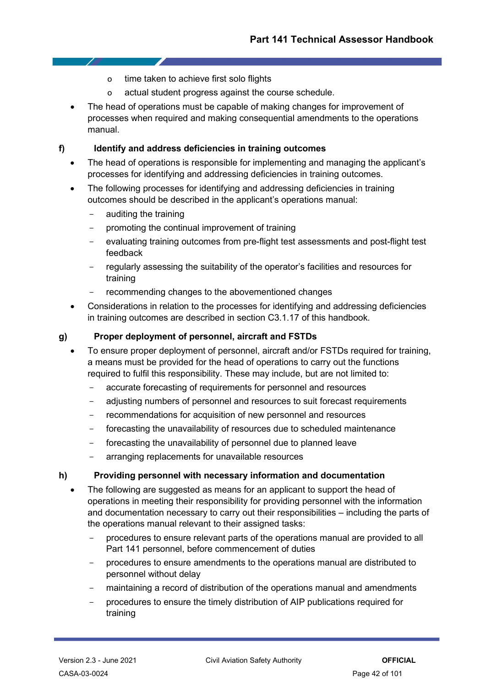- o time taken to achieve first solo flights
- o actual student progress against the course schedule.
- The head of operations must be capable of making changes for improvement of processes when required and making consequential amendments to the operations manual.

### **f) Identify and address deficiencies in training outcomes**

- The head of operations is responsible for implementing and managing the applicant's processes for identifying and addressing deficiencies in training outcomes.
- The following processes for identifying and addressing deficiencies in training outcomes should be described in the applicant's operations manual:
	- auditing the training
	- promoting the continual improvement of training
	- evaluating training outcomes from pre-flight test assessments and post-flight test feedback
	- regularly assessing the suitability of the operator's facilities and resources for training
	- recommending changes to the abovementioned changes
- Considerations in relation to the processes for identifying and addressing deficiencies in training outcomes are described in section C3.1.17 of this handbook.

# **g) Proper deployment of personnel, aircraft and FSTDs**

- To ensure proper deployment of personnel, aircraft and/or FSTDs required for training, a means must be provided for the head of operations to carry out the functions required to fulfil this responsibility. These may include, but are not limited to:
	- accurate forecasting of requirements for personnel and resources
	- adjusting numbers of personnel and resources to suit forecast requirements
	- recommendations for acquisition of new personnel and resources
	- forecasting the unavailability of resources due to scheduled maintenance
	- forecasting the unavailability of personnel due to planned leave
	- arranging replacements for unavailable resources

#### **h) Providing personnel with necessary information and documentation**

- The following are suggested as means for an applicant to support the head of operations in meeting their responsibility for providing personnel with the information and documentation necessary to carry out their responsibilities – including the parts of the operations manual relevant to their assigned tasks:
	- procedures to ensure relevant parts of the operations manual are provided to all Part 141 personnel, before commencement of duties
	- procedures to ensure amendments to the operations manual are distributed to personnel without delay
	- maintaining a record of distribution of the operations manual and amendments
	- procedures to ensure the timely distribution of AIP publications required for training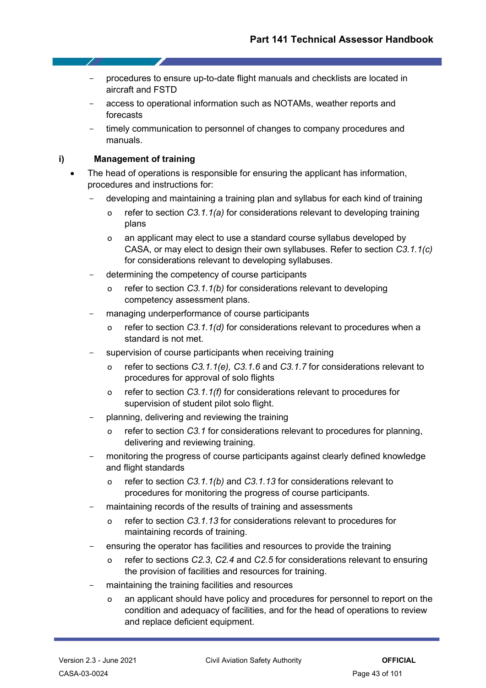- procedures to ensure up-to-date flight manuals and checklists are located in aircraft and FSTD
- access to operational information such as NOTAMs, weather reports and forecasts
- timely communication to personnel of changes to company procedures and manuals.

### **i) Management of training**

7

- The head of operations is responsible for ensuring the applicant has information, procedures and instructions for:
	- developing and maintaining a training plan and syllabus for each kind of training
		- o refer to section *C3.1.1(a)* for considerations relevant to developing training plans
		- o an applicant may elect to use a standard course syllabus developed by CASA, or may elect to design their own syllabuses. Refer to section *C3.1.1(c)* for considerations relevant to developing syllabuses.
	- determining the competency of course participants
		- refer to section *C3.1.1(b)* for considerations relevant to developing competency assessment plans.
	- managing underperformance of course participants
		- o refer to section *C3.1.1(d)* for considerations relevant to procedures when a standard is not met.
	- supervision of course participants when receiving training
		- o refer to sections *C3.1.1(e), C3.1.6* and *C3.1.7* for considerations relevant to procedures for approval of solo flights
		- o refer to section *C3.1.1(f)* for considerations relevant to procedures for supervision of student pilot solo flight.
	- planning, delivering and reviewing the training
		- o refer to section *C3.1* for considerations relevant to procedures for planning, delivering and reviewing training.
	- monitoring the progress of course participants against clearly defined knowledge and flight standards
		- o refer to section *C3.1.1(b)* and *C3.1.13* for considerations relevant to procedures for monitoring the progress of course participants.
	- maintaining records of the results of training and assessments
		- o refer to section *C3.1.13* for considerations relevant to procedures for maintaining records of training.
	- ensuring the operator has facilities and resources to provide the training
		- o refer to sections *C2.3*, *C2.4* and *C2.5* for considerations relevant to ensuring the provision of facilities and resources for training.
	- maintaining the training facilities and resources
		- o an applicant should have policy and procedures for personnel to report on the condition and adequacy of facilities, and for the head of operations to review and replace deficient equipment.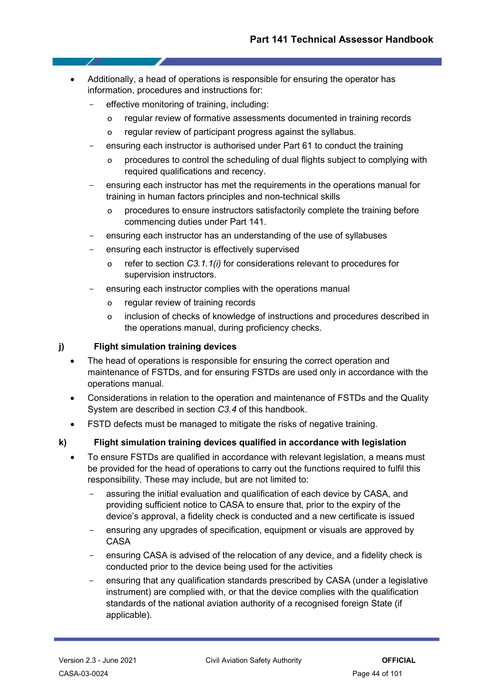- Additionally, a head of operations is responsible for ensuring the operator has information, procedures and instructions for:
	- effective monitoring of training, including:
		- o regular review of formative assessments documented in training records
		- o regular review of participant progress against the syllabus.
	- ensuring each instructor is authorised under Part 61 to conduct the training
		- o procedures to control the scheduling of dual flights subject to complying with required qualifications and recency.
	- ensuring each instructor has met the requirements in the operations manual for training in human factors principles and non-technical skills
		- o procedures to ensure instructors satisfactorily complete the training before commencing duties under Part 141.
	- ensuring each instructor has an understanding of the use of syllabuses
	- ensuring each instructor is effectively supervised
		- o refer to section *C3.1.1(i)* for considerations relevant to procedures for supervision instructors.
	- ensuring each instructor complies with the operations manual
		- o regular review of training records
		- o inclusion of checks of knowledge of instructions and procedures described in the operations manual, during proficiency checks.

# **j) Flight simulation training devices**

- The head of operations is responsible for ensuring the correct operation and maintenance of FSTDs, and for ensuring FSTDs are used only in accordance with the operations manual.
- Considerations in relation to the operation and maintenance of FSTDs and the Quality System are described in section *C3.4* of this handbook.
- FSTD defects must be managed to mitigate the risks of negative training.

# **k) Flight simulation training devices qualified in accordance with legislation**

- To ensure FSTDs are qualified in accordance with relevant legislation, a means must be provided for the head of operations to carry out the functions required to fulfil this responsibility. These may include, but are not limited to:
	- assuring the initial evaluation and qualification of each device by CASA, and providing sufficient notice to CASA to ensure that, prior to the expiry of the device's approval, a fidelity check is conducted and a new certificate is issued
	- ensuring any upgrades of specification, equipment or visuals are approved by CASA
	- ensuring CASA is advised of the relocation of any device, and a fidelity check is conducted prior to the device being used for the activities
	- ensuring that any qualification standards prescribed by CASA (under a legislative instrument) are complied with, or that the device complies with the qualification standards of the national aviation authority of a recognised foreign State (if applicable).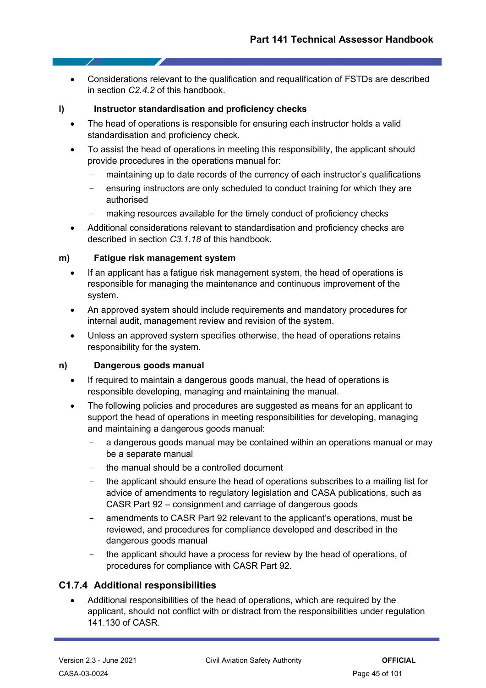• Considerations relevant to the qualification and requalification of FSTDs are described in section *C2.4.2* of this handbook.

#### **l) Instructor standardisation and proficiency checks**

- The head of operations is responsible for ensuring each instructor holds a valid standardisation and proficiency check.
- To assist the head of operations in meeting this responsibility, the applicant should provide procedures in the operations manual for:
	- maintaining up to date records of the currency of each instructor's qualifications
	- ensuring instructors are only scheduled to conduct training for which they are authorised
	- making resources available for the timely conduct of proficiency checks
- Additional considerations relevant to standardisation and proficiency checks are described in section *C3.1.18* of this handbook.

#### **m) Fatigue risk management system**

- If an applicant has a fatigue risk management system, the head of operations is responsible for managing the maintenance and continuous improvement of the system.
- An approved system should include requirements and mandatory procedures for internal audit, management review and revision of the system.
- Unless an approved system specifies otherwise, the head of operations retains responsibility for the system.

#### **n) Dangerous goods manual**

- If required to maintain a dangerous goods manual, the head of operations is responsible developing, managing and maintaining the manual.
- The following policies and procedures are suggested as means for an applicant to support the head of operations in meeting responsibilities for developing, managing and maintaining a dangerous goods manual:
	- a dangerous goods manual may be contained within an operations manual or may be a separate manual
	- the manual should be a controlled document
	- the applicant should ensure the head of operations subscribes to a mailing list for advice of amendments to regulatory legislation and CASA publications, such as CASR Part 92 – consignment and carriage of dangerous goods
	- amendments to CASR Part 92 relevant to the applicant's operations, must be reviewed, and procedures for compliance developed and described in the dangerous goods manual
	- the applicant should have a process for review by the head of operations, of procedures for compliance with CASR Part 92.

# **C1.7.4 Additional responsibilities**

• Additional responsibilities of the head of operations, which are required by the applicant, should not conflict with or distract from the responsibilities under regulation 141.130 of CASR.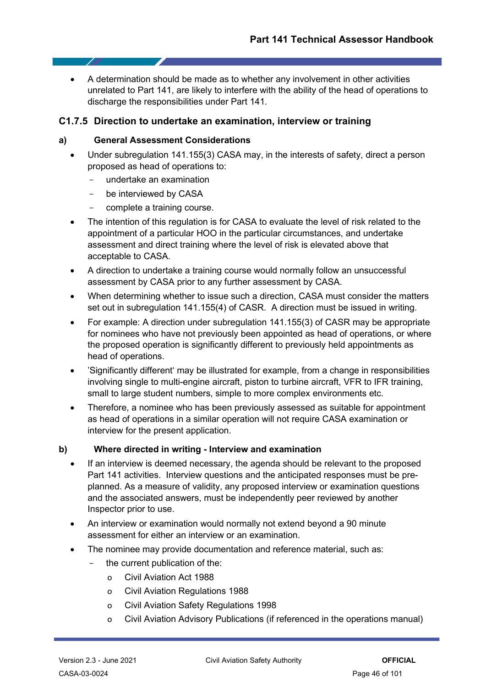• A determination should be made as to whether any involvement in other activities unrelated to Part 141, are likely to interfere with the ability of the head of operations to discharge the responsibilities under Part 141.

# **C1.7.5 Direction to undertake an examination, interview or training**

### **a) General Assessment Considerations**

- Under subregulation 141.155(3) CASA may, in the interests of safety, direct a person proposed as head of operations to:
	- undertake an examination
	- be interviewed by CASA
	- complete a training course.
- The intention of this regulation is for CASA to evaluate the level of risk related to the appointment of a particular HOO in the particular circumstances, and undertake assessment and direct training where the level of risk is elevated above that acceptable to CASA.
- A direction to undertake a training course would normally follow an unsuccessful assessment by CASA prior to any further assessment by CASA.
- When determining whether to issue such a direction, CASA must consider the matters set out in subregulation 141.155(4) of CASR. A direction must be issued in writing.
- For example: A direction under subregulation 141.155(3) of CASR may be appropriate for nominees who have not previously been appointed as head of operations, or where the proposed operation is significantly different to previously held appointments as head of operations.
- 'Significantly different' may be illustrated for example, from a change in responsibilities involving single to multi-engine aircraft, piston to turbine aircraft, VFR to IFR training, small to large student numbers, simple to more complex environments etc.
- Therefore, a nominee who has been previously assessed as suitable for appointment as head of operations in a similar operation will not require CASA examination or interview for the present application.

#### **b) Where directed in writing - Interview and examination**

- If an interview is deemed necessary, the agenda should be relevant to the proposed Part 141 activities. Interview questions and the anticipated responses must be preplanned. As a measure of validity, any proposed interview or examination questions and the associated answers, must be independently peer reviewed by another Inspector prior to use.
- An interview or examination would normally not extend beyond a 90 minute assessment for either an interview or an examination.
- The nominee may provide documentation and reference material, such as:
	- the current publication of the:
		- o Civil Aviation Act 1988
		- o Civil Aviation Regulations 1988
		- o Civil Aviation Safety Regulations 1998
		- o Civil Aviation Advisory Publications (if referenced in the operations manual)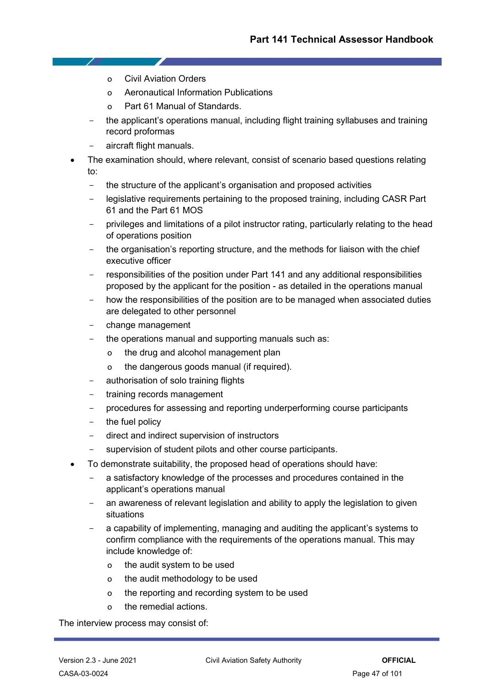- o Civil Aviation Orders
- o Aeronautical Information Publications
- o Part 61 Manual of Standards.
- the applicant's operations manual, including flight training syllabuses and training record proformas
- aircraft flight manuals.
- The examination should, where relevant, consist of scenario based questions relating to:
	- the structure of the applicant's organisation and proposed activities
	- legislative requirements pertaining to the proposed training, including CASR Part 61 and the Part 61 MOS
	- privileges and limitations of a pilot instructor rating, particularly relating to the head of operations position
	- the organisation's reporting structure, and the methods for liaison with the chief executive officer
	- responsibilities of the position under Part 141 and any additional responsibilities proposed by the applicant for the position - as detailed in the operations manual
	- how the responsibilities of the position are to be managed when associated duties are delegated to other personnel
	- change management
	- the operations manual and supporting manuals such as:
		- o the drug and alcohol management plan
		- o the dangerous goods manual (if required).
	- authorisation of solo training flights
	- training records management
	- procedures for assessing and reporting underperforming course participants
	- the fuel policy
	- direct and indirect supervision of instructors
	- supervision of student pilots and other course participants.
- To demonstrate suitability, the proposed head of operations should have:
	- a satisfactory knowledge of the processes and procedures contained in the applicant's operations manual
	- an awareness of relevant legislation and ability to apply the legislation to given situations
	- a capability of implementing, managing and auditing the applicant's systems to confirm compliance with the requirements of the operations manual. This may include knowledge of:
		- o the audit system to be used
		- o the audit methodology to be used
		- o the reporting and recording system to be used
		- o the remedial actions.

The interview process may consist of: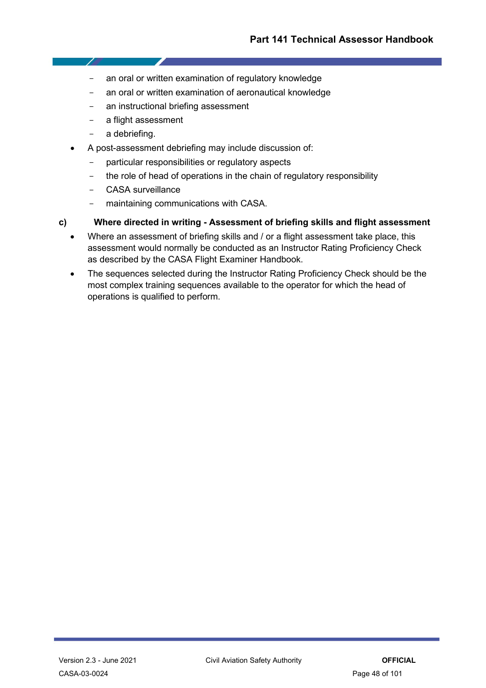- an oral or written examination of regulatory knowledge
- an oral or written examination of aeronautical knowledge
- an instructional briefing assessment
- a flight assessment
- a debriefing.

- 7

- A post-assessment debriefing may include discussion of:
	- particular responsibilities or regulatory aspects
	- the role of head of operations in the chain of regulatory responsibility
	- CASA surveillance
	- maintaining communications with CASA.

# **c) Where directed in writing - Assessment of briefing skills and flight assessment**

- Where an assessment of briefing skills and / or a flight assessment take place, this assessment would normally be conducted as an Instructor Rating Proficiency Check as described by the CASA Flight Examiner Handbook.
- The sequences selected during the Instructor Rating Proficiency Check should be the most complex training sequences available to the operator for which the head of operations is qualified to perform.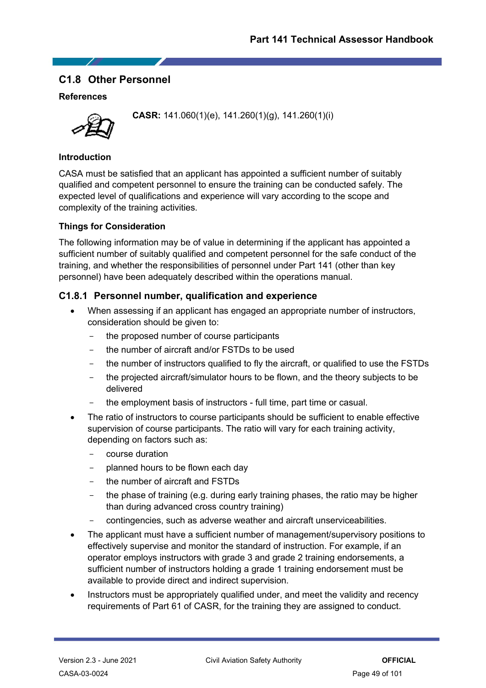# **C1.8 Other Personnel**

# **References**



**CASR:** 141.060(1)(e), 141.260(1)(g), 141.260(1)(i)

### **Introduction**

CASA must be satisfied that an applicant has appointed a sufficient number of suitably qualified and competent personnel to ensure the training can be conducted safely. The expected level of qualifications and experience will vary according to the scope and complexity of the training activities.

# **Things for Consideration**

The following information may be of value in determining if the applicant has appointed a sufficient number of suitably qualified and competent personnel for the safe conduct of the training, and whether the responsibilities of personnel under Part 141 (other than key personnel) have been adequately described within the operations manual.

# **C1.8.1 Personnel number, qualification and experience**

- When assessing if an applicant has engaged an appropriate number of instructors, consideration should be given to:
	- the proposed number of course participants
	- the number of aircraft and/or FSTDs to be used
	- the number of instructors qualified to fly the aircraft, or qualified to use the FSTDs
	- the projected aircraft/simulator hours to be flown, and the theory subjects to be delivered
	- the employment basis of instructors full time, part time or casual.
- The ratio of instructors to course participants should be sufficient to enable effective supervision of course participants. The ratio will vary for each training activity, depending on factors such as:
	- course duration
	- planned hours to be flown each day
	- the number of aircraft and FSTDs
	- the phase of training (e.g. during early training phases, the ratio may be higher than during advanced cross country training)
	- contingencies, such as adverse weather and aircraft unserviceabilities.
- The applicant must have a sufficient number of management/supervisory positions to effectively supervise and monitor the standard of instruction. For example, if an operator employs instructors with grade 3 and grade 2 training endorsements, a sufficient number of instructors holding a grade 1 training endorsement must be available to provide direct and indirect supervision.
- Instructors must be appropriately qualified under, and meet the validity and recency requirements of Part 61 of CASR, for the training they are assigned to conduct.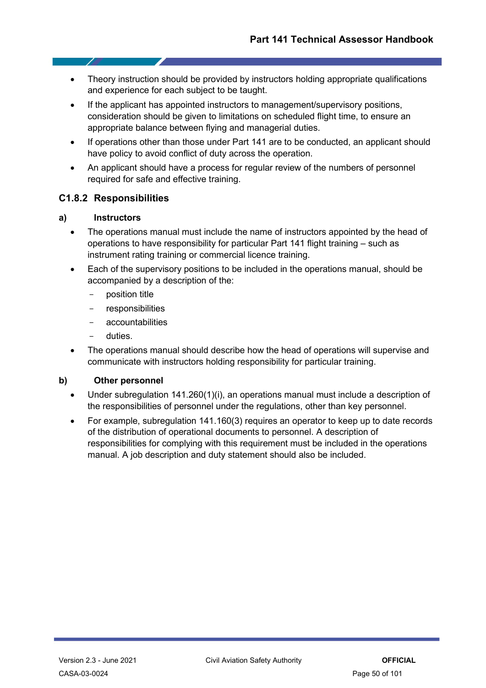- Theory instruction should be provided by instructors holding appropriate qualifications and experience for each subject to be taught.
- If the applicant has appointed instructors to management/supervisory positions, consideration should be given to limitations on scheduled flight time, to ensure an appropriate balance between flying and managerial duties.
- If operations other than those under Part 141 are to be conducted, an applicant should have policy to avoid conflict of duty across the operation.
- An applicant should have a process for regular review of the numbers of personnel required for safe and effective training.

# **C1.8.2 Responsibilities**

### **a) Instructors**

- The operations manual must include the name of instructors appointed by the head of operations to have responsibility for particular Part 141 flight training – such as instrument rating training or commercial licence training.
- Each of the supervisory positions to be included in the operations manual, should be accompanied by a description of the:
	- position title
	- responsibilities
	- accountabilities
	- duties.
- The operations manual should describe how the head of operations will supervise and communicate with instructors holding responsibility for particular training.

# **b) Other personnel**

- Under subregulation 141.260(1)(i), an operations manual must include a description of the responsibilities of personnel under the regulations, other than key personnel.
- For example, subregulation 141.160(3) requires an operator to keep up to date records of the distribution of operational documents to personnel. A description of responsibilities for complying with this requirement must be included in the operations manual. A job description and duty statement should also be included.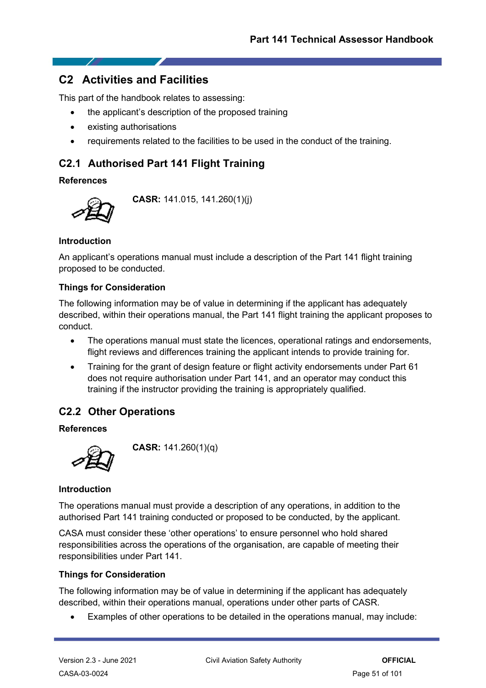# **C2 Activities and Facilities**

This part of the handbook relates to assessing:

- the applicant's description of the proposed training
- existing authorisations
- requirements related to the facilities to be used in the conduct of the training.

# **C2.1 Authorised Part 141 Flight Training**

# **References**



**CASR:** 141.015, 141.260(1)(j)

# **Introduction**

An applicant's operations manual must include a description of the Part 141 flight training proposed to be conducted.

### **Things for Consideration**

The following information may be of value in determining if the applicant has adequately described, within their operations manual, the Part 141 flight training the applicant proposes to conduct.

- The operations manual must state the licences, operational ratings and endorsements, flight reviews and differences training the applicant intends to provide training for.
- Training for the grant of design feature or flight activity endorsements under Part 61 does not require authorisation under Part 141, and an operator may conduct this training if the instructor providing the training is appropriately qualified.

# **C2.2 Other Operations**

# **References**



**CASR:** 141.260(1)(q)

# **Introduction**

The operations manual must provide a description of any operations, in addition to the authorised Part 141 training conducted or proposed to be conducted, by the applicant.

CASA must consider these 'other operations' to ensure personnel who hold shared responsibilities across the operations of the organisation, are capable of meeting their responsibilities under Part 141.

# **Things for Consideration**

The following information may be of value in determining if the applicant has adequately described, within their operations manual, operations under other parts of CASR.

• Examples of other operations to be detailed in the operations manual, may include: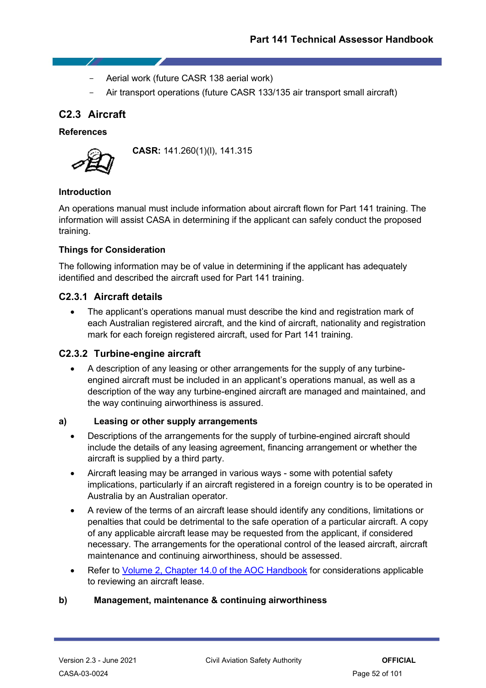- Aerial work (future CASR 138 aerial work)
- Air transport operations (future CASR 133/135 air transport small aircraft)

# **C2.3 Aircraft**

- 7

### **References**



**CASR:** 141.260(1)(l), 141.315

# **Introduction**

An operations manual must include information about aircraft flown for Part 141 training. The information will assist CASA in determining if the applicant can safely conduct the proposed training.

### **Things for Consideration**

The following information may be of value in determining if the applicant has adequately identified and described the aircraft used for Part 141 training.

### **C2.3.1 Aircraft details**

• The applicant's operations manual must describe the kind and registration mark of each Australian registered aircraft, and the kind of aircraft, nationality and registration mark for each foreign registered aircraft, used for Part 141 training.

# **C2.3.2 Turbine-engine aircraft**

• A description of any leasing or other arrangements for the supply of any turbineengined aircraft must be included in an applicant's operations manual, as well as a description of the way any turbine-engined aircraft are managed and maintained, and the way continuing airworthiness is assured.

#### **a) Leasing or other supply arrangements**

- Descriptions of the arrangements for the supply of turbine-engined aircraft should include the details of any leasing agreement, financing arrangement or whether the aircraft is supplied by a third party.
- Aircraft leasing may be arranged in various ways some with potential safety implications, particularly if an aircraft registered in a foreign country is to be operated in Australia by an Australian operator.
- A review of the terms of an aircraft lease should identify any conditions, limitations or penalties that could be detrimental to the safe operation of a particular aircraft. A copy of any applicable aircraft lease may be requested from the applicant, if considered necessary. The arrangements for the operational control of the leased aircraft, aircraft maintenance and continuing airworthiness, should be assessed.
- Refer to [Volume 2, Chapter 14.0 of the AOC Handbook](https://casaau.sharepoint.com/sites/document-catalogue/SitePages/DocumentCatalogue.aspx#/document/CASA-03-0230) for considerations applicable to reviewing an aircraft lease.

#### **b) Management, maintenance & continuing airworthiness**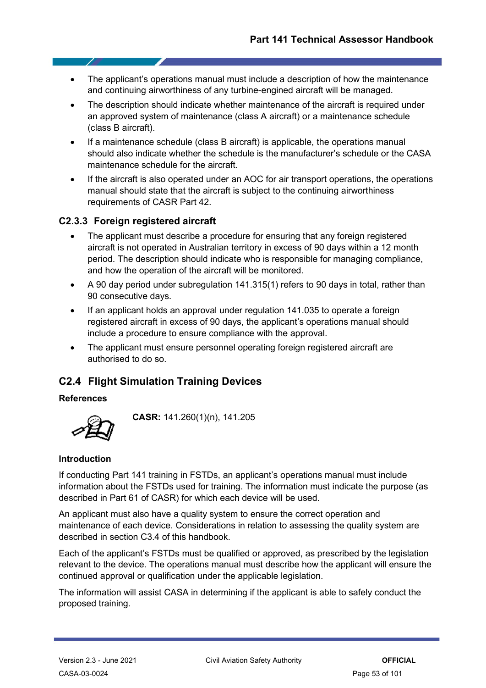- The applicant's operations manual must include a description of how the maintenance and continuing airworthiness of any turbine-engined aircraft will be managed.
- The description should indicate whether maintenance of the aircraft is required under an approved system of maintenance (class A aircraft) or a maintenance schedule (class B aircraft).
- If a maintenance schedule (class B aircraft) is applicable, the operations manual should also indicate whether the schedule is the manufacturer's schedule or the CASA maintenance schedule for the aircraft.
- If the aircraft is also operated under an AOC for air transport operations, the operations manual should state that the aircraft is subject to the continuing airworthiness requirements of CASR Part 42.

# **C2.3.3 Foreign registered aircraft**

- The applicant must describe a procedure for ensuring that any foreign registered aircraft is not operated in Australian territory in excess of 90 days within a 12 month period. The description should indicate who is responsible for managing compliance, and how the operation of the aircraft will be monitored.
- A 90 day period under subregulation 141.315(1) refers to 90 days in total, rather than 90 consecutive days.
- If an applicant holds an approval under regulation 141.035 to operate a foreign registered aircraft in excess of 90 days, the applicant's operations manual should include a procedure to ensure compliance with the approval.
- The applicant must ensure personnel operating foreign registered aircraft are authorised to do so.

# **C2.4 Flight Simulation Training Devices**

#### **References**



**CASR:** 141.260(1)(n), 141.205

# **Introduction**

If conducting Part 141 training in FSTDs, an applicant's operations manual must include information about the FSTDs used for training. The information must indicate the purpose (as described in Part 61 of CASR) for which each device will be used.

An applicant must also have a quality system to ensure the correct operation and maintenance of each device. Considerations in relation to assessing the quality system are described in section C3.4 of this handbook.

Each of the applicant's FSTDs must be qualified or approved, as prescribed by the legislation relevant to the device. The operations manual must describe how the applicant will ensure the continued approval or qualification under the applicable legislation.

The information will assist CASA in determining if the applicant is able to safely conduct the proposed training.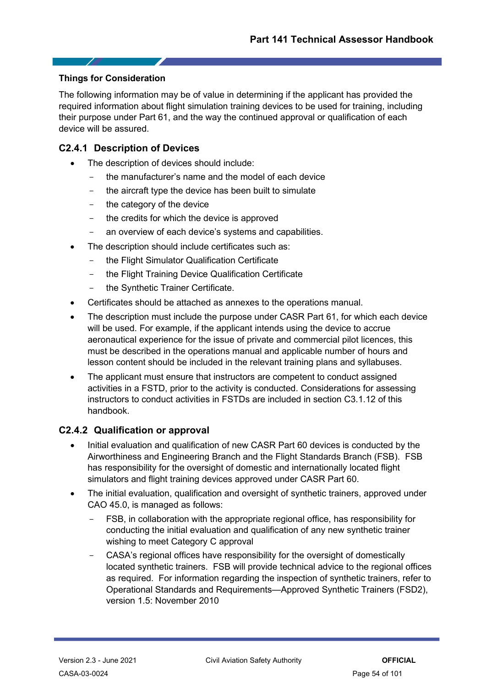### **Things for Consideration**

- 1

The following information may be of value in determining if the applicant has provided the required information about flight simulation training devices to be used for training, including their purpose under Part 61, and the way the continued approval or qualification of each device will be assured.

# **C2.4.1 Description of Devices**

- The description of devices should include:
	- the manufacturer's name and the model of each device
	- the aircraft type the device has been built to simulate
	- the category of the device
	- the credits for which the device is approved
	- an overview of each device's systems and capabilities.
- The description should include certificates such as:
	- the Flight Simulator Qualification Certificate
	- the Flight Training Device Qualification Certificate
	- the Synthetic Trainer Certificate.
- Certificates should be attached as annexes to the operations manual.
- The description must include the purpose under CASR Part 61, for which each device will be used. For example, if the applicant intends using the device to accrue aeronautical experience for the issue of private and commercial pilot licences, this must be described in the operations manual and applicable number of hours and lesson content should be included in the relevant training plans and syllabuses.
- The applicant must ensure that instructors are competent to conduct assigned activities in a FSTD, prior to the activity is conducted. Considerations for assessing instructors to conduct activities in FSTDs are included in section C3.1.12 of this handbook.

# **C2.4.2 Qualification or approval**

- Initial evaluation and qualification of new CASR Part 60 devices is conducted by the Airworthiness and Engineering Branch and the Flight Standards Branch (FSB). FSB has responsibility for the oversight of domestic and internationally located flight simulators and flight training devices approved under CASR Part 60.
- The initial evaluation, qualification and oversight of synthetic trainers, approved under CAO 45.0, is managed as follows:
	- FSB, in collaboration with the appropriate regional office, has responsibility for conducting the initial evaluation and qualification of any new synthetic trainer wishing to meet Category C approval
	- CASA's regional offices have responsibility for the oversight of domestically located synthetic trainers. FSB will provide technical advice to the regional offices as required. For information regarding the inspection of synthetic trainers, refer to Operational Standards and Requirements—Approved Synthetic Trainers (FSD2), version 1.5: November 2010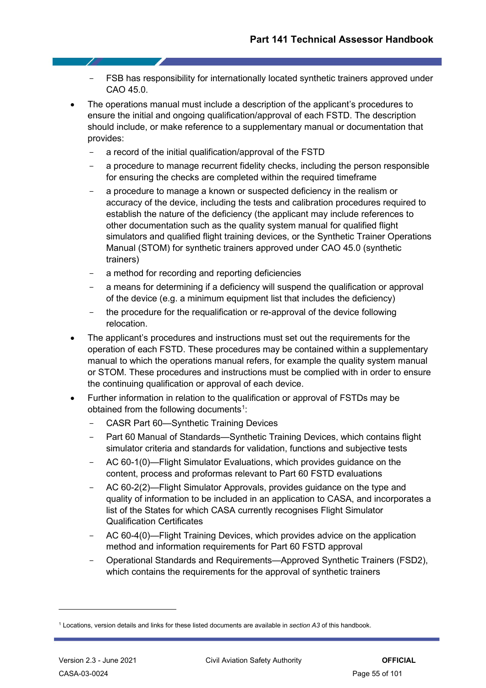- FSB has responsibility for internationally located synthetic trainers approved under CAO 45.0.
- The operations manual must include a description of the applicant's procedures to ensure the initial and ongoing qualification/approval of each FSTD. The description should include, or make reference to a supplementary manual or documentation that provides:
	- a record of the initial qualification/approval of the FSTD
	- a procedure to manage recurrent fidelity checks, including the person responsible for ensuring the checks are completed within the required timeframe
	- a procedure to manage a known or suspected deficiency in the realism or accuracy of the device, including the tests and calibration procedures required to establish the nature of the deficiency (the applicant may include references to other documentation such as the quality system manual for qualified flight simulators and qualified flight training devices, or the Synthetic Trainer Operations Manual (STOM) for synthetic trainers approved under CAO 45.0 (synthetic trainers)
	- a method for recording and reporting deficiencies
	- a means for determining if a deficiency will suspend the qualification or approval of the device (e.g. a minimum equipment list that includes the deficiency)
	- the procedure for the requalification or re-approval of the device following relocation.
- The applicant's procedures and instructions must set out the requirements for the operation of each FSTD. These procedures may be contained within a supplementary manual to which the operations manual refers, for example the quality system manual or STOM. These procedures and instructions must be complied with in order to ensure the continuing qualification or approval of each device.
- Further information in relation to the qualification or approval of FSTDs may be obtained from the following documents<sup>[1](#page-54-0)</sup>:
	- CASR Part 60—Synthetic Training Devices
	- Part 60 Manual of Standards—Synthetic Training Devices, which contains flight simulator criteria and standards for validation, functions and subjective tests
	- AC 60-1(0)—Flight Simulator Evaluations, which provides guidance on the content, process and proformas relevant to Part 60 FSTD evaluations
	- AC 60-2(2)—Flight Simulator Approvals, provides guidance on the type and quality of information to be included in an application to CASA, and incorporates a list of the States for which CASA currently recognises Flight Simulator Qualification Certificates
	- AC 60-4(0)—Flight Training Devices, which provides advice on the application method and information requirements for Part 60 FSTD approval
	- Operational Standards and Requirements—Approved Synthetic Trainers (FSD2), which contains the requirements for the approval of synthetic trainers

<span id="page-54-0"></span><sup>1</sup> Locations, version details and links for these listed documents are available in *section A3* of this handbook.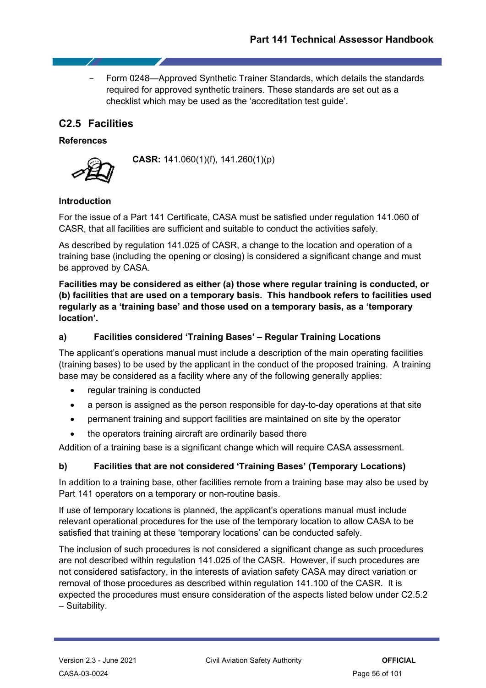- Form 0248—Approved Synthetic Trainer Standards, which details the standards required for approved synthetic trainers. These standards are set out as a checklist which may be used as the 'accreditation test guide'.

# **C2.5 Facilities**

### **References**



**CASR:** 141.060(1)(f), 141.260(1)(p)

# **Introduction**

For the issue of a Part 141 Certificate, CASA must be satisfied under regulation 141.060 of CASR, that all facilities are sufficient and suitable to conduct the activities safely.

As described by regulation 141.025 of CASR, a change to the location and operation of a training base (including the opening or closing) is considered a significant change and must be approved by CASA.

**Facilities may be considered as either (a) those where regular training is conducted, or (b) facilities that are used on a temporary basis. This handbook refers to facilities used regularly as a 'training base' and those used on a temporary basis, as a 'temporary location'.**

### **a) Facilities considered 'Training Bases' – Regular Training Locations**

The applicant's operations manual must include a description of the main operating facilities (training bases) to be used by the applicant in the conduct of the proposed training. A training base may be considered as a facility where any of the following generally applies:

- regular training is conducted
- a person is assigned as the person responsible for day-to-day operations at that site
- permanent training and support facilities are maintained on site by the operator
- the operators training aircraft are ordinarily based there

Addition of a training base is a significant change which will require CASA assessment.

# **b) Facilities that are not considered 'Training Bases' (Temporary Locations)**

In addition to a training base, other facilities remote from a training base may also be used by Part 141 operators on a temporary or non-routine basis.

If use of temporary locations is planned, the applicant's operations manual must include relevant operational procedures for the use of the temporary location to allow CASA to be satisfied that training at these 'temporary locations' can be conducted safely.

The inclusion of such procedures is not considered a significant change as such procedures are not described within regulation 141.025 of the CASR. However, if such procedures are not considered satisfactory, in the interests of aviation safety CASA may direct variation or removal of those procedures as described within regulation 141.100 of the CASR. It is expected the procedures must ensure consideration of the aspects listed below under C2.5.2 – Suitability.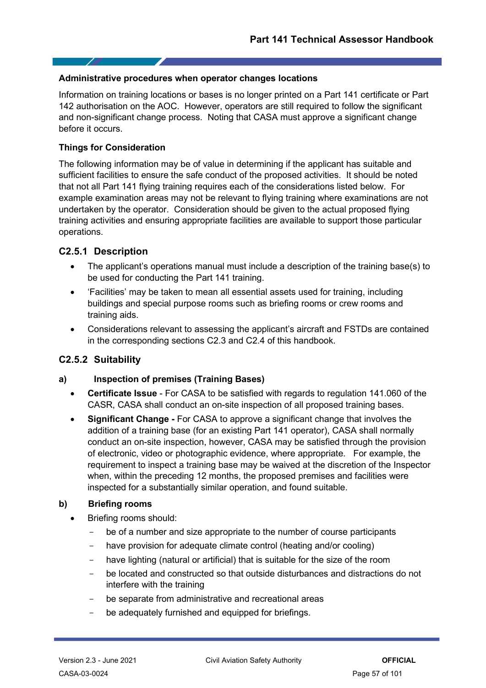### **Administrative procedures when operator changes locations**

Information on training locations or bases is no longer printed on a Part 141 certificate or Part 142 authorisation on the AOC. However, operators are still required to follow the significant and non-significant change process. Noting that CASA must approve a significant change before it occurs.

### **Things for Consideration**

- 7

The following information may be of value in determining if the applicant has suitable and sufficient facilities to ensure the safe conduct of the proposed activities. It should be noted that not all Part 141 flying training requires each of the considerations listed below. For example examination areas may not be relevant to flying training where examinations are not undertaken by the operator. Consideration should be given to the actual proposed flying training activities and ensuring appropriate facilities are available to support those particular operations.

# **C2.5.1 Description**

- The applicant's operations manual must include a description of the training base(s) to be used for conducting the Part 141 training.
- 'Facilities' may be taken to mean all essential assets used for training, including buildings and special purpose rooms such as briefing rooms or crew rooms and training aids.
- Considerations relevant to assessing the applicant's aircraft and FSTDs are contained in the corresponding sections C2.3 and C2.4 of this handbook.

# **C2.5.2 Suitability**

# **a) Inspection of premises (Training Bases)**

- **Certificate Issue** For CASA to be satisfied with regards to regulation 141.060 of the CASR, CASA shall conduct an on-site inspection of all proposed training bases.
- **Significant Change -** For CASA to approve a significant change that involves the addition of a training base (for an existing Part 141 operator), CASA shall normally conduct an on-site inspection, however, CASA may be satisfied through the provision of electronic, video or photographic evidence, where appropriate. For example, the requirement to inspect a training base may be waived at the discretion of the Inspector when, within the preceding 12 months, the proposed premises and facilities were inspected for a substantially similar operation, and found suitable.

# **b) Briefing rooms**

- Briefing rooms should:
	- be of a number and size appropriate to the number of course participants
	- have provision for adequate climate control (heating and/or cooling)
	- have lighting (natural or artificial) that is suitable for the size of the room
	- be located and constructed so that outside disturbances and distractions do not interfere with the training
	- be separate from administrative and recreational areas
	- be adequately furnished and equipped for briefings.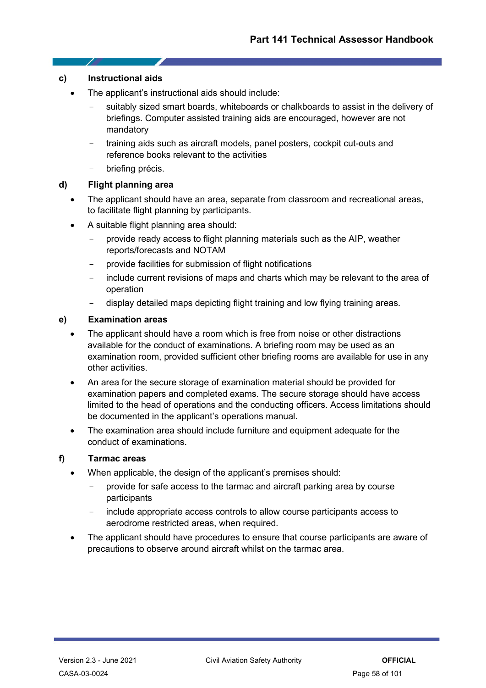#### **c) Instructional aids**

- 1

- The applicant's instructional aids should include:
	- suitably sized smart boards, whiteboards or chalkboards to assist in the delivery of briefings. Computer assisted training aids are encouraged, however are not mandatory
	- training aids such as aircraft models, panel posters, cockpit cut-outs and reference books relevant to the activities
	- briefing précis.

# **d) Flight planning area**

- The applicant should have an area, separate from classroom and recreational areas, to facilitate flight planning by participants.
- A suitable flight planning area should:
	- provide ready access to flight planning materials such as the AIP, weather reports/forecasts and NOTAM
	- provide facilities for submission of flight notifications
	- include current revisions of maps and charts which may be relevant to the area of operation
	- display detailed maps depicting flight training and low flying training areas.

### **e) Examination areas**

- The applicant should have a room which is free from noise or other distractions available for the conduct of examinations. A briefing room may be used as an examination room, provided sufficient other briefing rooms are available for use in any other activities.
- An area for the secure storage of examination material should be provided for examination papers and completed exams. The secure storage should have access limited to the head of operations and the conducting officers. Access limitations should be documented in the applicant's operations manual.
- The examination area should include furniture and equipment adequate for the conduct of examinations.

#### **f) Tarmac areas**

- When applicable, the design of the applicant's premises should:
	- provide for safe access to the tarmac and aircraft parking area by course participants
	- include appropriate access controls to allow course participants access to aerodrome restricted areas, when required.
- The applicant should have procedures to ensure that course participants are aware of precautions to observe around aircraft whilst on the tarmac area.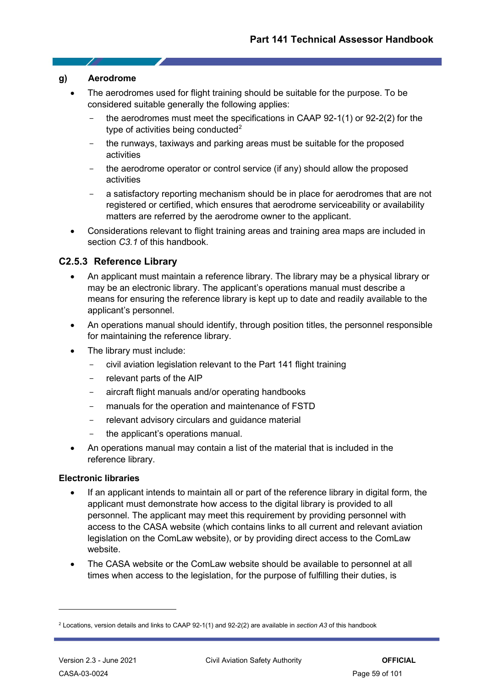#### **g) Aerodrome**

- 1

- The aerodromes used for flight training should be suitable for the purpose. To be considered suitable generally the following applies:
	- the aerodromes must meet the specifications in CAAP  $92-1(1)$  or  $92-2(2)$  for the type of activities being conducted $2$
	- the runways, taxiways and parking areas must be suitable for the proposed activities
	- the aerodrome operator or control service (if any) should allow the proposed activities
	- a satisfactory reporting mechanism should be in place for aerodromes that are not registered or certified, which ensures that aerodrome serviceability or availability matters are referred by the aerodrome owner to the applicant.
- Considerations relevant to flight training areas and training area maps are included in section *C3.1* of this handbook.

# **C2.5.3 Reference Library**

- An applicant must maintain a reference library. The library may be a physical library or may be an electronic library. The applicant's operations manual must describe a means for ensuring the reference library is kept up to date and readily available to the applicant's personnel.
- An operations manual should identify, through position titles, the personnel responsible for maintaining the reference library.
- The library must include:
	- civil aviation legislation relevant to the Part 141 flight training
	- relevant parts of the AIP
	- aircraft flight manuals and/or operating handbooks
	- manuals for the operation and maintenance of FSTD
	- relevant advisory circulars and guidance material
	- the applicant's operations manual.
- An operations manual may contain a list of the material that is included in the reference library.

# **Electronic libraries**

- If an applicant intends to maintain all or part of the reference library in digital form, the applicant must demonstrate how access to the digital library is provided to all personnel. The applicant may meet this requirement by providing personnel with access to the CASA website (which contains links to all current and relevant aviation legislation on the ComLaw website), or by providing direct access to the ComLaw website.
- The CASA website or the ComLaw website should be available to personnel at all times when access to the legislation, for the purpose of fulfilling their duties, is

<span id="page-58-0"></span><sup>2</sup> Locations, version details and links to CAAP 92-1(1) and 92-2(2) are available in *section A3* of this handbook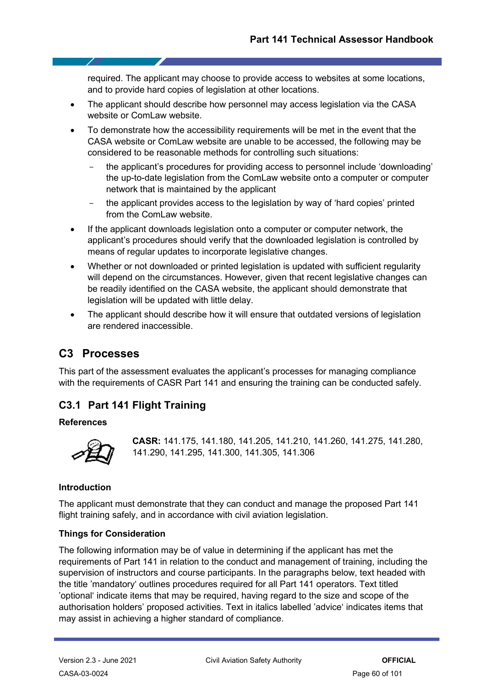required. The applicant may choose to provide access to websites at some locations, and to provide hard copies of legislation at other locations.

- The applicant should describe how personnel may access legislation via the CASA website or ComLaw website.
- To demonstrate how the accessibility requirements will be met in the event that the CASA website or ComLaw website are unable to be accessed, the following may be considered to be reasonable methods for controlling such situations:
	- the applicant's procedures for providing access to personnel include 'downloading' the up-to-date legislation from the ComLaw website onto a computer or computer network that is maintained by the applicant
	- the applicant provides access to the legislation by way of 'hard copies' printed from the ComLaw website.
- If the applicant downloads legislation onto a computer or computer network, the applicant's procedures should verify that the downloaded legislation is controlled by means of regular updates to incorporate legislative changes.
- Whether or not downloaded or printed legislation is updated with sufficient regularity will depend on the circumstances. However, given that recent legislative changes can be readily identified on the CASA website, the applicant should demonstrate that legislation will be updated with little delay.
- The applicant should describe how it will ensure that outdated versions of legislation are rendered inaccessible.

# **C3 Processes**

This part of the assessment evaluates the applicant's processes for managing compliance with the requirements of CASR Part 141 and ensuring the training can be conducted safely.

# **C3.1 Part 141 Flight Training**

# **References**



**CASR:** 141.175, 141.180, 141.205, 141.210, 141.260, 141.275, 141.280, 141.290, 141.295, 141.300, 141.305, 141.306

# **Introduction**

The applicant must demonstrate that they can conduct and manage the proposed Part 141 flight training safely, and in accordance with civil aviation legislation.

# **Things for Consideration**

The following information may be of value in determining if the applicant has met the requirements of Part 141 in relation to the conduct and management of training, including the supervision of instructors and course participants. In the paragraphs below, text headed with the title 'mandatory' outlines procedures required for all Part 141 operators. Text titled 'optional' indicate items that may be required, having regard to the size and scope of the authorisation holders' proposed activities. Text in italics labelled 'advice' indicates items that may assist in achieving a higher standard of compliance.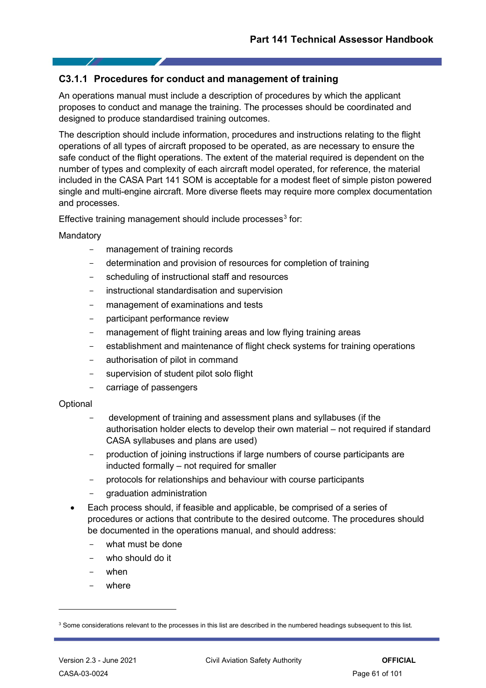# **C3.1.1 Procedures for conduct and management of training**

An operations manual must include a description of procedures by which the applicant proposes to conduct and manage the training. The processes should be coordinated and designed to produce standardised training outcomes.

The description should include information, procedures and instructions relating to the flight operations of all types of aircraft proposed to be operated, as are necessary to ensure the safe conduct of the flight operations. The extent of the material required is dependent on the number of types and complexity of each aircraft model operated, for reference, the material included in the CASA Part 141 SOM is acceptable for a modest fleet of simple piston powered single and multi-engine aircraft. More diverse fleets may require more complex documentation and processes.

Effective training management should include processes $3$  for:

#### Mandatory

- management of training records
- determination and provision of resources for completion of training
- scheduling of instructional staff and resources
- instructional standardisation and supervision
- management of examinations and tests
- participant performance review
- management of flight training areas and low flying training areas
- establishment and maintenance of flight check systems for training operations
- authorisation of pilot in command
- supervision of student pilot solo flight
- carriage of passengers

#### **Optional**

- development of training and assessment plans and syllabuses (if the authorisation holder elects to develop their own material – not required if standard CASA syllabuses and plans are used)
- production of joining instructions if large numbers of course participants are inducted formally – not required for smaller
- protocols for relationships and behaviour with course participants
- graduation administration
- Each process should, if feasible and applicable, be comprised of a series of procedures or actions that contribute to the desired outcome. The procedures should be documented in the operations manual, and should address:
	- what must be done
	- who should do it
	- when
	- where

<span id="page-60-0"></span><sup>&</sup>lt;sup>3</sup> Some considerations relevant to the processes in this list are described in the numbered headings subsequent to this list.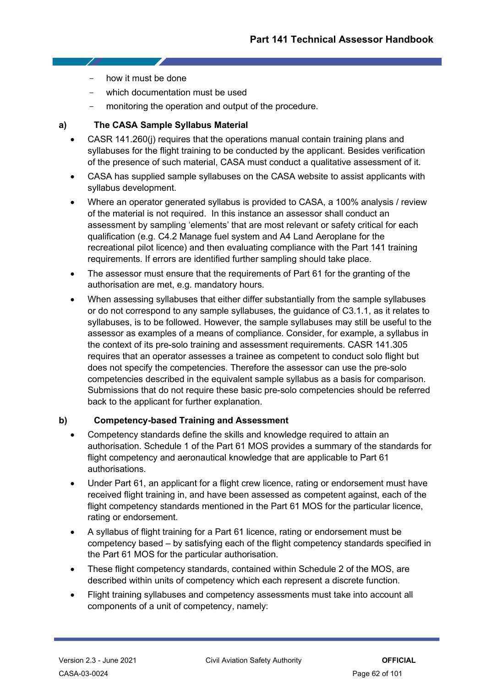- how it must be done
- which documentation must be used
- monitoring the operation and output of the procedure.

# **a) The CASA Sample Syllabus Material**

- CASR 141.260(j) requires that the operations manual contain training plans and syllabuses for the flight training to be conducted by the applicant. Besides verification of the presence of such material, CASA must conduct a qualitative assessment of it.
- CASA has supplied sample syllabuses on the CASA website to assist applicants with syllabus development.
- Where an operator generated syllabus is provided to CASA, a 100% analysis / review of the material is not required. In this instance an assessor shall conduct an assessment by sampling 'elements' that are most relevant or safety critical for each qualification (e.g. C4.2 Manage fuel system and A4 Land Aeroplane for the recreational pilot licence) and then evaluating compliance with the Part 141 training requirements. If errors are identified further sampling should take place.
- The assessor must ensure that the requirements of Part 61 for the granting of the authorisation are met, e.g. mandatory hours.
- When assessing syllabuses that either differ substantially from the sample syllabuses or do not correspond to any sample syllabuses, the guidance of C3.1.1, as it relates to syllabuses, is to be followed. However, the sample syllabuses may still be useful to the assessor as examples of a means of compliance. Consider, for example, a syllabus in the context of its pre-solo training and assessment requirements. CASR 141.305 requires that an operator assesses a trainee as competent to conduct solo flight but does not specify the competencies. Therefore the assessor can use the pre-solo competencies described in the equivalent sample syllabus as a basis for comparison. Submissions that do not require these basic pre-solo competencies should be referred back to the applicant for further explanation.

# **b) Competency-based Training and Assessment**

- Competency standards define the skills and knowledge required to attain an authorisation. Schedule 1 of the Part 61 MOS provides a summary of the standards for flight competency and aeronautical knowledge that are applicable to Part 61 authorisations.
- Under Part 61, an applicant for a flight crew licence, rating or endorsement must have received flight training in, and have been assessed as competent against, each of the flight competency standards mentioned in the Part 61 MOS for the particular licence, rating or endorsement.
- A syllabus of flight training for a Part 61 licence, rating or endorsement must be competency based – by satisfying each of the flight competency standards specified in the Part 61 MOS for the particular authorisation.
- These flight competency standards, contained within Schedule 2 of the MOS, are described within units of competency which each represent a discrete function.
- Flight training syllabuses and competency assessments must take into account all components of a unit of competency, namely: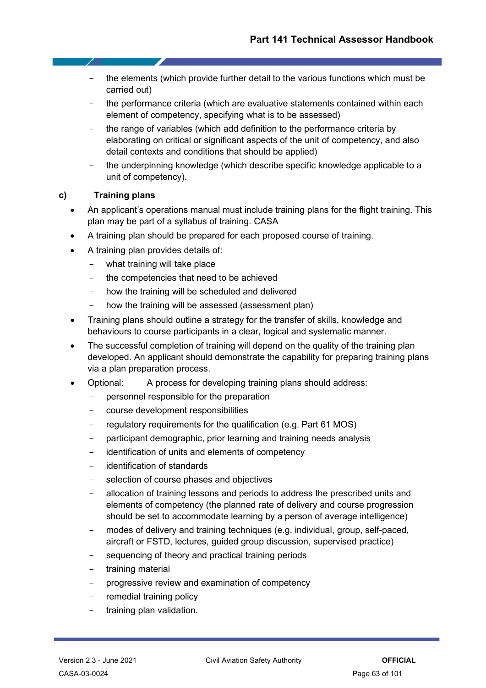- the elements (which provide further detail to the various functions which must be carried out)
- the performance criteria (which are evaluative statements contained within each element of competency, specifying what is to be assessed)
- the range of variables (which add definition to the performance criteria by elaborating on critical or significant aspects of the unit of competency, and also detail contexts and conditions that should be applied)
- the underpinning knowledge (which describe specific knowledge applicable to a unit of competency).

# **c) Training plans**

7

- An applicant's operations manual must include training plans for the flight training. This plan may be part of a syllabus of training. CASA
- A training plan should be prepared for each proposed course of training.
- A training plan provides details of:
	- what training will take place
	- the competencies that need to be achieved
	- how the training will be scheduled and delivered
	- how the training will be assessed (assessment plan)
- Training plans should outline a strategy for the transfer of skills, knowledge and behaviours to course participants in a clear, logical and systematic manner.
- The successful completion of training will depend on the quality of the training plan developed. An applicant should demonstrate the capability for preparing training plans via a plan preparation process.
- Optional: A process for developing training plans should address:
	- personnel responsible for the preparation
	- course development responsibilities
	- regulatory requirements for the qualification (e.g. Part 61 MOS)
	- participant demographic, prior learning and training needs analysis
	- identification of units and elements of competency
	- identification of standards
	- selection of course phases and objectives
	- allocation of training lessons and periods to address the prescribed units and elements of competency (the planned rate of delivery and course progression should be set to accommodate learning by a person of average intelligence)
	- modes of delivery and training techniques (e.g. individual, group, self-paced, aircraft or FSTD, lectures, guided group discussion, supervised practice)
	- sequencing of theory and practical training periods
	- training material
	- progressive review and examination of competency
	- remedial training policy
	- training plan validation.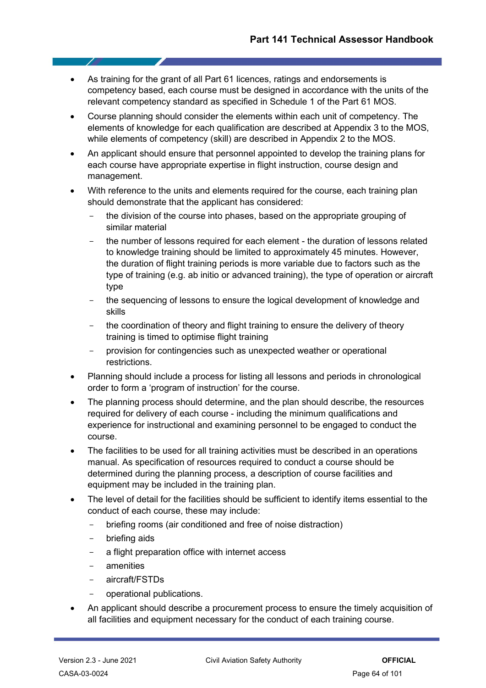- As training for the grant of all Part 61 licences, ratings and endorsements is competency based, each course must be designed in accordance with the units of the relevant competency standard as specified in Schedule 1 of the Part 61 MOS.
- Course planning should consider the elements within each unit of competency. The elements of knowledge for each qualification are described at Appendix 3 to the MOS, while elements of competency (skill) are described in Appendix 2 to the MOS.
- An applicant should ensure that personnel appointed to develop the training plans for each course have appropriate expertise in flight instruction, course design and management.
- With reference to the units and elements required for the course, each training plan should demonstrate that the applicant has considered:
	- the division of the course into phases, based on the appropriate grouping of similar material
	- the number of lessons required for each element the duration of lessons related to knowledge training should be limited to approximately 45 minutes. However, the duration of flight training periods is more variable due to factors such as the type of training (e.g. ab initio or advanced training), the type of operation or aircraft type
	- the sequencing of lessons to ensure the logical development of knowledge and skills
	- the coordination of theory and flight training to ensure the delivery of theory training is timed to optimise flight training
	- provision for contingencies such as unexpected weather or operational restrictions.
- Planning should include a process for listing all lessons and periods in chronological order to form a 'program of instruction' for the course.
- The planning process should determine, and the plan should describe, the resources required for delivery of each course - including the minimum qualifications and experience for instructional and examining personnel to be engaged to conduct the course.
- The facilities to be used for all training activities must be described in an operations manual. As specification of resources required to conduct a course should be determined during the planning process, a description of course facilities and equipment may be included in the training plan.
- The level of detail for the facilities should be sufficient to identify items essential to the conduct of each course, these may include:
	- briefing rooms (air conditioned and free of noise distraction)
	- briefing aids
	- a flight preparation office with internet access
	- amenities
	- aircraft/FSTDs
	- operational publications.
- An applicant should describe a procurement process to ensure the timely acquisition of all facilities and equipment necessary for the conduct of each training course.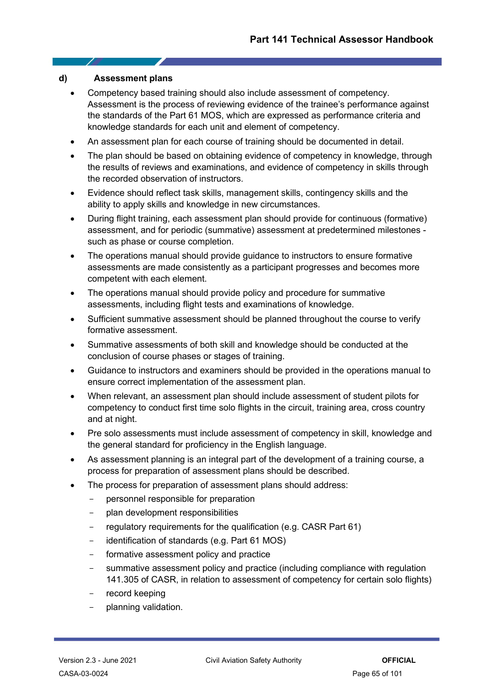#### **d) Assessment plans**

- Competency based training should also include assessment of competency. Assessment is the process of reviewing evidence of the trainee's performance against the standards of the Part 61 MOS, which are expressed as performance criteria and knowledge standards for each unit and element of competency.
- An assessment plan for each course of training should be documented in detail.
- The plan should be based on obtaining evidence of competency in knowledge, through the results of reviews and examinations, and evidence of competency in skills through the recorded observation of instructors.
- Evidence should reflect task skills, management skills, contingency skills and the ability to apply skills and knowledge in new circumstances.
- During flight training, each assessment plan should provide for continuous (formative) assessment, and for periodic (summative) assessment at predetermined milestones such as phase or course completion.
- The operations manual should provide guidance to instructors to ensure formative assessments are made consistently as a participant progresses and becomes more competent with each element.
- The operations manual should provide policy and procedure for summative assessments, including flight tests and examinations of knowledge.
- Sufficient summative assessment should be planned throughout the course to verify formative assessment.
- Summative assessments of both skill and knowledge should be conducted at the conclusion of course phases or stages of training.
- Guidance to instructors and examiners should be provided in the operations manual to ensure correct implementation of the assessment plan.
- When relevant, an assessment plan should include assessment of student pilots for competency to conduct first time solo flights in the circuit, training area, cross country and at night.
- Pre solo assessments must include assessment of competency in skill, knowledge and the general standard for proficiency in the English language.
- As assessment planning is an integral part of the development of a training course, a process for preparation of assessment plans should be described.
- The process for preparation of assessment plans should address:
	- personnel responsible for preparation
	- plan development responsibilities
	- regulatory requirements for the qualification (e.g. CASR Part 61)
	- identification of standards (e.g. Part 61 MOS)
	- formative assessment policy and practice
	- summative assessment policy and practice (including compliance with regulation 141.305 of CASR, in relation to assessment of competency for certain solo flights)
	- record keeping
	- planning validation.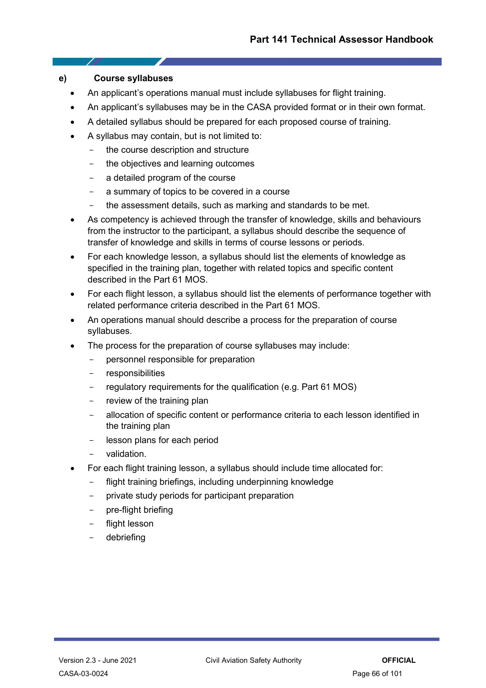### **e) Course syllabuses**

- 7

- An applicant's operations manual must include syllabuses for flight training.
- An applicant's syllabuses may be in the CASA provided format or in their own format.
- A detailed syllabus should be prepared for each proposed course of training.
- A syllabus may contain, but is not limited to:
	- the course description and structure
	- the objectives and learning outcomes
	- a detailed program of the course
	- a summary of topics to be covered in a course
	- the assessment details, such as marking and standards to be met.
- As competency is achieved through the transfer of knowledge, skills and behaviours from the instructor to the participant, a syllabus should describe the sequence of transfer of knowledge and skills in terms of course lessons or periods.
- For each knowledge lesson, a syllabus should list the elements of knowledge as specified in the training plan, together with related topics and specific content described in the Part 61 MOS.
- For each flight lesson, a syllabus should list the elements of performance together with related performance criteria described in the Part 61 MOS.
- An operations manual should describe a process for the preparation of course syllabuses.
- The process for the preparation of course syllabuses may include:
	- personnel responsible for preparation
	- responsibilities
	- regulatory requirements for the qualification (e.g. Part 61 MOS)
	- review of the training plan
	- allocation of specific content or performance criteria to each lesson identified in the training plan
	- lesson plans for each period
	- validation.
- For each flight training lesson, a syllabus should include time allocated for:
	- flight training briefings, including underpinning knowledge
	- private study periods for participant preparation
	- pre-flight briefing
	- flight lesson
	- debriefing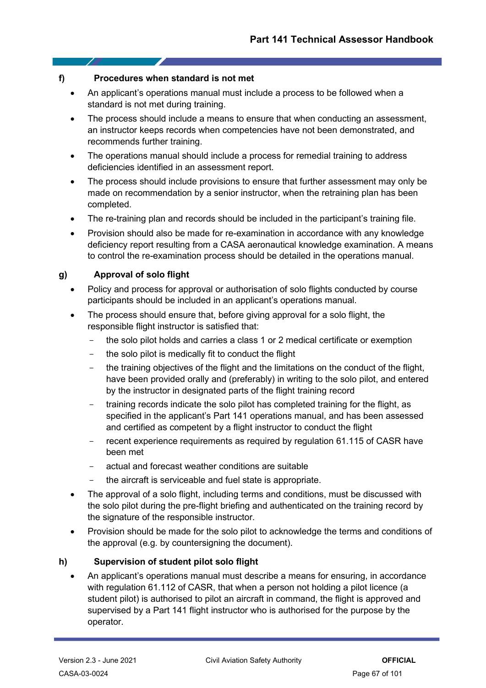# **f) Procedures when standard is not met**

- 1

- An applicant's operations manual must include a process to be followed when a standard is not met during training.
- The process should include a means to ensure that when conducting an assessment, an instructor keeps records when competencies have not been demonstrated, and recommends further training.
- The operations manual should include a process for remedial training to address deficiencies identified in an assessment report.
- The process should include provisions to ensure that further assessment may only be made on recommendation by a senior instructor, when the retraining plan has been completed.
- The re-training plan and records should be included in the participant's training file.
- Provision should also be made for re-examination in accordance with any knowledge deficiency report resulting from a CASA aeronautical knowledge examination. A means to control the re-examination process should be detailed in the operations manual.

# **g) Approval of solo flight**

- Policy and process for approval or authorisation of solo flights conducted by course participants should be included in an applicant's operations manual.
- The process should ensure that, before giving approval for a solo flight, the responsible flight instructor is satisfied that:
	- the solo pilot holds and carries a class 1 or 2 medical certificate or exemption
	- the solo pilot is medically fit to conduct the flight
	- the training objectives of the flight and the limitations on the conduct of the flight, have been provided orally and (preferably) in writing to the solo pilot, and entered by the instructor in designated parts of the flight training record
	- training records indicate the solo pilot has completed training for the flight, as specified in the applicant's Part 141 operations manual, and has been assessed and certified as competent by a flight instructor to conduct the flight
	- recent experience requirements as required by regulation 61.115 of CASR have been met
	- actual and forecast weather conditions are suitable
	- the aircraft is serviceable and fuel state is appropriate.
- The approval of a solo flight, including terms and conditions, must be discussed with the solo pilot during the pre-flight briefing and authenticated on the training record by the signature of the responsible instructor.
- Provision should be made for the solo pilot to acknowledge the terms and conditions of the approval (e.g. by countersigning the document).

# **h) Supervision of student pilot solo flight**

• An applicant's operations manual must describe a means for ensuring, in accordance with regulation 61.112 of CASR, that when a person not holding a pilot licence (a student pilot) is authorised to pilot an aircraft in command, the flight is approved and supervised by a Part 141 flight instructor who is authorised for the purpose by the operator.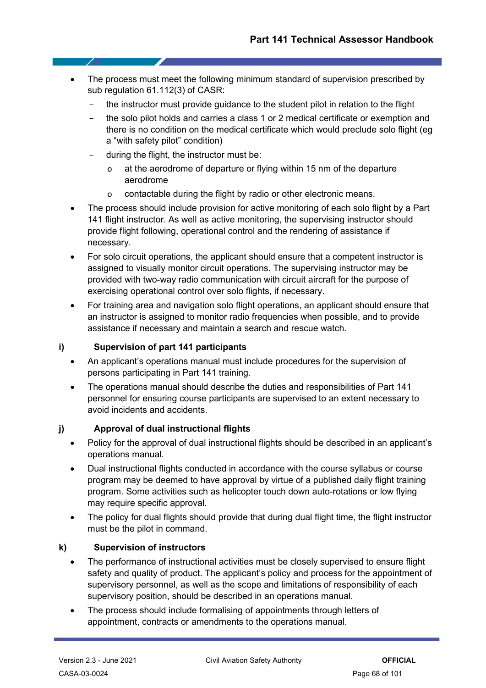- The process must meet the following minimum standard of supervision prescribed by sub regulation 61.112(3) of CASR:
	- the instructor must provide guidance to the student pilot in relation to the flight
	- the solo pilot holds and carries a class 1 or 2 medical certificate or exemption and there is no condition on the medical certificate which would preclude solo flight (eg a "with safety pilot" condition)
	- during the flight, the instructor must be:
		- o at the aerodrome of departure or flying within 15 nm of the departure aerodrome
		- o contactable during the flight by radio or other electronic means.
- The process should include provision for active monitoring of each solo flight by a Part 141 flight instructor. As well as active monitoring, the supervising instructor should provide flight following, operational control and the rendering of assistance if necessary.
- For solo circuit operations, the applicant should ensure that a competent instructor is assigned to visually monitor circuit operations. The supervising instructor may be provided with two-way radio communication with circuit aircraft for the purpose of exercising operational control over solo flights, if necessary.
- For training area and navigation solo flight operations, an applicant should ensure that an instructor is assigned to monitor radio frequencies when possible, and to provide assistance if necessary and maintain a search and rescue watch.

# **i) Supervision of part 141 participants**

- An applicant's operations manual must include procedures for the supervision of persons participating in Part 141 training.
- The operations manual should describe the duties and responsibilities of Part 141 personnel for ensuring course participants are supervised to an extent necessary to avoid incidents and accidents.

# **j) Approval of dual instructional flights**

- Policy for the approval of dual instructional flights should be described in an applicant's operations manual.
- Dual instructional flights conducted in accordance with the course syllabus or course program may be deemed to have approval by virtue of a published daily flight training program. Some activities such as helicopter touch down auto-rotations or low flying may require specific approval.
- The policy for dual flights should provide that during dual flight time, the flight instructor must be the pilot in command.

# **k) Supervision of instructors**

- The performance of instructional activities must be closely supervised to ensure flight safety and quality of product. The applicant's policy and process for the appointment of supervisory personnel, as well as the scope and limitations of responsibility of each supervisory position, should be described in an operations manual.
- The process should include formalising of appointments through letters of appointment, contracts or amendments to the operations manual.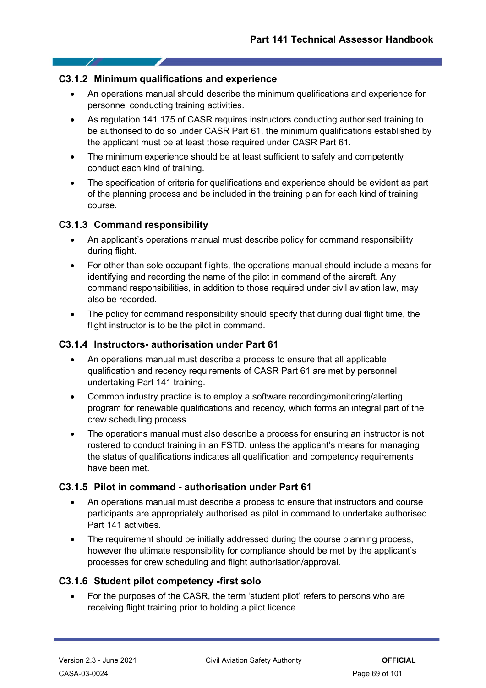# **C3.1.2 Minimum qualifications and experience**

- An operations manual should describe the minimum qualifications and experience for personnel conducting training activities.
- As regulation 141.175 of CASR requires instructors conducting authorised training to be authorised to do so under CASR Part 61, the minimum qualifications established by the applicant must be at least those required under CASR Part 61.
- The minimum experience should be at least sufficient to safely and competently conduct each kind of training.
- The specification of criteria for qualifications and experience should be evident as part of the planning process and be included in the training plan for each kind of training course.

# **C3.1.3 Command responsibility**

 $\overline{\phantom{a}}$ 

- An applicant's operations manual must describe policy for command responsibility during flight.
- For other than sole occupant flights, the operations manual should include a means for identifying and recording the name of the pilot in command of the aircraft. Any command responsibilities, in addition to those required under civil aviation law, may also be recorded.
- The policy for command responsibility should specify that during dual flight time, the flight instructor is to be the pilot in command.

# **C3.1.4 Instructors- authorisation under Part 61**

- An operations manual must describe a process to ensure that all applicable qualification and recency requirements of CASR Part 61 are met by personnel undertaking Part 141 training.
- Common industry practice is to employ a software recording/monitoring/alerting program for renewable qualifications and recency, which forms an integral part of the crew scheduling process.
- The operations manual must also describe a process for ensuring an instructor is not rostered to conduct training in an FSTD, unless the applicant's means for managing the status of qualifications indicates all qualification and competency requirements have been met.

# **C3.1.5 Pilot in command - authorisation under Part 61**

- An operations manual must describe a process to ensure that instructors and course participants are appropriately authorised as pilot in command to undertake authorised Part 141 activities.
- The requirement should be initially addressed during the course planning process, however the ultimate responsibility for compliance should be met by the applicant's processes for crew scheduling and flight authorisation/approval.

# **C3.1.6 Student pilot competency -first solo**

• For the purposes of the CASR, the term 'student pilot' refers to persons who are receiving flight training prior to holding a pilot licence.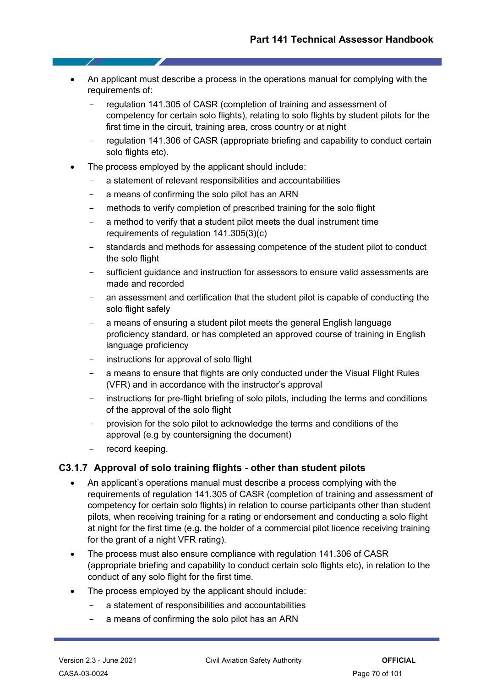- An applicant must describe a process in the operations manual for complying with the requirements of:
	- regulation 141.305 of CASR (completion of training and assessment of competency for certain solo flights), relating to solo flights by student pilots for the first time in the circuit, training area, cross country or at night
	- regulation 141.306 of CASR (appropriate briefing and capability to conduct certain solo flights etc).
- The process employed by the applicant should include:
	- a statement of relevant responsibilities and accountabilities
	- a means of confirming the solo pilot has an ARN
	- methods to verify completion of prescribed training for the solo flight
	- a method to verify that a student pilot meets the dual instrument time requirements of regulation 141.305(3)(c)
	- standards and methods for assessing competence of the student pilot to conduct the solo flight
	- sufficient guidance and instruction for assessors to ensure valid assessments are made and recorded
	- an assessment and certification that the student pilot is capable of conducting the solo flight safely
	- a means of ensuring a student pilot meets the general English language proficiency standard, or has completed an approved course of training in English language proficiency
	- instructions for approval of solo flight
	- a means to ensure that flights are only conducted under the Visual Flight Rules (VFR) and in accordance with the instructor's approval
	- instructions for pre-flight briefing of solo pilots, including the terms and conditions of the approval of the solo flight
	- provision for the solo pilot to acknowledge the terms and conditions of the approval (e.g by countersigning the document)
	- record keeping.

# **C3.1.7 Approval of solo training flights - other than student pilots**

- An applicant's operations manual must describe a process complying with the requirements of regulation 141.305 of CASR (completion of training and assessment of competency for certain solo flights) in relation to course participants other than student pilots, when receiving training for a rating or endorsement and conducting a solo flight at night for the first time (e.g. the holder of a commercial pilot licence receiving training for the grant of a night VFR rating).
- The process must also ensure compliance with regulation 141.306 of CASR (appropriate briefing and capability to conduct certain solo flights etc), in relation to the conduct of any solo flight for the first time.
- The process employed by the applicant should include:
	- a statement of responsibilities and accountabilities
	- a means of confirming the solo pilot has an ARN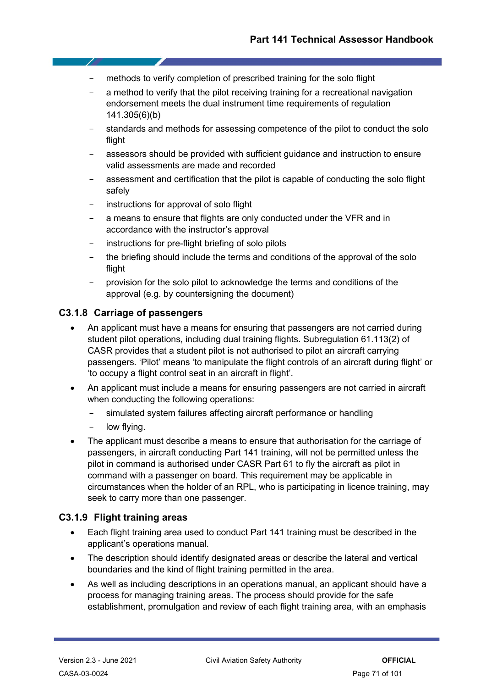- methods to verify completion of prescribed training for the solo flight
- a method to verify that the pilot receiving training for a recreational navigation endorsement meets the dual instrument time requirements of regulation 141.305(6)(b)
- standards and methods for assessing competence of the pilot to conduct the solo flight
- assessors should be provided with sufficient guidance and instruction to ensure valid assessments are made and recorded
- assessment and certification that the pilot is capable of conducting the solo flight safely
- instructions for approval of solo flight
- a means to ensure that flights are only conducted under the VFR and in accordance with the instructor's approval
- instructions for pre-flight briefing of solo pilots
- the briefing should include the terms and conditions of the approval of the solo flight
- provision for the solo pilot to acknowledge the terms and conditions of the approval (e.g. by countersigning the document)

# **C3.1.8 Carriage of passengers**

- An applicant must have a means for ensuring that passengers are not carried during student pilot operations, including dual training flights. Subregulation 61.113(2) of CASR provides that a student pilot is not authorised to pilot an aircraft carrying passengers. 'Pilot' means 'to manipulate the flight controls of an aircraft during flight' or 'to occupy a flight control seat in an aircraft in flight'.
- An applicant must include a means for ensuring passengers are not carried in aircraft when conducting the following operations:
	- simulated system failures affecting aircraft performance or handling
	- low flying.
- The applicant must describe a means to ensure that authorisation for the carriage of passengers, in aircraft conducting Part 141 training, will not be permitted unless the pilot in command is authorised under CASR Part 61 to fly the aircraft as pilot in command with a passenger on board. This requirement may be applicable in circumstances when the holder of an RPL, who is participating in licence training, may seek to carry more than one passenger.

# **C3.1.9 Flight training areas**

- Each flight training area used to conduct Part 141 training must be described in the applicant's operations manual.
- The description should identify designated areas or describe the lateral and vertical boundaries and the kind of flight training permitted in the area.
- As well as including descriptions in an operations manual, an applicant should have a process for managing training areas. The process should provide for the safe establishment, promulgation and review of each flight training area, with an emphasis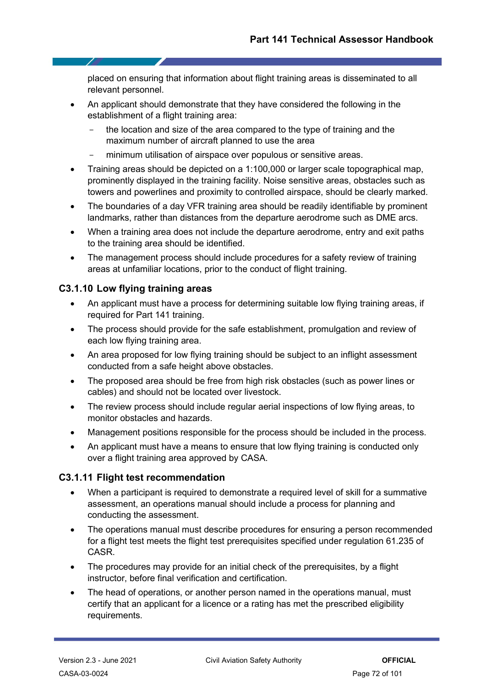placed on ensuring that information about flight training areas is disseminated to all relevant personnel.

- An applicant should demonstrate that they have considered the following in the establishment of a flight training area:
	- the location and size of the area compared to the type of training and the maximum number of aircraft planned to use the area
	- minimum utilisation of airspace over populous or sensitive areas.
- Training areas should be depicted on a 1:100,000 or larger scale topographical map, prominently displayed in the training facility. Noise sensitive areas, obstacles such as towers and powerlines and proximity to controlled airspace, should be clearly marked.
- The boundaries of a day VFR training area should be readily identifiable by prominent landmarks, rather than distances from the departure aerodrome such as DME arcs.
- When a training area does not include the departure aerodrome, entry and exit paths to the training area should be identified.
- The management process should include procedures for a safety review of training areas at unfamiliar locations, prior to the conduct of flight training.

# **C3.1.10 Low flying training areas**

- An applicant must have a process for determining suitable low flying training areas, if required for Part 141 training.
- The process should provide for the safe establishment, promulgation and review of each low flying training area.
- An area proposed for low flying training should be subject to an inflight assessment conducted from a safe height above obstacles.
- The proposed area should be free from high risk obstacles (such as power lines or cables) and should not be located over livestock.
- The review process should include regular aerial inspections of low flying areas, to monitor obstacles and hazards.
- Management positions responsible for the process should be included in the process.
- An applicant must have a means to ensure that low flying training is conducted only over a flight training area approved by CASA.

# **C3.1.11 Flight test recommendation**

- When a participant is required to demonstrate a required level of skill for a summative assessment, an operations manual should include a process for planning and conducting the assessment.
- The operations manual must describe procedures for ensuring a person recommended for a flight test meets the flight test prerequisites specified under regulation 61.235 of CASR.
- The procedures may provide for an initial check of the prerequisites, by a flight instructor, before final verification and certification.
- The head of operations, or another person named in the operations manual, must certify that an applicant for a licence or a rating has met the prescribed eligibility requirements.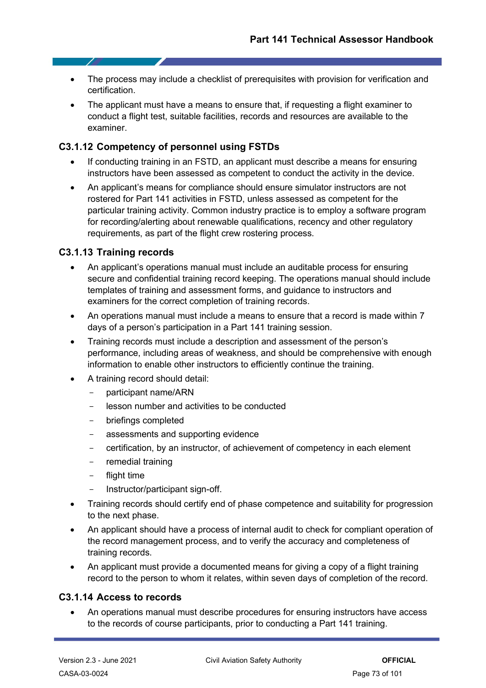- The process may include a checklist of prerequisites with provision for verification and certification.
- The applicant must have a means to ensure that, if requesting a flight examiner to conduct a flight test, suitable facilities, records and resources are available to the examiner.

## **C3.1.12 Competency of personnel using FSTDs**

- If conducting training in an FSTD, an applicant must describe a means for ensuring instructors have been assessed as competent to conduct the activity in the device.
- An applicant's means for compliance should ensure simulator instructors are not rostered for Part 141 activities in FSTD, unless assessed as competent for the particular training activity. Common industry practice is to employ a software program for recording/alerting about renewable qualifications, recency and other regulatory requirements, as part of the flight crew rostering process.

## **C3.1.13 Training records**

- An applicant's operations manual must include an auditable process for ensuring secure and confidential training record keeping. The operations manual should include templates of training and assessment forms, and guidance to instructors and examiners for the correct completion of training records.
- An operations manual must include a means to ensure that a record is made within 7 days of a person's participation in a Part 141 training session.
- Training records must include a description and assessment of the person's performance, including areas of weakness, and should be comprehensive with enough information to enable other instructors to efficiently continue the training.
- A training record should detail:
	- participant name/ARN
	- lesson number and activities to be conducted
	- briefings completed
	- assessments and supporting evidence
	- certification, by an instructor, of achievement of competency in each element
	- remedial training
	- flight time
	- Instructor/participant sign-off.
- Training records should certify end of phase competence and suitability for progression to the next phase.
- An applicant should have a process of internal audit to check for compliant operation of the record management process, and to verify the accuracy and completeness of training records.
- An applicant must provide a documented means for giving a copy of a flight training record to the person to whom it relates, within seven days of completion of the record.

## **C3.1.14 Access to records**

• An operations manual must describe procedures for ensuring instructors have access to the records of course participants, prior to conducting a Part 141 training.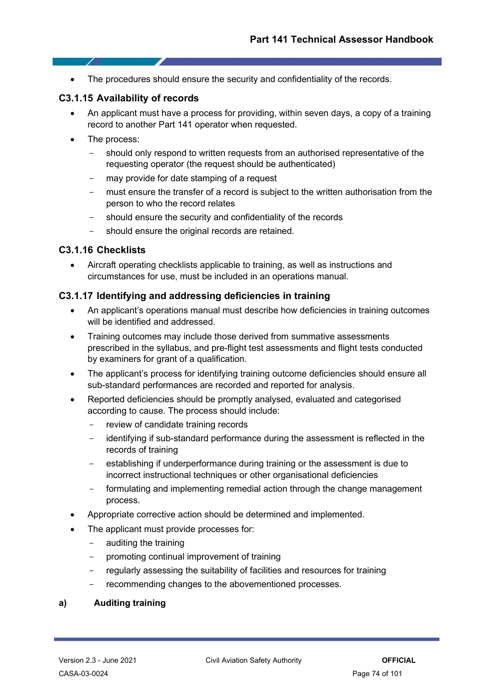• The procedures should ensure the security and confidentiality of the records.

## **C3.1.15 Availability of records**

- An applicant must have a process for providing, within seven days, a copy of a training record to another Part 141 operator when requested.
- The process:

- 7

- should only respond to written requests from an authorised representative of the requesting operator (the request should be authenticated)
- may provide for date stamping of a request
- must ensure the transfer of a record is subject to the written authorisation from the person to who the record relates
- should ensure the security and confidentiality of the records
- should ensure the original records are retained.

### **C3.1.16 Checklists**

• Aircraft operating checklists applicable to training, as well as instructions and circumstances for use, must be included in an operations manual.

## **C3.1.17 Identifying and addressing deficiencies in training**

- An applicant's operations manual must describe how deficiencies in training outcomes will be identified and addressed.
- Training outcomes may include those derived from summative assessments prescribed in the syllabus, and pre-flight test assessments and flight tests conducted by examiners for grant of a qualification.
- The applicant's process for identifying training outcome deficiencies should ensure all sub-standard performances are recorded and reported for analysis.
- Reported deficiencies should be promptly analysed, evaluated and categorised according to cause. The process should include:
	- review of candidate training records
	- identifying if sub-standard performance during the assessment is reflected in the records of training
	- establishing if underperformance during training or the assessment is due to incorrect instructional techniques or other organisational deficiencies
	- formulating and implementing remedial action through the change management process.
- Appropriate corrective action should be determined and implemented.
- The applicant must provide processes for:
	- auditing the training
	- promoting continual improvement of training
	- regularly assessing the suitability of facilities and resources for training
	- recommending changes to the abovementioned processes.

#### **a) Auditing training**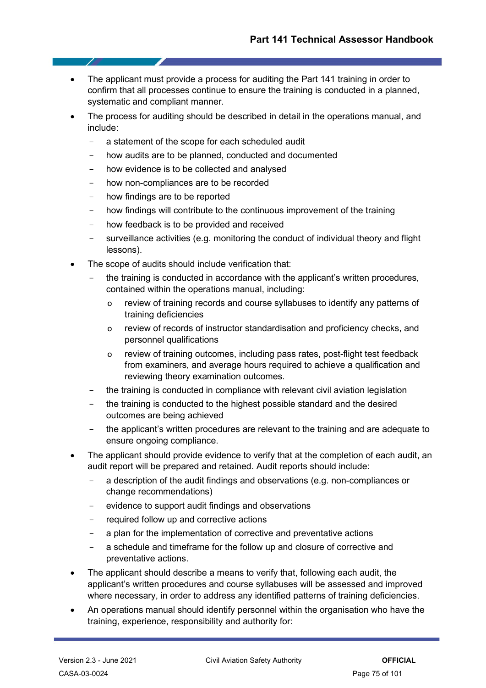- The applicant must provide a process for auditing the Part 141 training in order to confirm that all processes continue to ensure the training is conducted in a planned, systematic and compliant manner.
- The process for auditing should be described in detail in the operations manual, and include:
	- a statement of the scope for each scheduled audit
	- how audits are to be planned, conducted and documented
	- how evidence is to be collected and analysed
	- how non-compliances are to be recorded
	- how findings are to be reported
	- how findings will contribute to the continuous improvement of the training
	- how feedback is to be provided and received
	- surveillance activities (e.g. monitoring the conduct of individual theory and flight lessons).
- The scope of audits should include verification that:
	- the training is conducted in accordance with the applicant's written procedures, contained within the operations manual, including:
		- o review of training records and course syllabuses to identify any patterns of training deficiencies
		- o review of records of instructor standardisation and proficiency checks, and personnel qualifications
		- o review of training outcomes, including pass rates, post-flight test feedback from examiners, and average hours required to achieve a qualification and reviewing theory examination outcomes.
	- the training is conducted in compliance with relevant civil aviation legislation
	- the training is conducted to the highest possible standard and the desired outcomes are being achieved
	- the applicant's written procedures are relevant to the training and are adequate to ensure ongoing compliance.
- The applicant should provide evidence to verify that at the completion of each audit, an audit report will be prepared and retained. Audit reports should include:
	- a description of the audit findings and observations (e.g. non-compliances or change recommendations)
	- evidence to support audit findings and observations
	- required follow up and corrective actions
	- a plan for the implementation of corrective and preventative actions
	- a schedule and timeframe for the follow up and closure of corrective and preventative actions.
- The applicant should describe a means to verify that, following each audit, the applicant's written procedures and course syllabuses will be assessed and improved where necessary, in order to address any identified patterns of training deficiencies.
- An operations manual should identify personnel within the organisation who have the training, experience, responsibility and authority for: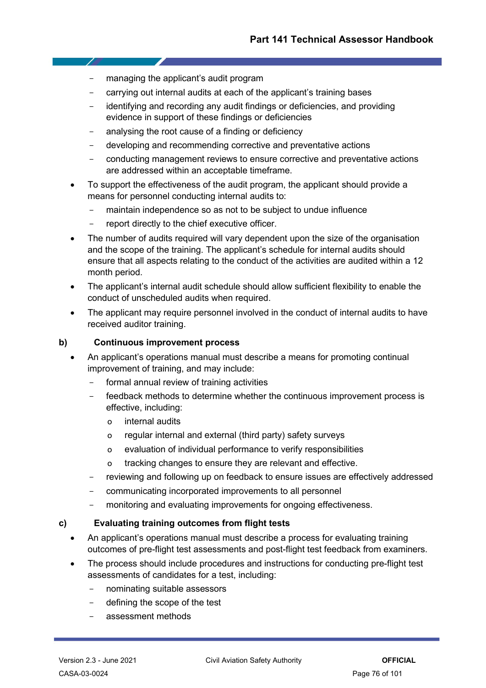managing the applicant's audit program

7

- carrying out internal audits at each of the applicant's training bases
- identifying and recording any audit findings or deficiencies, and providing evidence in support of these findings or deficiencies
- analysing the root cause of a finding or deficiency
- developing and recommending corrective and preventative actions
- conducting management reviews to ensure corrective and preventative actions are addressed within an acceptable timeframe.
- To support the effectiveness of the audit program, the applicant should provide a means for personnel conducting internal audits to:
	- maintain independence so as not to be subject to undue influence
	- report directly to the chief executive officer.
- The number of audits required will vary dependent upon the size of the organisation and the scope of the training. The applicant's schedule for internal audits should ensure that all aspects relating to the conduct of the activities are audited within a 12 month period.
- The applicant's internal audit schedule should allow sufficient flexibility to enable the conduct of unscheduled audits when required.
- The applicant may require personnel involved in the conduct of internal audits to have received auditor training.

## **b) Continuous improvement process**

- An applicant's operations manual must describe a means for promoting continual improvement of training, and may include:
	- formal annual review of training activities
	- feedback methods to determine whether the continuous improvement process is effective, including:
		- o internal audits
		- o regular internal and external (third party) safety surveys
		- o evaluation of individual performance to verify responsibilities
		- o tracking changes to ensure they are relevant and effective.
	- reviewing and following up on feedback to ensure issues are effectively addressed
	- communicating incorporated improvements to all personnel
	- monitoring and evaluating improvements for ongoing effectiveness.

### **c) Evaluating training outcomes from flight tests**

- An applicant's operations manual must describe a process for evaluating training outcomes of pre-flight test assessments and post-flight test feedback from examiners.
- The process should include procedures and instructions for conducting pre-flight test assessments of candidates for a test, including:
	- nominating suitable assessors
	- defining the scope of the test
	- assessment methods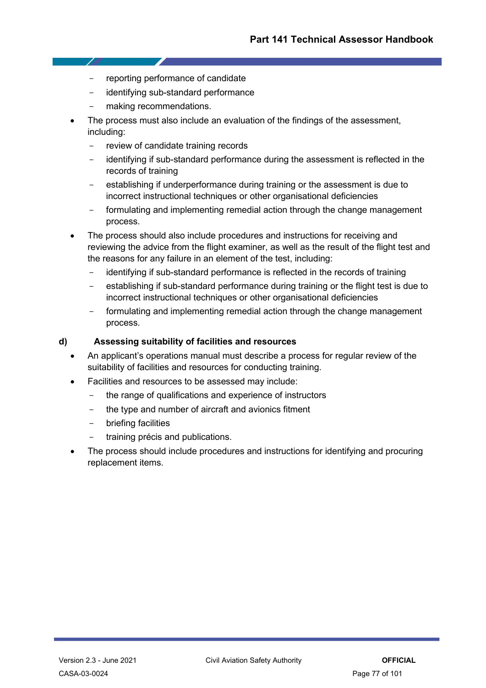- reporting performance of candidate
- identifying sub-standard performance
- making recommendations.

- 7

- The process must also include an evaluation of the findings of the assessment, including:
	- review of candidate training records
	- identifying if sub-standard performance during the assessment is reflected in the records of training
	- establishing if underperformance during training or the assessment is due to incorrect instructional techniques or other organisational deficiencies
	- formulating and implementing remedial action through the change management process.
- The process should also include procedures and instructions for receiving and reviewing the advice from the flight examiner, as well as the result of the flight test and the reasons for any failure in an element of the test, including:
	- identifying if sub-standard performance is reflected in the records of training
	- establishing if sub-standard performance during training or the flight test is due to incorrect instructional techniques or other organisational deficiencies
	- formulating and implementing remedial action through the change management process.

## **d) Assessing suitability of facilities and resources**

- An applicant's operations manual must describe a process for regular review of the suitability of facilities and resources for conducting training.
- Facilities and resources to be assessed may include:
	- the range of qualifications and experience of instructors
	- the type and number of aircraft and avionics fitment
	- briefing facilities
	- training précis and publications.
- The process should include procedures and instructions for identifying and procuring replacement items.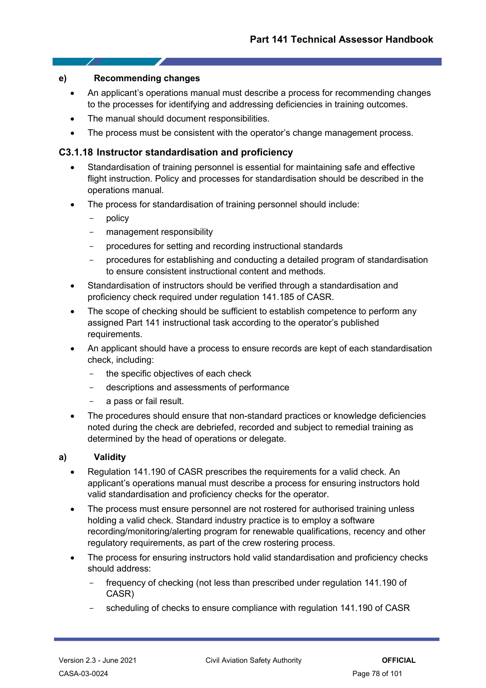## **e) Recommending changes**

- An applicant's operations manual must describe a process for recommending changes to the processes for identifying and addressing deficiencies in training outcomes.
- The manual should document responsibilities.
- The process must be consistent with the operator's change management process.

## **C3.1.18 Instructor standardisation and proficiency**

- Standardisation of training personnel is essential for maintaining safe and effective flight instruction. Policy and processes for standardisation should be described in the operations manual.
- The process for standardisation of training personnel should include:
	- policy
	- management responsibility
	- procedures for setting and recording instructional standards
	- procedures for establishing and conducting a detailed program of standardisation to ensure consistent instructional content and methods.
- Standardisation of instructors should be verified through a standardisation and proficiency check required under regulation 141.185 of CASR.
- The scope of checking should be sufficient to establish competence to perform any assigned Part 141 instructional task according to the operator's published requirements.
- An applicant should have a process to ensure records are kept of each standardisation check, including:
	- the specific objectives of each check
	- descriptions and assessments of performance
	- a pass or fail result.
- The procedures should ensure that non-standard practices or knowledge deficiencies noted during the check are debriefed, recorded and subject to remedial training as determined by the head of operations or delegate.

### **a) Validity**

- Regulation 141.190 of CASR prescribes the requirements for a valid check. An applicant's operations manual must describe a process for ensuring instructors hold valid standardisation and proficiency checks for the operator.
- The process must ensure personnel are not rostered for authorised training unless holding a valid check. Standard industry practice is to employ a software recording/monitoring/alerting program for renewable qualifications, recency and other regulatory requirements, as part of the crew rostering process.
- The process for ensuring instructors hold valid standardisation and proficiency checks should address:
	- frequency of checking (not less than prescribed under regulation 141.190 of CASR)
	- scheduling of checks to ensure compliance with regulation 141.190 of CASR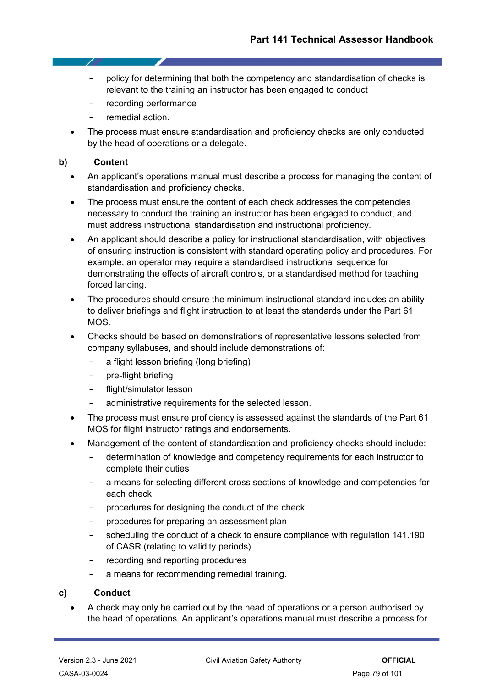- policy for determining that both the competency and standardisation of checks is relevant to the training an instructor has been engaged to conduct
- recording performance
- remedial action.
- The process must ensure standardisation and proficiency checks are only conducted by the head of operations or a delegate.

### **b) Content**

7

- An applicant's operations manual must describe a process for managing the content of standardisation and proficiency checks.
- The process must ensure the content of each check addresses the competencies necessary to conduct the training an instructor has been engaged to conduct, and must address instructional standardisation and instructional proficiency.
- An applicant should describe a policy for instructional standardisation, with objectives of ensuring instruction is consistent with standard operating policy and procedures. For example, an operator may require a standardised instructional sequence for demonstrating the effects of aircraft controls, or a standardised method for teaching forced landing.
- The procedures should ensure the minimum instructional standard includes an ability to deliver briefings and flight instruction to at least the standards under the Part 61 MOS.
- Checks should be based on demonstrations of representative lessons selected from company syllabuses, and should include demonstrations of:
	- a flight lesson briefing (long briefing)
	- pre-flight briefing
	- flight/simulator lesson
	- administrative requirements for the selected lesson.
- The process must ensure proficiency is assessed against the standards of the Part 61 MOS for flight instructor ratings and endorsements.
- Management of the content of standardisation and proficiency checks should include:
	- determination of knowledge and competency requirements for each instructor to complete their duties
	- a means for selecting different cross sections of knowledge and competencies for each check
	- procedures for designing the conduct of the check
	- procedures for preparing an assessment plan
	- scheduling the conduct of a check to ensure compliance with regulation 141.190 of CASR (relating to validity periods)
	- recording and reporting procedures
	- a means for recommending remedial training.

### **c) Conduct**

• A check may only be carried out by the head of operations or a person authorised by the head of operations. An applicant's operations manual must describe a process for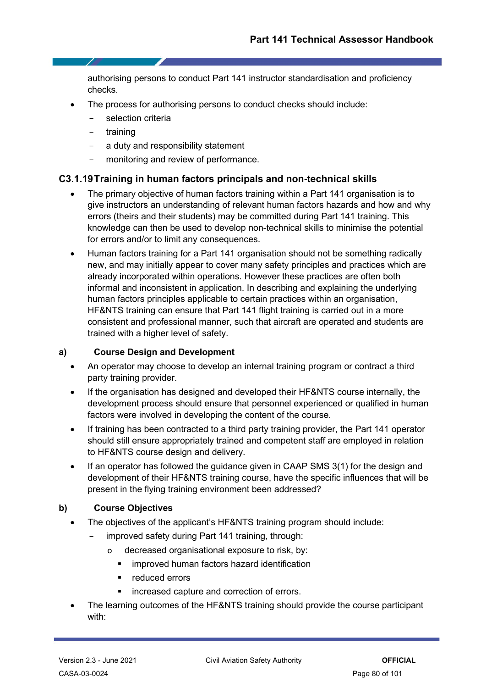authorising persons to conduct Part 141 instructor standardisation and proficiency checks.

- The process for authorising persons to conduct checks should include:
	- selection criteria
	- training
	- a duty and responsibility statement
	- monitoring and review of performance.

## **C3.1.19Training in human factors principals and non-technical skills**

- The primary objective of human factors training within a Part 141 organisation is to give instructors an understanding of relevant human factors hazards and how and why errors (theirs and their students) may be committed during Part 141 training. This knowledge can then be used to develop non-technical skills to minimise the potential for errors and/or to limit any consequences.
- Human factors training for a Part 141 organisation should not be something radically new, and may initially appear to cover many safety principles and practices which are already incorporated within operations. However these practices are often both informal and inconsistent in application. In describing and explaining the underlying human factors principles applicable to certain practices within an organisation, HF&NTS training can ensure that Part 141 flight training is carried out in a more consistent and professional manner, such that aircraft are operated and students are trained with a higher level of safety.

### **a) Course Design and Development**

- An operator may choose to develop an internal training program or contract a third party training provider.
- If the organisation has designed and developed their HF&NTS course internally, the development process should ensure that personnel experienced or qualified in human factors were involved in developing the content of the course.
- If training has been contracted to a third party training provider, the Part 141 operator should still ensure appropriately trained and competent staff are employed in relation to HF&NTS course design and delivery.
- If an operator has followed the guidance given in CAAP SMS 3(1) for the design and development of their HF&NTS training course, have the specific influences that will be present in the flying training environment been addressed?

## **b) Course Objectives**

- The objectives of the applicant's HF&NTS training program should include:
	- improved safety during Part 141 training, through:
		- o decreased organisational exposure to risk, by:
			- improved human factors hazard identification
			- **F** reduced errors
			- **EXEC** increased capture and correction of errors.
- The learning outcomes of the HF&NTS training should provide the course participant with: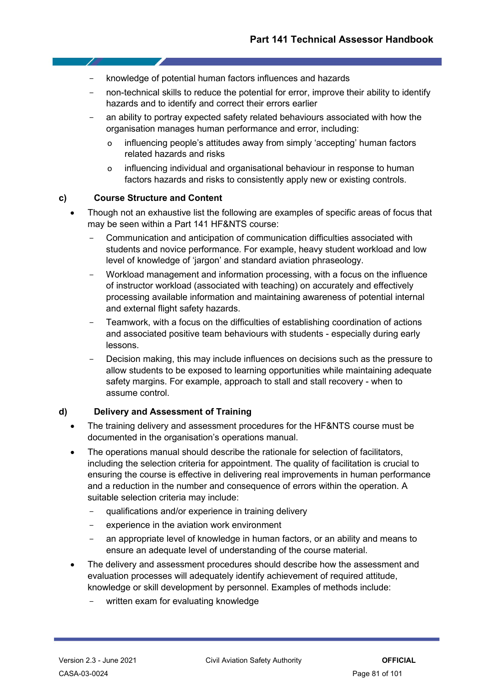- knowledge of potential human factors influences and hazards
- non-technical skills to reduce the potential for error, improve their ability to identify hazards and to identify and correct their errors earlier
- an ability to portray expected safety related behaviours associated with how the organisation manages human performance and error, including:
	- o influencing people's attitudes away from simply 'accepting' human factors related hazards and risks
	- o influencing individual and organisational behaviour in response to human factors hazards and risks to consistently apply new or existing controls.

## **c) Course Structure and Content**

- Though not an exhaustive list the following are examples of specific areas of focus that may be seen within a Part 141 HF&NTS course:
	- Communication and anticipation of communication difficulties associated with students and novice performance. For example, heavy student workload and low level of knowledge of 'jargon' and standard aviation phraseology.
	- Workload management and information processing, with a focus on the influence of instructor workload (associated with teaching) on accurately and effectively processing available information and maintaining awareness of potential internal and external flight safety hazards.
	- Teamwork, with a focus on the difficulties of establishing coordination of actions and associated positive team behaviours with students - especially during early lessons.
	- Decision making, this may include influences on decisions such as the pressure to allow students to be exposed to learning opportunities while maintaining adequate safety margins. For example, approach to stall and stall recovery - when to assume control.

### **d) Delivery and Assessment of Training**

- The training delivery and assessment procedures for the HF&NTS course must be documented in the organisation's operations manual.
- The operations manual should describe the rationale for selection of facilitators, including the selection criteria for appointment. The quality of facilitation is crucial to ensuring the course is effective in delivering real improvements in human performance and a reduction in the number and consequence of errors within the operation. A suitable selection criteria may include:
	- qualifications and/or experience in training delivery
	- experience in the aviation work environment
	- an appropriate level of knowledge in human factors, or an ability and means to ensure an adequate level of understanding of the course material.
- The delivery and assessment procedures should describe how the assessment and evaluation processes will adequately identify achievement of required attitude, knowledge or skill development by personnel. Examples of methods include:
	- written exam for evaluating knowledge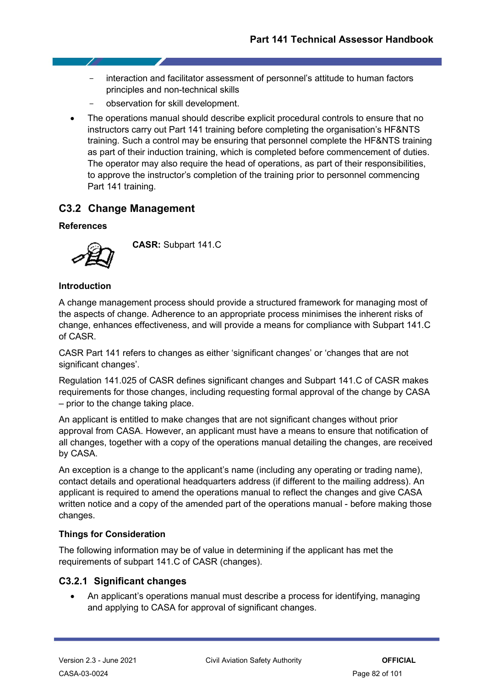- interaction and facilitator assessment of personnel's attitude to human factors principles and non-technical skills
- observation for skill development.
- The operations manual should describe explicit procedural controls to ensure that no instructors carry out Part 141 training before completing the organisation's HF&NTS training. Such a control may be ensuring that personnel complete the HF&NTS training as part of their induction training, which is completed before commencement of duties. The operator may also require the head of operations, as part of their responsibilities, to approve the instructor's completion of the training prior to personnel commencing Part 141 training.

## **C3.2 Change Management**

## **References**



**CASR:** Subpart 141.C

## **Introduction**

A change management process should provide a structured framework for managing most of the aspects of change. Adherence to an appropriate process minimises the inherent risks of change, enhances effectiveness, and will provide a means for compliance with Subpart 141.C of CASR.

CASR Part 141 refers to changes as either 'significant changes' or 'changes that are not significant changes'.

Regulation 141.025 of CASR defines significant changes and Subpart 141.C of CASR makes requirements for those changes, including requesting formal approval of the change by CASA – prior to the change taking place.

An applicant is entitled to make changes that are not significant changes without prior approval from CASA. However, an applicant must have a means to ensure that notification of all changes, together with a copy of the operations manual detailing the changes, are received by CASA.

An exception is a change to the applicant's name (including any operating or trading name), contact details and operational headquarters address (if different to the mailing address). An applicant is required to amend the operations manual to reflect the changes and give CASA written notice and a copy of the amended part of the operations manual - before making those changes.

## **Things for Consideration**

The following information may be of value in determining if the applicant has met the requirements of subpart 141.C of CASR (changes).

## **C3.2.1 Significant changes**

• An applicant's operations manual must describe a process for identifying, managing and applying to CASA for approval of significant changes.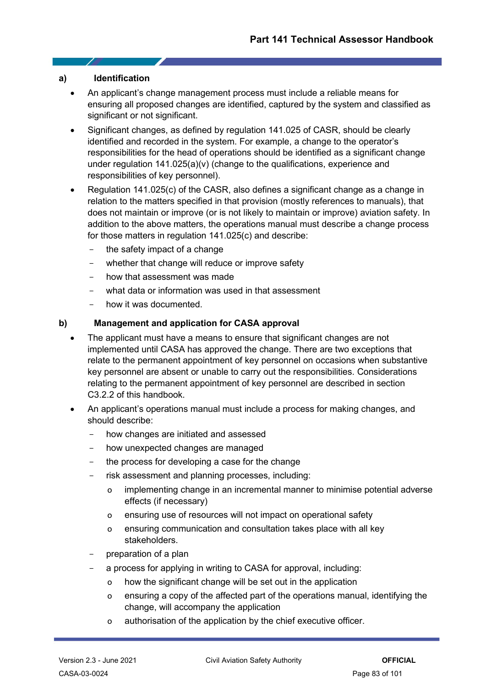### **a) Identification**

- An applicant's change management process must include a reliable means for ensuring all proposed changes are identified, captured by the system and classified as significant or not significant.
- Significant changes, as defined by regulation 141.025 of CASR, should be clearly identified and recorded in the system. For example, a change to the operator's responsibilities for the head of operations should be identified as a significant change under regulation 141.025(a)(v) (change to the qualifications, experience and responsibilities of key personnel).
- Regulation 141.025(c) of the CASR, also defines a significant change as a change in relation to the matters specified in that provision (mostly references to manuals), that does not maintain or improve (or is not likely to maintain or improve) aviation safety. In addition to the above matters, the operations manual must describe a change process for those matters in regulation 141.025(c) and describe:
	- the safety impact of a change
	- whether that change will reduce or improve safety
	- how that assessment was made
	- what data or information was used in that assessment
	- how it was documented.

## **b) Management and application for CASA approval**

- The applicant must have a means to ensure that significant changes are not implemented until CASA has approved the change. There are two exceptions that relate to the permanent appointment of key personnel on occasions when substantive key personnel are absent or unable to carry out the responsibilities. Considerations relating to the permanent appointment of key personnel are described in section C3.2.2 of this handbook.
- An applicant's operations manual must include a process for making changes, and should describe:
	- how changes are initiated and assessed
	- how unexpected changes are managed
	- the process for developing a case for the change
	- risk assessment and planning processes, including:
		- o implementing change in an incremental manner to minimise potential adverse effects (if necessary)
		- o ensuring use of resources will not impact on operational safety
		- o ensuring communication and consultation takes place with all key stakeholders.
	- preparation of a plan
	- a process for applying in writing to CASA for approval, including:
		- o how the significant change will be set out in the application
		- o ensuring a copy of the affected part of the operations manual, identifying the change, will accompany the application
		- o authorisation of the application by the chief executive officer.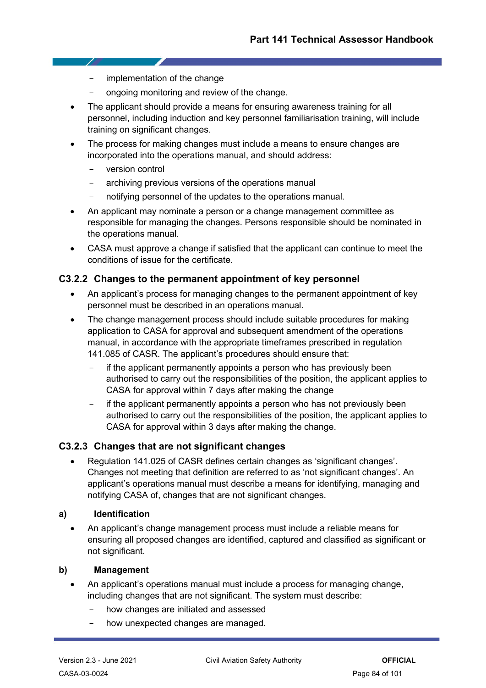- implementation of the change
- ongoing monitoring and review of the change.
- The applicant should provide a means for ensuring awareness training for all personnel, including induction and key personnel familiarisation training, will include training on significant changes.
- The process for making changes must include a means to ensure changes are incorporated into the operations manual, and should address:
	- version control

- 7

- archiving previous versions of the operations manual
- notifying personnel of the updates to the operations manual.
- An applicant may nominate a person or a change management committee as responsible for managing the changes. Persons responsible should be nominated in the operations manual.
- CASA must approve a change if satisfied that the applicant can continue to meet the conditions of issue for the certificate.

## **C3.2.2 Changes to the permanent appointment of key personnel**

- An applicant's process for managing changes to the permanent appointment of key personnel must be described in an operations manual.
- The change management process should include suitable procedures for making application to CASA for approval and subsequent amendment of the operations manual, in accordance with the appropriate timeframes prescribed in regulation 141.085 of CASR. The applicant's procedures should ensure that:
	- if the applicant permanently appoints a person who has previously been authorised to carry out the responsibilities of the position, the applicant applies to CASA for approval within 7 days after making the change
	- if the applicant permanently appoints a person who has not previously been authorised to carry out the responsibilities of the position, the applicant applies to CASA for approval within 3 days after making the change.

## **C3.2.3 Changes that are not significant changes**

• Regulation 141.025 of CASR defines certain changes as 'significant changes'. Changes not meeting that definition are referred to as 'not significant changes'. An applicant's operations manual must describe a means for identifying, managing and notifying CASA of, changes that are not significant changes.

## **a) Identification**

• An applicant's change management process must include a reliable means for ensuring all proposed changes are identified, captured and classified as significant or not significant.

### **b) Management**

- An applicant's operations manual must include a process for managing change, including changes that are not significant. The system must describe:
	- how changes are initiated and assessed
	- how unexpected changes are managed.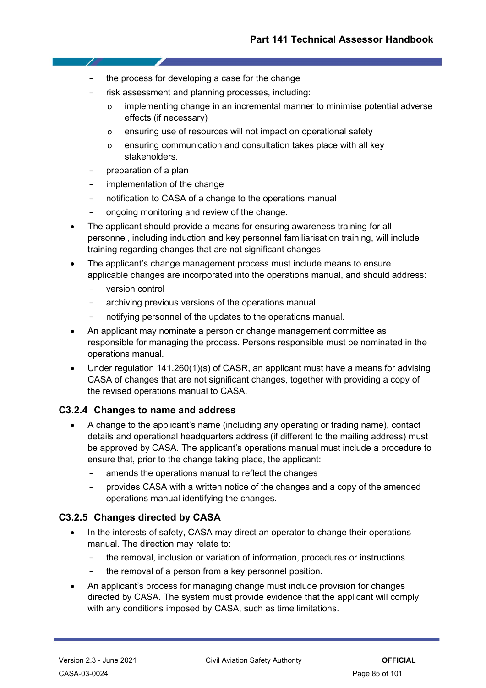- the process for developing a case for the change
- risk assessment and planning processes, including:
	- o implementing change in an incremental manner to minimise potential adverse effects (if necessary)
	- o ensuring use of resources will not impact on operational safety
	- o ensuring communication and consultation takes place with all key stakeholders.
- preparation of a plan
- implementation of the change
- notification to CASA of a change to the operations manual
- ongoing monitoring and review of the change.
- The applicant should provide a means for ensuring awareness training for all personnel, including induction and key personnel familiarisation training, will include training regarding changes that are not significant changes.
- The applicant's change management process must include means to ensure applicable changes are incorporated into the operations manual, and should address:
	- version control
	- archiving previous versions of the operations manual
	- notifying personnel of the updates to the operations manual.
- An applicant may nominate a person or change management committee as responsible for managing the process. Persons responsible must be nominated in the operations manual.
- Under regulation 141.260(1)(s) of CASR, an applicant must have a means for advising CASA of changes that are not significant changes, together with providing a copy of the revised operations manual to CASA.

## **C3.2.4 Changes to name and address**

- A change to the applicant's name (including any operating or trading name), contact details and operational headquarters address (if different to the mailing address) must be approved by CASA. The applicant's operations manual must include a procedure to ensure that, prior to the change taking place, the applicant:
	- amends the operations manual to reflect the changes
	- provides CASA with a written notice of the changes and a copy of the amended operations manual identifying the changes.

## **C3.2.5 Changes directed by CASA**

- In the interests of safety, CASA may direct an operator to change their operations manual. The direction may relate to:
	- the removal, inclusion or variation of information, procedures or instructions
	- the removal of a person from a key personnel position.
- An applicant's process for managing change must include provision for changes directed by CASA. The system must provide evidence that the applicant will comply with any conditions imposed by CASA, such as time limitations.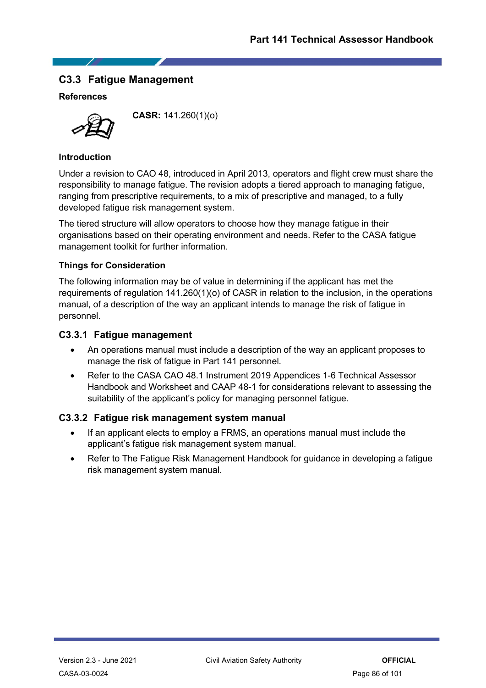## **C3.3 Fatigue Management**

## **References**



**CASR:** 141.260(1)(o)

## **Introduction**

Under a revision to CAO 48, introduced in April 2013, operators and flight crew must share the responsibility to manage fatigue. The revision adopts a tiered approach to managing fatigue, ranging from prescriptive requirements, to a mix of prescriptive and managed, to a fully developed fatigue risk management system.

The tiered structure will allow operators to choose how they manage fatigue in their organisations based on their operating environment and needs. Refer to the CASA fatigue management toolkit for further information.

## **Things for Consideration**

The following information may be of value in determining if the applicant has met the requirements of regulation 141.260(1)(o) of CASR in relation to the inclusion, in the operations manual, of a description of the way an applicant intends to manage the risk of fatigue in personnel.

## **C3.3.1 Fatigue management**

- An operations manual must include a description of the way an applicant proposes to manage the risk of fatigue in Part 141 personnel.
- Refer to the CASA CAO 48.1 Instrument 2019 Appendices 1-6 Technical Assessor Handbook and Worksheet and CAAP 48-1 for considerations relevant to assessing the suitability of the applicant's policy for managing personnel fatique.

## **C3.3.2 Fatigue risk management system manual**

- If an applicant elects to employ a FRMS, an operations manual must include the applicant's fatigue risk management system manual.
- Refer to The Fatigue Risk Management Handbook for guidance in developing a fatigue risk management system manual.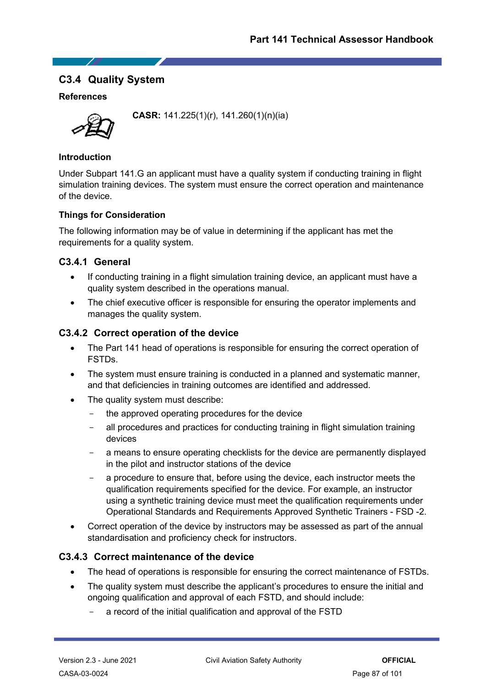## **C3.4 Quality System**

## **References**



**CASR:** 141.225(1)(r), 141.260(1)(n)(ia)

## **Introduction**

Under Subpart 141.G an applicant must have a quality system if conducting training in flight simulation training devices. The system must ensure the correct operation and maintenance of the device.

## **Things for Consideration**

The following information may be of value in determining if the applicant has met the requirements for a quality system.

## **C3.4.1 General**

- If conducting training in a flight simulation training device, an applicant must have a quality system described in the operations manual.
- The chief executive officer is responsible for ensuring the operator implements and manages the quality system.

## **C3.4.2 Correct operation of the device**

- The Part 141 head of operations is responsible for ensuring the correct operation of FSTDs.
- The system must ensure training is conducted in a planned and systematic manner. and that deficiencies in training outcomes are identified and addressed.
- The quality system must describe:
	- the approved operating procedures for the device
	- all procedures and practices for conducting training in flight simulation training devices
	- a means to ensure operating checklists for the device are permanently displayed in the pilot and instructor stations of the device
	- a procedure to ensure that, before using the device, each instructor meets the qualification requirements specified for the device. For example, an instructor using a synthetic training device must meet the qualification requirements under Operational Standards and Requirements Approved Synthetic Trainers - FSD -2.
- Correct operation of the device by instructors may be assessed as part of the annual standardisation and proficiency check for instructors.

## **C3.4.3 Correct maintenance of the device**

- The head of operations is responsible for ensuring the correct maintenance of FSTDs.
- The quality system must describe the applicant's procedures to ensure the initial and ongoing qualification and approval of each FSTD, and should include:
	- a record of the initial qualification and approval of the FSTD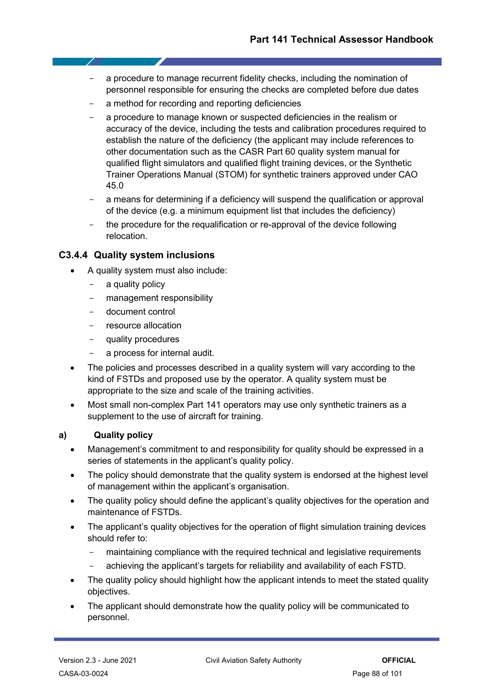- a procedure to manage recurrent fidelity checks, including the nomination of personnel responsible for ensuring the checks are completed before due dates
- a method for recording and reporting deficiencies
- a procedure to manage known or suspected deficiencies in the realism or accuracy of the device, including the tests and calibration procedures required to establish the nature of the deficiency (the applicant may include references to other documentation such as the CASR Part 60 quality system manual for qualified flight simulators and qualified flight training devices, or the Synthetic Trainer Operations Manual (STOM) for synthetic trainers approved under CAO 45.0
- a means for determining if a deficiency will suspend the qualification or approval of the device (e.g. a minimum equipment list that includes the deficiency)
- the procedure for the requalification or re-approval of the device following relocation.

## **C3.4.4 Quality system inclusions**

- A quality system must also include:
	- a quality policy
	- management responsibility
	- document control
	- resource allocation
	- quality procedures
	- a process for internal audit.
- The policies and processes described in a quality system will vary according to the kind of FSTDs and proposed use by the operator. A quality system must be appropriate to the size and scale of the training activities.
- Most small non-complex Part 141 operators may use only synthetic trainers as a supplement to the use of aircraft for training.

## **a) Quality policy**

- Management's commitment to and responsibility for quality should be expressed in a series of statements in the applicant's quality policy.
- The policy should demonstrate that the quality system is endorsed at the highest level of management within the applicant's organisation.
- The quality policy should define the applicant's quality objectives for the operation and maintenance of FSTDs.
- The applicant's quality objectives for the operation of flight simulation training devices should refer to:
	- maintaining compliance with the required technical and legislative requirements
	- achieving the applicant's targets for reliability and availability of each FSTD.
- The quality policy should highlight how the applicant intends to meet the stated quality objectives.
- The applicant should demonstrate how the quality policy will be communicated to personnel.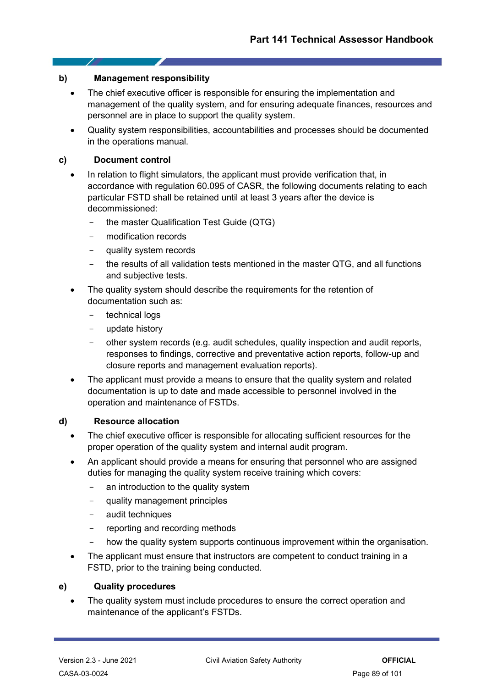## **b) Management responsibility**

- The chief executive officer is responsible for ensuring the implementation and management of the quality system, and for ensuring adequate finances, resources and personnel are in place to support the quality system.
- Quality system responsibilities, accountabilities and processes should be documented in the operations manual.

## **c) Document control**

- In relation to flight simulators, the applicant must provide verification that, in accordance with regulation 60.095 of CASR, the following documents relating to each particular FSTD shall be retained until at least 3 years after the device is decommissioned:
	- the master Qualification Test Guide (QTG)
	- modification records
	- quality system records
	- the results of all validation tests mentioned in the master QTG, and all functions and subjective tests.
- The quality system should describe the requirements for the retention of documentation such as:
	- technical logs
	- update history
	- other system records (e.g. audit schedules, quality inspection and audit reports, responses to findings, corrective and preventative action reports, follow-up and closure reports and management evaluation reports).
- The applicant must provide a means to ensure that the quality system and related documentation is up to date and made accessible to personnel involved in the operation and maintenance of FSTDs.

## **d) Resource allocation**

- The chief executive officer is responsible for allocating sufficient resources for the proper operation of the quality system and internal audit program.
- An applicant should provide a means for ensuring that personnel who are assigned duties for managing the quality system receive training which covers:
	- an introduction to the quality system
	- quality management principles
	- audit techniques
	- reporting and recording methods
	- how the quality system supports continuous improvement within the organisation.
- The applicant must ensure that instructors are competent to conduct training in a FSTD, prior to the training being conducted.

### **e) Quality procedures**

• The quality system must include procedures to ensure the correct operation and maintenance of the applicant's FSTDs.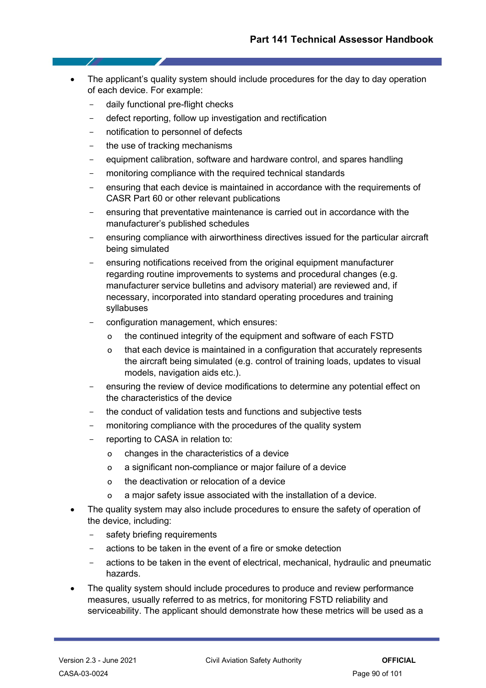- The applicant's quality system should include procedures for the day to day operation of each device. For example:
	- daily functional pre-flight checks
	- defect reporting, follow up investigation and rectification
	- notification to personnel of defects
	- the use of tracking mechanisms
	- equipment calibration, software and hardware control, and spares handling
	- monitoring compliance with the required technical standards
	- ensuring that each device is maintained in accordance with the requirements of CASR Part 60 or other relevant publications
	- ensuring that preventative maintenance is carried out in accordance with the manufacturer's published schedules
	- ensuring compliance with airworthiness directives issued for the particular aircraft being simulated
	- ensuring notifications received from the original equipment manufacturer regarding routine improvements to systems and procedural changes (e.g. manufacturer service bulletins and advisory material) are reviewed and, if necessary, incorporated into standard operating procedures and training syllabuses
	- configuration management, which ensures:
		- o the continued integrity of the equipment and software of each FSTD
		- o that each device is maintained in a configuration that accurately represents the aircraft being simulated (e.g. control of training loads, updates to visual models, navigation aids etc.).
	- ensuring the review of device modifications to determine any potential effect on the characteristics of the device
	- the conduct of validation tests and functions and subjective tests
	- monitoring compliance with the procedures of the quality system
	- reporting to CASA in relation to:
		- o changes in the characteristics of a device
		- o a significant non-compliance or major failure of a device
		- o the deactivation or relocation of a device
		- a major safety issue associated with the installation of a device.
- The quality system may also include procedures to ensure the safety of operation of the device, including:
	- safety briefing requirements
	- actions to be taken in the event of a fire or smoke detection
	- actions to be taken in the event of electrical, mechanical, hydraulic and pneumatic hazards.
- The quality system should include procedures to produce and review performance measures, usually referred to as metrics, for monitoring FSTD reliability and serviceability. The applicant should demonstrate how these metrics will be used as a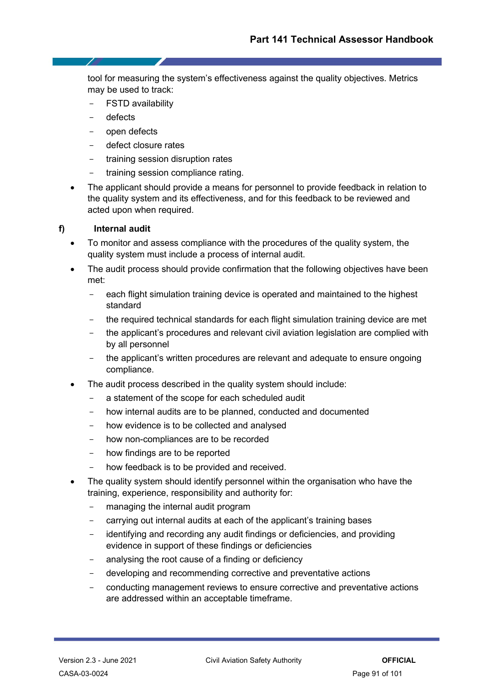tool for measuring the system's effectiveness against the quality objectives. Metrics may be used to track:

- FSTD availability
- defects
- open defects
- defect closure rates
- training session disruption rates
- training session compliance rating.
- The applicant should provide a means for personnel to provide feedback in relation to the quality system and its effectiveness, and for this feedback to be reviewed and acted upon when required.

## **f) Internal audit**

- To monitor and assess compliance with the procedures of the quality system, the quality system must include a process of internal audit.
- The audit process should provide confirmation that the following objectives have been met:
	- each flight simulation training device is operated and maintained to the highest standard
	- the required technical standards for each flight simulation training device are met
	- the applicant's procedures and relevant civil aviation legislation are complied with by all personnel
	- the applicant's written procedures are relevant and adequate to ensure ongoing compliance.
- The audit process described in the quality system should include:
	- a statement of the scope for each scheduled audit
	- how internal audits are to be planned, conducted and documented
	- how evidence is to be collected and analysed
	- how non-compliances are to be recorded
	- how findings are to be reported
	- how feedback is to be provided and received.
- The quality system should identify personnel within the organisation who have the training, experience, responsibility and authority for:
	- managing the internal audit program
	- carrying out internal audits at each of the applicant's training bases
	- identifying and recording any audit findings or deficiencies, and providing evidence in support of these findings or deficiencies
	- analysing the root cause of a finding or deficiency
	- developing and recommending corrective and preventative actions
	- conducting management reviews to ensure corrective and preventative actions are addressed within an acceptable timeframe.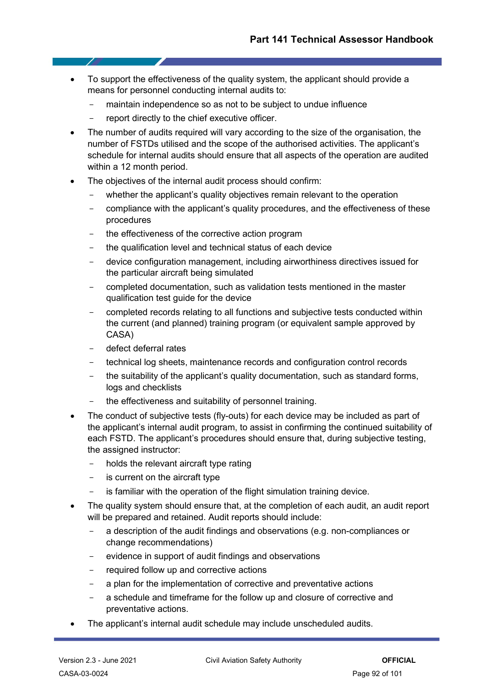- To support the effectiveness of the quality system, the applicant should provide a means for personnel conducting internal audits to:
	- maintain independence so as not to be subiect to undue influence
	- report directly to the chief executive officer.
- The number of audits required will vary according to the size of the organisation, the number of FSTDs utilised and the scope of the authorised activities. The applicant's schedule for internal audits should ensure that all aspects of the operation are audited within a 12 month period.
- The objectives of the internal audit process should confirm:
	- whether the applicant's quality objectives remain relevant to the operation
	- compliance with the applicant's quality procedures, and the effectiveness of these procedures
	- the effectiveness of the corrective action program
	- the qualification level and technical status of each device
	- device configuration management, including airworthiness directives issued for the particular aircraft being simulated
	- completed documentation, such as validation tests mentioned in the master qualification test guide for the device
	- completed records relating to all functions and subjective tests conducted within the current (and planned) training program (or equivalent sample approved by CASA)
	- defect deferral rates
	- technical log sheets, maintenance records and configuration control records
	- the suitability of the applicant's quality documentation, such as standard forms, logs and checklists
	- the effectiveness and suitability of personnel training.
- The conduct of subjective tests (fly-outs) for each device may be included as part of the applicant's internal audit program, to assist in confirming the continued suitability of each FSTD. The applicant's procedures should ensure that, during subjective testing, the assigned instructor:
	- holds the relevant aircraft type rating
	- is current on the aircraft type
	- is familiar with the operation of the flight simulation training device.
- The quality system should ensure that, at the completion of each audit, an audit report will be prepared and retained. Audit reports should include:
	- a description of the audit findings and observations (e.g. non-compliances or change recommendations)
	- evidence in support of audit findings and observations
	- required follow up and corrective actions
	- a plan for the implementation of corrective and preventative actions
	- a schedule and timeframe for the follow up and closure of corrective and preventative actions.
- The applicant's internal audit schedule may include unscheduled audits.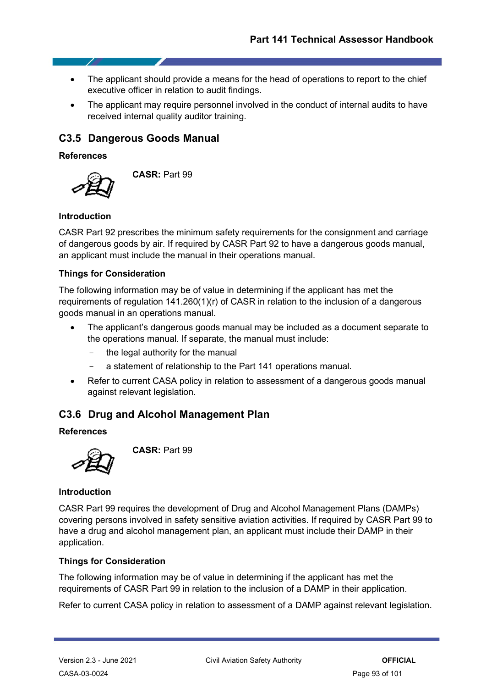- The applicant should provide a means for the head of operations to report to the chief executive officer in relation to audit findings.
- The applicant may require personnel involved in the conduct of internal audits to have received internal quality auditor training.

## **C3.5 Dangerous Goods Manual**

## **References**



**CASR:** Part 99

## **Introduction**

CASR Part 92 prescribes the minimum safety requirements for the consignment and carriage of dangerous goods by air. If required by CASR Part 92 to have a dangerous goods manual, an applicant must include the manual in their operations manual.

## **Things for Consideration**

The following information may be of value in determining if the applicant has met the requirements of regulation 141.260(1)(r) of CASR in relation to the inclusion of a dangerous goods manual in an operations manual.

- The applicant's dangerous goods manual may be included as a document separate to the operations manual. If separate, the manual must include:
	- the legal authority for the manual
	- a statement of relationship to the Part 141 operations manual.
- Refer to current CASA policy in relation to assessment of a dangerous goods manual against relevant legislation.

## **C3.6 Drug and Alcohol Management Plan**

### **References**



**CASR:** Part 99

### **Introduction**

CASR Part 99 requires the development of Drug and Alcohol Management Plans (DAMPs) covering persons involved in safety sensitive aviation activities. If required by CASR Part 99 to have a drug and alcohol management plan, an applicant must include their DAMP in their application.

## **Things for Consideration**

The following information may be of value in determining if the applicant has met the requirements of CASR Part 99 in relation to the inclusion of a DAMP in their application.

Refer to current CASA policy in relation to assessment of a DAMP against relevant legislation.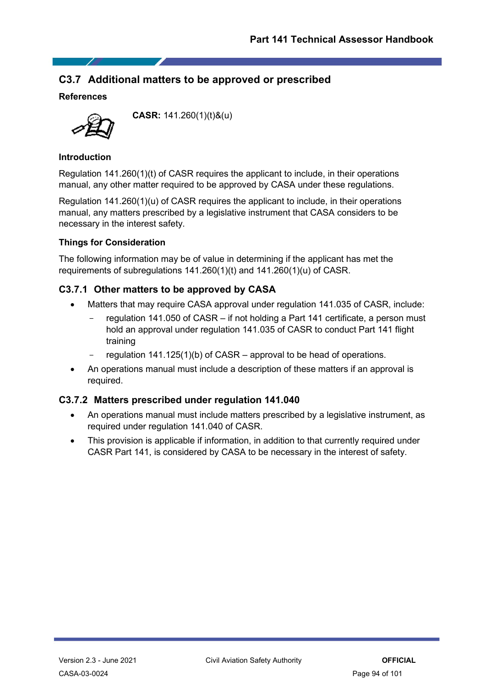## **C3.7 Additional matters to be approved or prescribed**

## **References**



**CASR:** 141.260(1)(t)&(u)

## **Introduction**

Regulation 141.260(1)(t) of CASR requires the applicant to include, in their operations manual, any other matter required to be approved by CASA under these regulations.

Regulation 141.260(1)(u) of CASR requires the applicant to include, in their operations manual, any matters prescribed by a legislative instrument that CASA considers to be necessary in the interest safety.

## **Things for Consideration**

The following information may be of value in determining if the applicant has met the requirements of subregulations 141.260(1)(t) and 141.260(1)(u) of CASR.

## **C3.7.1 Other matters to be approved by CASA**

- Matters that may require CASA approval under regulation 141.035 of CASR, include:
	- regulation 141.050 of CASR if not holding a Part 141 certificate, a person must hold an approval under regulation 141.035 of CASR to conduct Part 141 flight training
	- regulation  $141.125(1)(b)$  of CASR approval to be head of operations.
- An operations manual must include a description of these matters if an approval is required.

## **C3.7.2 Matters prescribed under regulation 141.040**

- An operations manual must include matters prescribed by a legislative instrument, as required under regulation 141.040 of CASR.
- This provision is applicable if information, in addition to that currently required under CASR Part 141, is considered by CASA to be necessary in the interest of safety.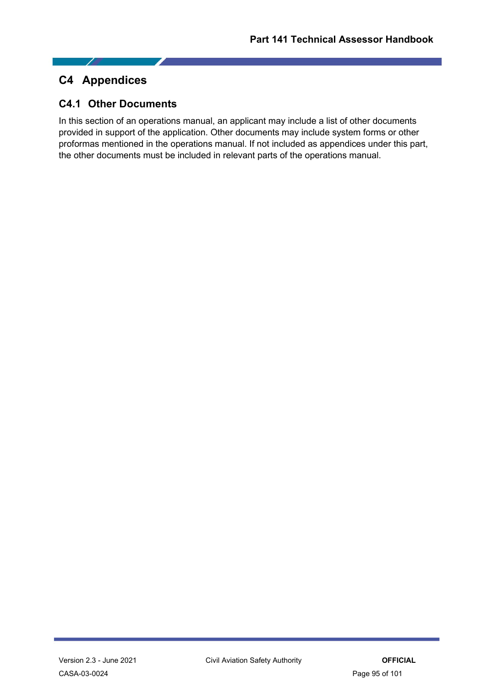## **C4 Appendices**

- 1

## **C4.1 Other Documents**

In this section of an operations manual, an applicant may include a list of other documents provided in support of the application. Other documents may include system forms or other proformas mentioned in the operations manual. If not included as appendices under this part, the other documents must be included in relevant parts of the operations manual.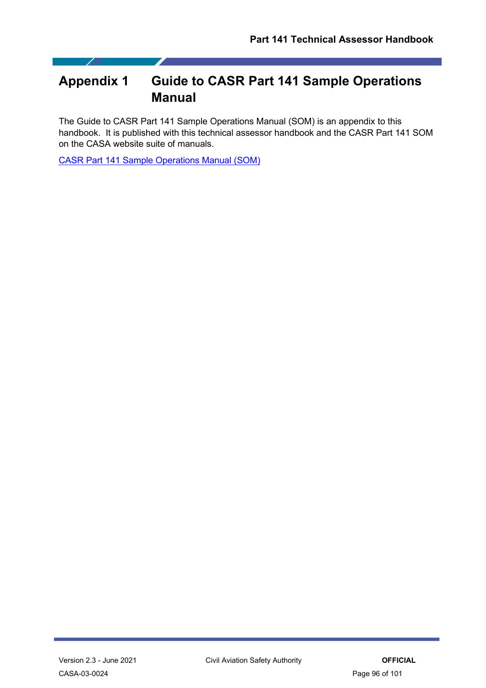# **Appendix 1 Guide to CASR Part 141 Sample Operations Manual**

The Guide to CASR Part 141 Sample Operations Manual (SOM) is an appendix to this handbook. It is published with this technical assessor handbook and the CASR Part 141 SOM on the CASA website suite of manuals.

[CASR Part 141 Sample Operations Manual \(SOM\)](https://casaau.sharepoint.com/sites/document-catalogue/SitePages/DocumentCatalogue.aspx#/document/CASA-04-2174)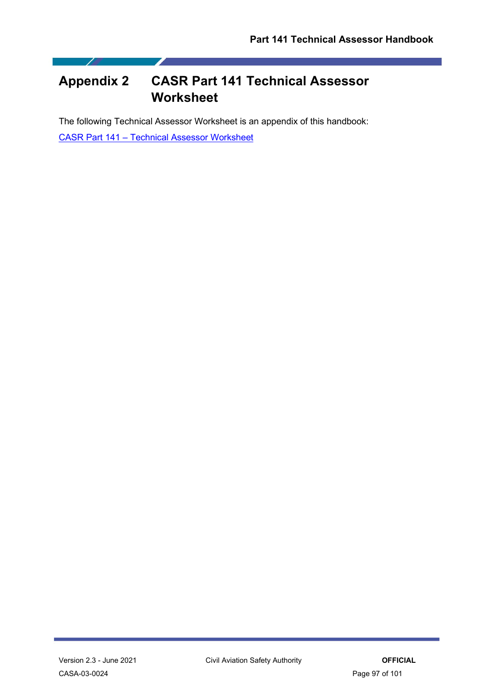# **Appendix 2 CASR Part 141 Technical Assessor Worksheet**

The following Technical Assessor Worksheet is an appendix of this handbook:

CASR Part 141 – [Technical Assessor Worksheet](https://casaau.sharepoint.com/sites/document-catalogue/SitePages/DocumentCatalogue.aspx#/document/CASA-03-0025)

Z

7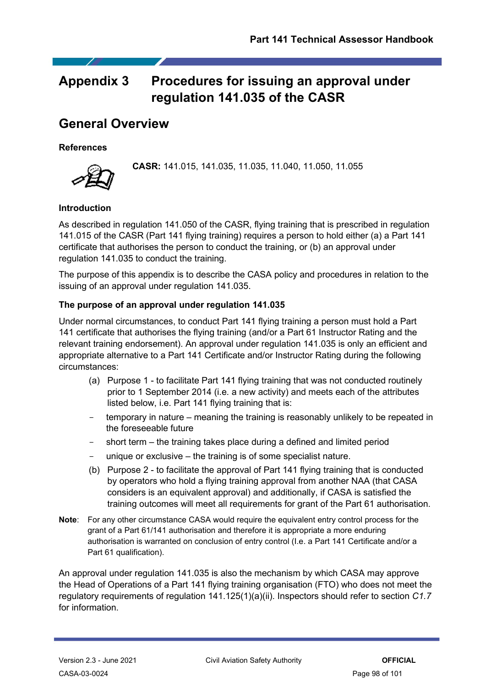# **Appendix 3 Procedures for issuing an approval under regulation 141.035 of the CASR**

# **General Overview**

## **References**

**CASR:** 141.015, 141.035, 11.035, 11.040, 11.050, 11.055

## **Introduction**

As described in regulation 141.050 of the CASR, flying training that is prescribed in regulation 141.015 of the CASR (Part 141 flying training) requires a person to hold either (a) a Part 141 certificate that authorises the person to conduct the training, or (b) an approval under regulation 141.035 to conduct the training.

The purpose of this appendix is to describe the CASA policy and procedures in relation to the issuing of an approval under regulation 141.035.

## **The purpose of an approval under regulation 141.035**

Under normal circumstances, to conduct Part 141 flying training a person must hold a Part 141 certificate that authorises the flying training (and/or a Part 61 Instructor Rating and the relevant training endorsement). An approval under regulation 141.035 is only an efficient and appropriate alternative to a Part 141 Certificate and/or Instructor Rating during the following circumstances:

- (a) Purpose 1 to facilitate Part 141 flying training that was not conducted routinely prior to 1 September 2014 (i.e. a new activity) and meets each of the attributes listed below, i.e. Part 141 flying training that is:
- temporary in nature meaning the training is reasonably unlikely to be repeated in the foreseeable future
- short term the training takes place during a defined and limited period
- unique or exclusive the training is of some specialist nature.
- (b) Purpose 2 to facilitate the approval of Part 141 flying training that is conducted by operators who hold a flying training approval from another NAA (that CASA considers is an equivalent approval) and additionally, if CASA is satisfied the training outcomes will meet all requirements for grant of the Part 61 authorisation.
- **Note**: For any other circumstance CASA would require the equivalent entry control process for the grant of a Part 61/141 authorisation and therefore it is appropriate a more enduring authorisation is warranted on conclusion of entry control (I.e. a Part 141 Certificate and/or a Part 61 qualification).

An approval under regulation 141.035 is also the mechanism by which CASA may approve the Head of Operations of a Part 141 flying training organisation (FTO) who does not meet the regulatory requirements of regulation 141.125(1)(a)(ii). Inspectors should refer to section *C1.7* for information.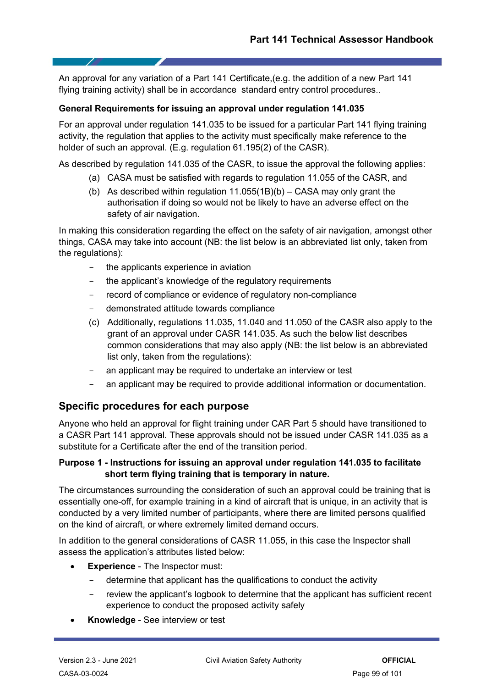An approval for any variation of a Part 141 Certificate,(e.g. the addition of a new Part 141 flying training activity) shall be in accordance standard entry control procedures..

## **General Requirements for issuing an approval under regulation 141.035**

For an approval under regulation 141.035 to be issued for a particular Part 141 flying training activity, the regulation that applies to the activity must specifically make reference to the holder of such an approval. (E.g. regulation 61.195(2) of the CASR).

As described by regulation 141.035 of the CASR, to issue the approval the following applies:

- (a) CASA must be satisfied with regards to regulation 11.055 of the CASR, and
- (b) As described within regulation 11.055(1B)(b) CASA may only grant the authorisation if doing so would not be likely to have an adverse effect on the safety of air navigation.

In making this consideration regarding the effect on the safety of air navigation, amongst other things, CASA may take into account (NB: the list below is an abbreviated list only, taken from the regulations):

- the applicants experience in aviation
- the applicant's knowledge of the regulatory requirements
- record of compliance or evidence of regulatory non-compliance
- demonstrated attitude towards compliance
- (c) Additionally, regulations 11.035, 11.040 and 11.050 of the CASR also apply to the grant of an approval under CASR 141.035. As such the below list describes common considerations that may also apply (NB: the list below is an abbreviated list only, taken from the regulations):
- an applicant may be required to undertake an interview or test
- an applicant may be required to provide additional information or documentation.

## **Specific procedures for each purpose**

Anyone who held an approval for flight training under CAR Part 5 should have transitioned to a CASR Part 141 approval. These approvals should not be issued under CASR 141.035 as a substitute for a Certificate after the end of the transition period.

## **Purpose 1 - Instructions for issuing an approval under regulation 141.035 to facilitate short term flying training that is temporary in nature.**

The circumstances surrounding the consideration of such an approval could be training that is essentially one-off, for example training in a kind of aircraft that is unique, in an activity that is conducted by a very limited number of participants, where there are limited persons qualified on the kind of aircraft, or where extremely limited demand occurs.

In addition to the general considerations of CASR 11.055, in this case the Inspector shall assess the application's attributes listed below:

- **Experience** The Inspector must:
	- determine that applicant has the qualifications to conduct the activity
	- review the applicant's logbook to determine that the applicant has sufficient recent experience to conduct the proposed activity safely
- **Knowledge** See interview or test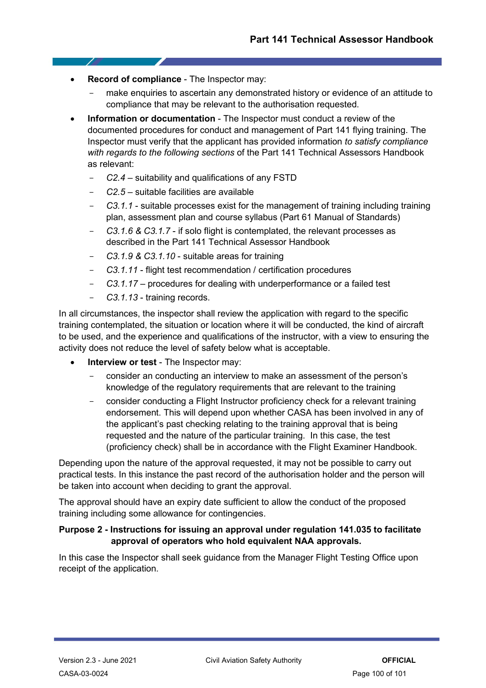- **Record of compliance** The Inspector may:
	- make enquiries to ascertain any demonstrated history or evidence of an attitude to compliance that may be relevant to the authorisation requested.
- **Information or documentation** The Inspector must conduct a review of the documented procedures for conduct and management of Part 141 flying training. The Inspector must verify that the applicant has provided information *to satisfy compliance with regards to the following sections* of the Part 141 Technical Assessors Handbook as relevant:
	- *C2.4* suitability and qualifications of any FSTD
	- *C2.5* suitable facilities are available
	- *C3.1.1* suitable processes exist for the management of training including training plan, assessment plan and course syllabus (Part 61 Manual of Standards)
	- *C3.1.6 & C3.1.7* if solo flight is contemplated, the relevant processes as described in the Part 141 Technical Assessor Handbook
	- *C3.1.9 & C3.1.10* suitable areas for training
	- *C3.1.11* flight test recommendation / certification procedures
	- *C3.1.17* procedures for dealing with underperformance or a failed test
	- *C3.1.13* training records.

In all circumstances, the inspector shall review the application with regard to the specific training contemplated, the situation or location where it will be conducted, the kind of aircraft to be used, and the experience and qualifications of the instructor, with a view to ensuring the activity does not reduce the level of safety below what is acceptable.

- **Interview or test** The Inspector may:
	- consider an conducting an interview to make an assessment of the person's knowledge of the regulatory requirements that are relevant to the training
	- consider conducting a Flight Instructor proficiency check for a relevant training endorsement. This will depend upon whether CASA has been involved in any of the applicant's past checking relating to the training approval that is being requested and the nature of the particular training. In this case, the test (proficiency check) shall be in accordance with the Flight Examiner Handbook.

Depending upon the nature of the approval requested, it may not be possible to carry out practical tests. In this instance the past record of the authorisation holder and the person will be taken into account when deciding to grant the approval.

The approval should have an expiry date sufficient to allow the conduct of the proposed training including some allowance for contingencies.

## **Purpose 2 - Instructions for issuing an approval under regulation 141.035 to facilitate approval of operators who hold equivalent NAA approvals.**

In this case the Inspector shall seek guidance from the Manager Flight Testing Office upon receipt of the application.